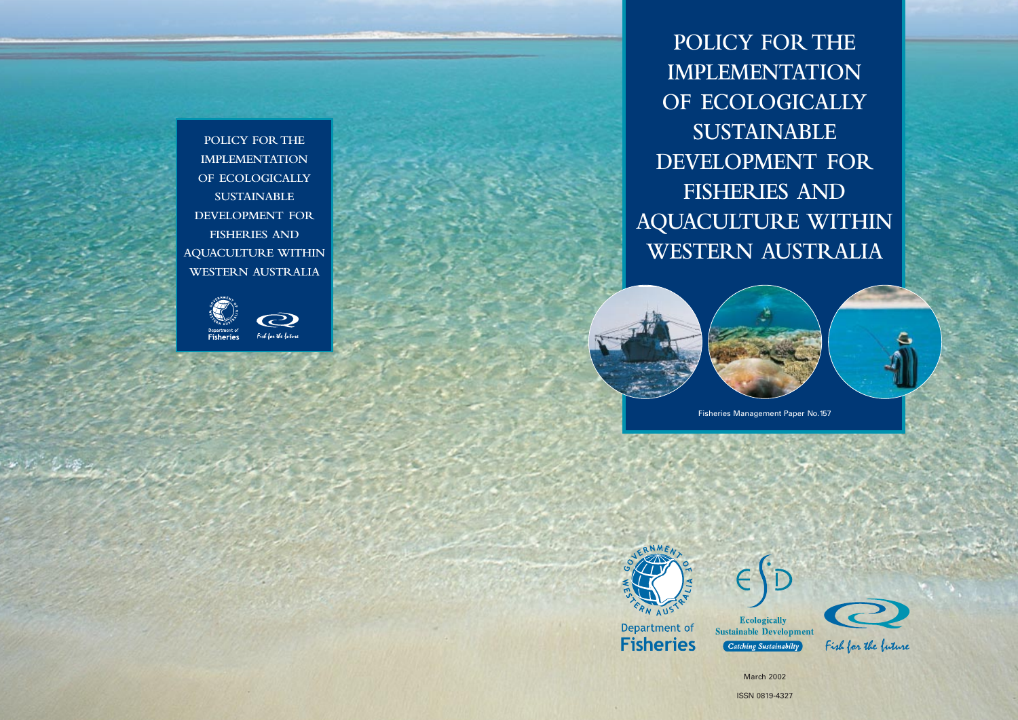**POLICY FOR THE IMPLEMENTATION OF ECOLOGICALLY SUSTAINABLE DEVELOPMENT FOR FISHERIES AND AQUACULTURE WITHIN WESTERN AUSTRALIA**





Fisheries Management Paper No.157



Department of **Fisheries** 



**Ecologically Sustainable Development** Catching Sustainabilty



Fish for the buture

March 2002

ISSN 0819-4327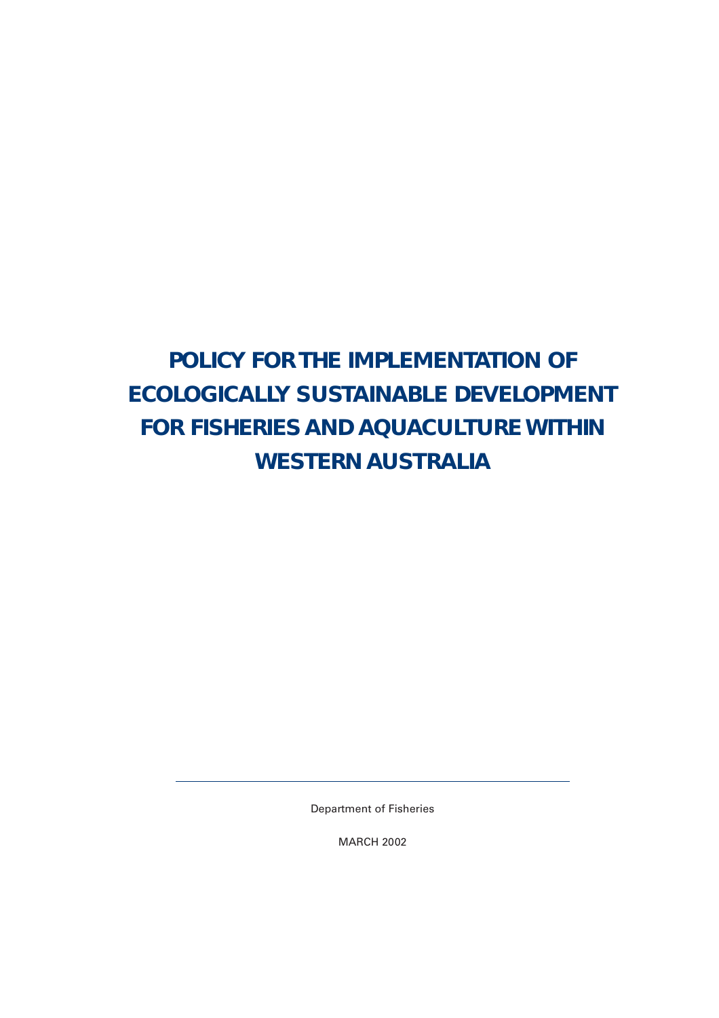# **POLICY FOR THE IMPLEMENTATION OF ECOLOGICALLY SUSTAINABLE DEVELOPMENT FOR FISHERIES AND AQUACULTURE WITHIN WESTERN AUSTRALIA**

Department of Fisheries

MARCH 2002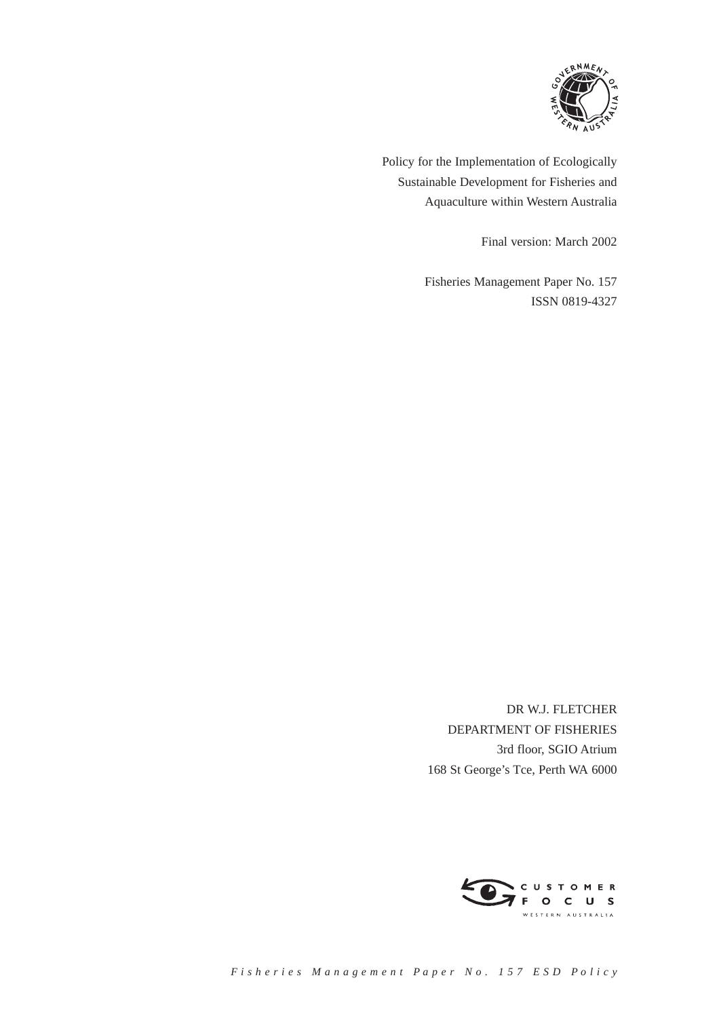

Policy for the Implementation of Ecologically Sustainable Development for Fisheries and Aquaculture within Western Australia

Final version: March 2002

Fisheries Management Paper No. 157 ISSN 0819-4327

DR W.J. FLETCHER DEPARTMENT OF FISHERIES 3rd floor, SGIO Atrium 168 St George's Tce, Perth WA 6000

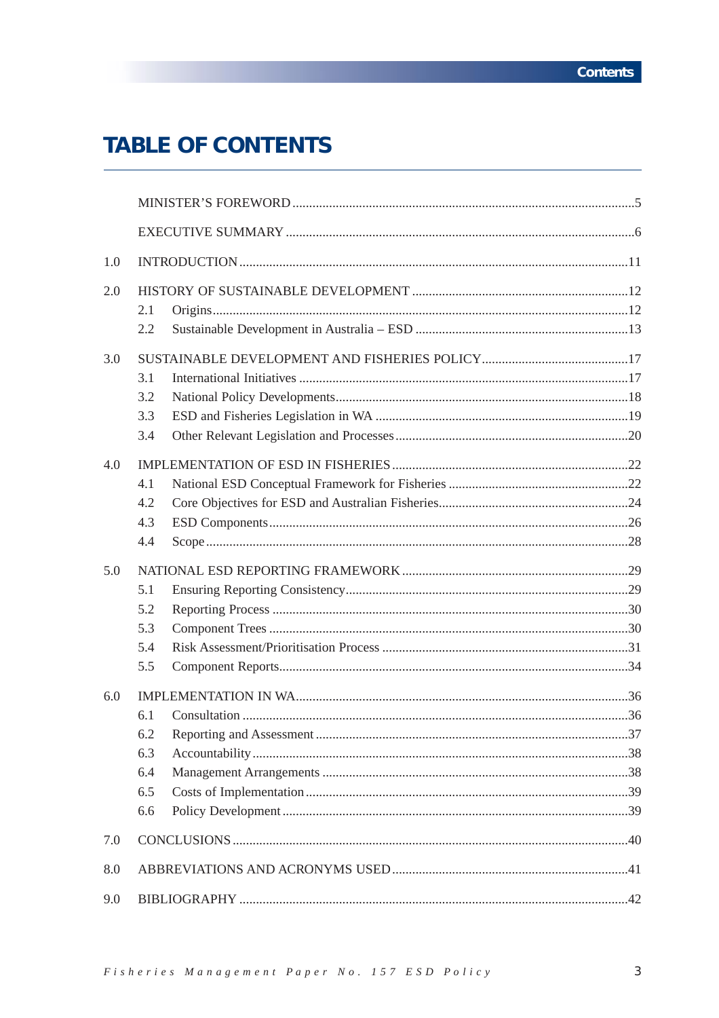# **TABLE OF CONTENTS**

| 1.0 |                                        |  |  |  |  |  |
|-----|----------------------------------------|--|--|--|--|--|
| 2.0 | 2.1<br>2.2                             |  |  |  |  |  |
| 3.0 | 3.1<br>3.2<br>3.3<br>3.4               |  |  |  |  |  |
| 4.0 | 4.1<br>4.2<br>4.3<br>4.4               |  |  |  |  |  |
| 5.0 | 5.1<br>5.2<br>5.3<br>5.4<br>5.5        |  |  |  |  |  |
| 6.0 | 6.1<br>6.2<br>6.3<br>6.4<br>6.5<br>6.6 |  |  |  |  |  |
| 7.0 |                                        |  |  |  |  |  |
| 8.0 |                                        |  |  |  |  |  |
| 9.0 |                                        |  |  |  |  |  |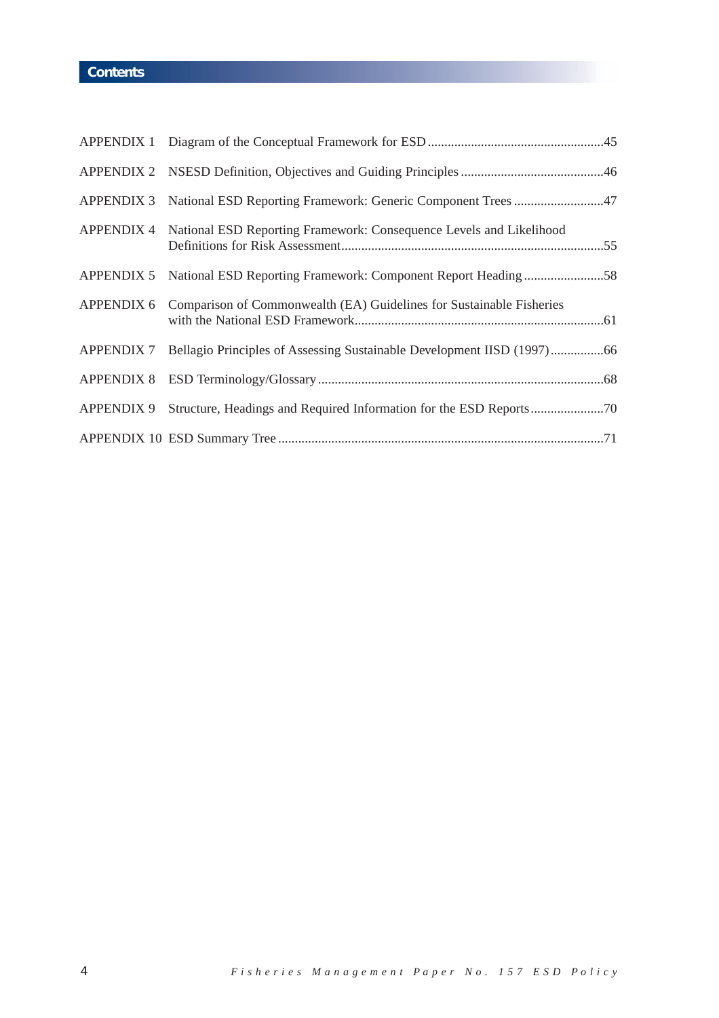# **Contents**

| APPENDIX 3 National ESD Reporting Framework: Generic Component Trees47            |
|-----------------------------------------------------------------------------------|
| APPENDIX 4 National ESD Reporting Framework: Consequence Levels and Likelihood    |
|                                                                                   |
| APPENDIX 6 Comparison of Commonwealth (EA) Guidelines for Sustainable Fisheries   |
| APPENDIX 7 Bellagio Principles of Assessing Sustainable Development IISD (1997)66 |
|                                                                                   |
| APPENDIX 9 Structure, Headings and Required Information for the ESD Reports70     |
|                                                                                   |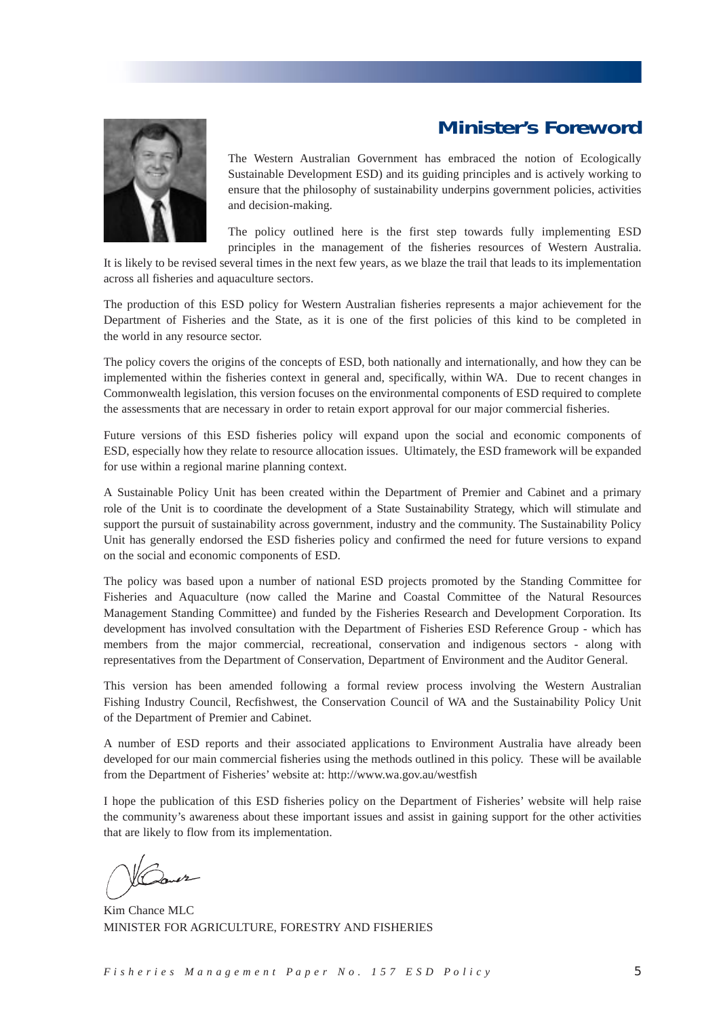# **Minister's Foreword**



The Western Australian Government has embraced the notion of Ecologically Sustainable Development ESD) and its guiding principles and is actively working to ensure that the philosophy of sustainability underpins government policies, activities and decision-making.

The policy outlined here is the first step towards fully implementing ESD principles in the management of the fisheries resources of Western Australia.

It is likely to be revised several times in the next few years, as we blaze the trail that leads to its implementation across all fisheries and aquaculture sectors.

The production of this ESD policy for Western Australian fisheries represents a major achievement for the Department of Fisheries and the State, as it is one of the first policies of this kind to be completed in the world in any resource sector.

The policy covers the origins of the concepts of ESD, both nationally and internationally, and how they can be implemented within the fisheries context in general and, specifically, within WA. Due to recent changes in Commonwealth legislation, this version focuses on the environmental components of ESD required to complete the assessments that are necessary in order to retain export approval for our major commercial fisheries.

Future versions of this ESD fisheries policy will expand upon the social and economic components of ESD, especially how they relate to resource allocation issues. Ultimately, the ESD framework will be expanded for use within a regional marine planning context.

A Sustainable Policy Unit has been created within the Department of Premier and Cabinet and a primary role of the Unit is to coordinate the development of a State Sustainability Strategy, which will stimulate and support the pursuit of sustainability across government, industry and the community. The Sustainability Policy Unit has generally endorsed the ESD fisheries policy and confirmed the need for future versions to expand on the social and economic components of ESD.

The policy was based upon a number of national ESD projects promoted by the Standing Committee for Fisheries and Aquaculture (now called the Marine and Coastal Committee of the Natural Resources Management Standing Committee) and funded by the Fisheries Research and Development Corporation. Its development has involved consultation with the Department of Fisheries ESD Reference Group - which has members from the major commercial, recreational, conservation and indigenous sectors - along with representatives from the Department of Conservation, Department of Environment and the Auditor General.

This version has been amended following a formal review process involving the Western Australian Fishing Industry Council, Recfishwest, the Conservation Council of WA and the Sustainability Policy Unit of the Department of Premier and Cabinet.

A number of ESD reports and their associated applications to Environment Australia have already been developed for our main commercial fisheries using the methods outlined in this policy. These will be available from the Department of Fisheries' website at: http://www.wa.gov.au/westfish

I hope the publication of this ESD fisheries policy on the Department of Fisheries' website will help raise the community's awareness about these important issues and assist in gaining support for the other activities that are likely to flow from its implementation.

Kim Chance MLC MINISTER FOR AGRICULTURE, FORESTRY AND FISHERIES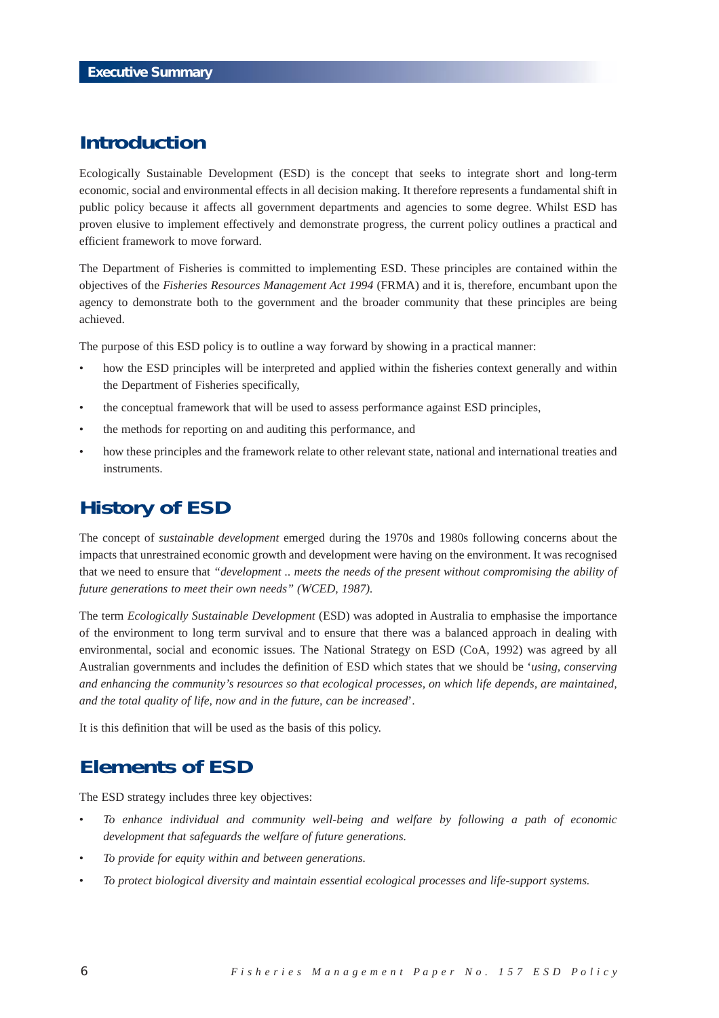# **Introduction**

Ecologically Sustainable Development (ESD) is the concept that seeks to integrate short and long-term economic, social and environmental effects in all decision making. It therefore represents a fundamental shift in public policy because it affects all government departments and agencies to some degree. Whilst ESD has proven elusive to implement effectively and demonstrate progress, the current policy outlines a practical and efficient framework to move forward.

The Department of Fisheries is committed to implementing ESD. These principles are contained within the objectives of the *Fisheries Resources Management Act 1994* (FRMA) and it is, therefore, encumbant upon the agency to demonstrate both to the government and the broader community that these principles are being achieved.

The purpose of this ESD policy is to outline a way forward by showing in a practical manner:

- how the ESD principles will be interpreted and applied within the fisheries context generally and within the Department of Fisheries specifically,
- the conceptual framework that will be used to assess performance against ESD principles,
- the methods for reporting on and auditing this performance, and
- how these principles and the framework relate to other relevant state, national and international treaties and instruments.

# **History of ESD**

The concept of *sustainable development* emerged during the 1970s and 1980s following concerns about the impacts that unrestrained economic growth and development were having on the environment. It was recognised that we need to ensure that *"development .. meets the needs of the present without compromising the ability of future generations to meet their own needs" (WCED, 1987).*

The term *Ecologically Sustainable Development* (ESD) was adopted in Australia to emphasise the importance of the environment to long term survival and to ensure that there was a balanced approach in dealing with environmental, social and economic issues. The National Strategy on ESD (CoA, 1992) was agreed by all Australian governments and includes the definition of ESD which states that we should be '*using, conserving and enhancing the community's resources so that ecological processes, on which life depends, are maintained, and the total quality of life, now and in the future, can be increased*'.

It is this definition that will be used as the basis of this policy.

# **Elements of ESD**

The ESD strategy includes three key objectives:

- *To enhance individual and community well-being and welfare by following a path of economic development that safeguards the welfare of future generations.*
- *To provide for equity within and between generations.*
- *To protect biological diversity and maintain essential ecological processes and life-support systems.*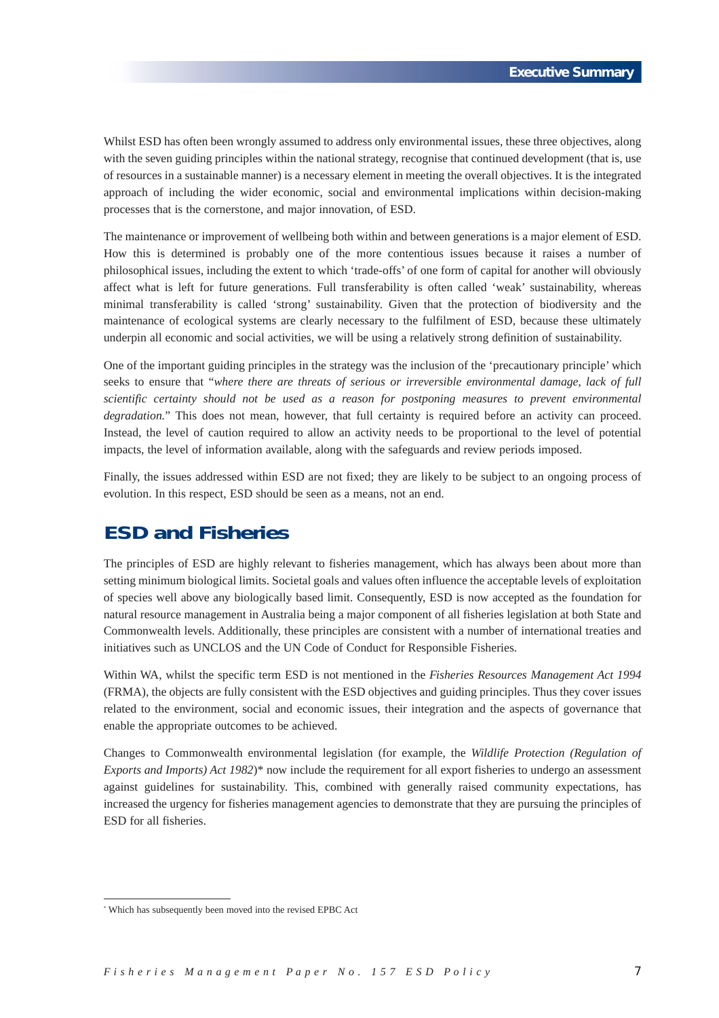Whilst ESD has often been wrongly assumed to address only environmental issues, these three objectives, along with the seven guiding principles within the national strategy, recognise that continued development (that is, use of resources in a sustainable manner) is a necessary element in meeting the overall objectives. It is the integrated approach of including the wider economic, social and environmental implications within decision-making processes that is the cornerstone, and major innovation, of ESD.

The maintenance or improvement of wellbeing both within and between generations is a major element of ESD. How this is determined is probably one of the more contentious issues because it raises a number of philosophical issues, including the extent to which 'trade-offs' of one form of capital for another will obviously affect what is left for future generations. Full transferability is often called 'weak' sustainability, whereas minimal transferability is called 'strong' sustainability. Given that the protection of biodiversity and the maintenance of ecological systems are clearly necessary to the fulfilment of ESD, because these ultimately underpin all economic and social activities, we will be using a relatively strong definition of sustainability.

One of the important guiding principles in the strategy was the inclusion of the 'precautionary principle' which seeks to ensure that "*where there are threats of serious or irreversible environmental damage, lack of full scientific certainty should not be used as a reason for postponing measures to prevent environmental degradation.*" This does not mean, however, that full certainty is required before an activity can proceed. Instead, the level of caution required to allow an activity needs to be proportional to the level of potential impacts, the level of information available, along with the safeguards and review periods imposed.

Finally, the issues addressed within ESD are not fixed; they are likely to be subject to an ongoing process of evolution. In this respect, ESD should be seen as a means, not an end.

# **ESD and Fisheries**

The principles of ESD are highly relevant to fisheries management, which has always been about more than setting minimum biological limits. Societal goals and values often influence the acceptable levels of exploitation of species well above any biologically based limit. Consequently, ESD is now accepted as the foundation for natural resource management in Australia being a major component of all fisheries legislation at both State and Commonwealth levels. Additionally, these principles are consistent with a number of international treaties and initiatives such as UNCLOS and the UN Code of Conduct for Responsible Fisheries.

Within WA, whilst the specific term ESD is not mentioned in the *Fisheries Resources Management Act 1994* (FRMA), the objects are fully consistent with the ESD objectives and guiding principles. Thus they cover issues related to the environment, social and economic issues, their integration and the aspects of governance that enable the appropriate outcomes to be achieved.

Changes to Commonwealth environmental legislation (for example, the *Wildlife Protection (Regulation of Exports and Imports) Act 1982*)\* now include the requirement for all export fisheries to undergo an assessment against guidelines for sustainability. This, combined with generally raised community expectations, has increased the urgency for fisheries management agencies to demonstrate that they are pursuing the principles of ESD for all fisheries.

<sup>\*</sup> Which has subsequently been moved into the revised EPBC Act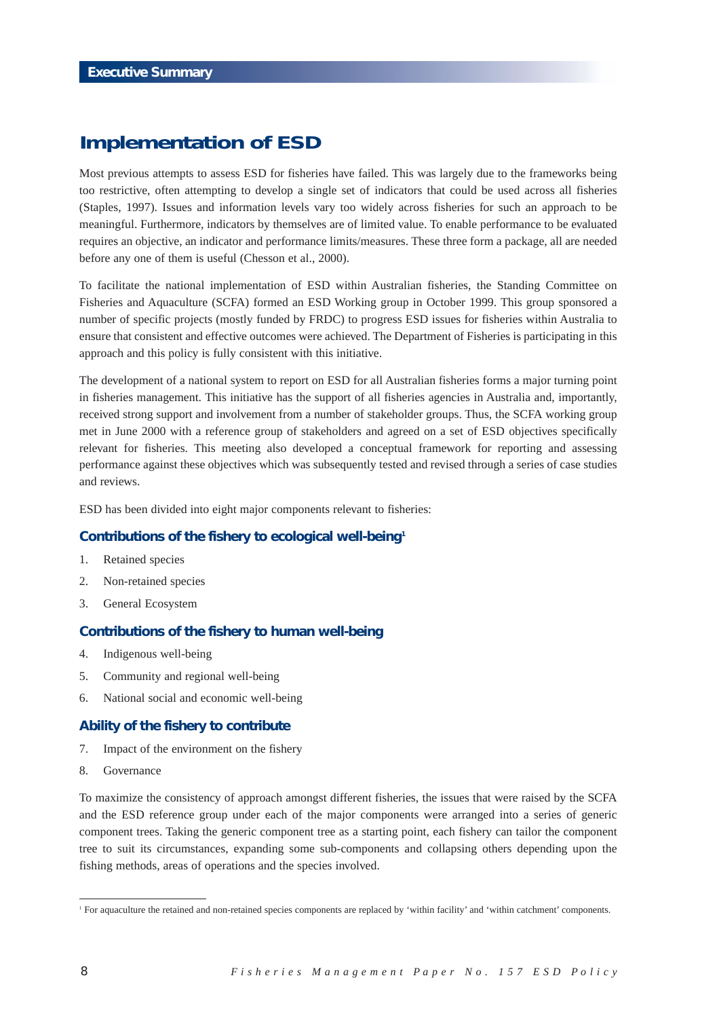# **Implementation of ESD**

Most previous attempts to assess ESD for fisheries have failed. This was largely due to the frameworks being too restrictive, often attempting to develop a single set of indicators that could be used across all fisheries (Staples, 1997). Issues and information levels vary too widely across fisheries for such an approach to be meaningful. Furthermore, indicators by themselves are of limited value. To enable performance to be evaluated requires an objective, an indicator and performance limits/measures. These three form a package, all are needed before any one of them is useful (Chesson et al., 2000).

To facilitate the national implementation of ESD within Australian fisheries, the Standing Committee on Fisheries and Aquaculture (SCFA) formed an ESD Working group in October 1999. This group sponsored a number of specific projects (mostly funded by FRDC) to progress ESD issues for fisheries within Australia to ensure that consistent and effective outcomes were achieved. The Department of Fisheries is participating in this approach and this policy is fully consistent with this initiative.

The development of a national system to report on ESD for all Australian fisheries forms a major turning point in fisheries management. This initiative has the support of all fisheries agencies in Australia and, importantly, received strong support and involvement from a number of stakeholder groups. Thus, the SCFA working group met in June 2000 with a reference group of stakeholders and agreed on a set of ESD objectives specifically relevant for fisheries. This meeting also developed a conceptual framework for reporting and assessing performance against these objectives which was subsequently tested and revised through a series of case studies and reviews.

ESD has been divided into eight major components relevant to fisheries:

## **Contributions of the fishery to ecological well-being1**

- 1. Retained species
- 2. Non-retained species
- 3. General Ecosystem

### **Contributions of the fishery to human well-being**

- 4. Indigenous well-being
- 5. Community and regional well-being
- 6. National social and economic well-being

#### **Ability of the fishery to contribute**

- 7. Impact of the environment on the fishery
- 8. Governance

To maximize the consistency of approach amongst different fisheries, the issues that were raised by the SCFA and the ESD reference group under each of the major components were arranged into a series of generic component trees. Taking the generic component tree as a starting point, each fishery can tailor the component tree to suit its circumstances, expanding some sub-components and collapsing others depending upon the fishing methods, areas of operations and the species involved.

<sup>1</sup> For aquaculture the retained and non-retained species components are replaced by 'within facility' and 'within catchment' components.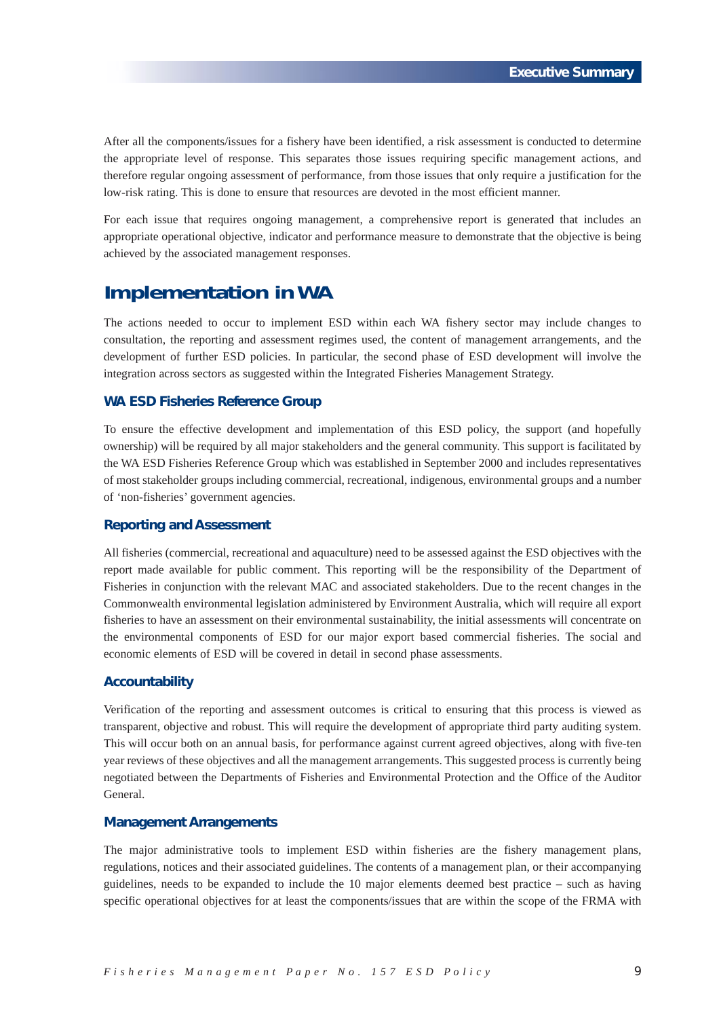After all the components/issues for a fishery have been identified, a risk assessment is conducted to determine the appropriate level of response. This separates those issues requiring specific management actions, and therefore regular ongoing assessment of performance, from those issues that only require a justification for the low-risk rating. This is done to ensure that resources are devoted in the most efficient manner.

For each issue that requires ongoing management, a comprehensive report is generated that includes an appropriate operational objective, indicator and performance measure to demonstrate that the objective is being achieved by the associated management responses.

# **Implementation in WA**

The actions needed to occur to implement ESD within each WA fishery sector may include changes to consultation, the reporting and assessment regimes used, the content of management arrangements, and the development of further ESD policies. In particular, the second phase of ESD development will involve the integration across sectors as suggested within the Integrated Fisheries Management Strategy.

## **WA ESD Fisheries Reference Group**

To ensure the effective development and implementation of this ESD policy, the support (and hopefully ownership) will be required by all major stakeholders and the general community. This support is facilitated by the WA ESD Fisheries Reference Group which was established in September 2000 and includes representatives of most stakeholder groups including commercial, recreational, indigenous, environmental groups and a number of 'non-fisheries' government agencies.

### **Reporting and Assessment**

All fisheries (commercial, recreational and aquaculture) need to be assessed against the ESD objectives with the report made available for public comment. This reporting will be the responsibility of the Department of Fisheries in conjunction with the relevant MAC and associated stakeholders. Due to the recent changes in the Commonwealth environmental legislation administered by Environment Australia, which will require all export fisheries to have an assessment on their environmental sustainability, the initial assessments will concentrate on the environmental components of ESD for our major export based commercial fisheries. The social and economic elements of ESD will be covered in detail in second phase assessments.

## **Accountability**

Verification of the reporting and assessment outcomes is critical to ensuring that this process is viewed as transparent, objective and robust. This will require the development of appropriate third party auditing system. This will occur both on an annual basis, for performance against current agreed objectives, along with five-ten year reviews of these objectives and all the management arrangements. This suggested process is currently being negotiated between the Departments of Fisheries and Environmental Protection and the Office of the Auditor General.

### **Management Arrangements**

The major administrative tools to implement ESD within fisheries are the fishery management plans, regulations, notices and their associated guidelines. The contents of a management plan, or their accompanying guidelines, needs to be expanded to include the 10 major elements deemed best practice – such as having specific operational objectives for at least the components/issues that are within the scope of the FRMA with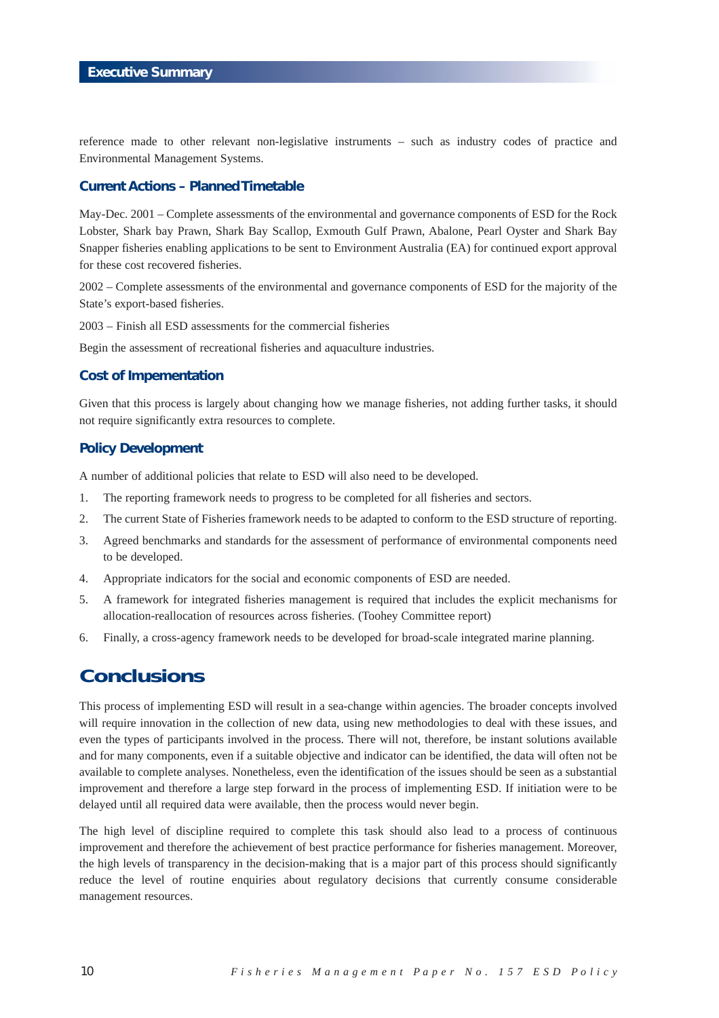reference made to other relevant non-legislative instruments – such as industry codes of practice and Environmental Management Systems.

#### **Current Actions – Planned Timetable**

May-Dec. 2001 – Complete assessments of the environmental and governance components of ESD for the Rock Lobster, Shark bay Prawn, Shark Bay Scallop, Exmouth Gulf Prawn, Abalone, Pearl Oyster and Shark Bay Snapper fisheries enabling applications to be sent to Environment Australia (EA) for continued export approval for these cost recovered fisheries.

2002 – Complete assessments of the environmental and governance components of ESD for the majority of the State's export-based fisheries.

2003 – Finish all ESD assessments for the commercial fisheries

Begin the assessment of recreational fisheries and aquaculture industries.

### **Cost of Impementation**

Given that this process is largely about changing how we manage fisheries, not adding further tasks, it should not require significantly extra resources to complete.

### **Policy Development**

A number of additional policies that relate to ESD will also need to be developed.

- 1. The reporting framework needs to progress to be completed for all fisheries and sectors.
- 2. The current State of Fisheries framework needs to be adapted to conform to the ESD structure of reporting.
- 3. Agreed benchmarks and standards for the assessment of performance of environmental components need to be developed.
- 4. Appropriate indicators for the social and economic components of ESD are needed.
- 5. A framework for integrated fisheries management is required that includes the explicit mechanisms for allocation-reallocation of resources across fisheries. (Toohey Committee report)
- 6. Finally, a cross-agency framework needs to be developed for broad-scale integrated marine planning.

# **Conclusions**

This process of implementing ESD will result in a sea-change within agencies. The broader concepts involved will require innovation in the collection of new data, using new methodologies to deal with these issues, and even the types of participants involved in the process. There will not, therefore, be instant solutions available and for many components, even if a suitable objective and indicator can be identified, the data will often not be available to complete analyses. Nonetheless, even the identification of the issues should be seen as a substantial improvement and therefore a large step forward in the process of implementing ESD. If initiation were to be delayed until all required data were available, then the process would never begin.

The high level of discipline required to complete this task should also lead to a process of continuous improvement and therefore the achievement of best practice performance for fisheries management. Moreover, the high levels of transparency in the decision-making that is a major part of this process should significantly reduce the level of routine enquiries about regulatory decisions that currently consume considerable management resources.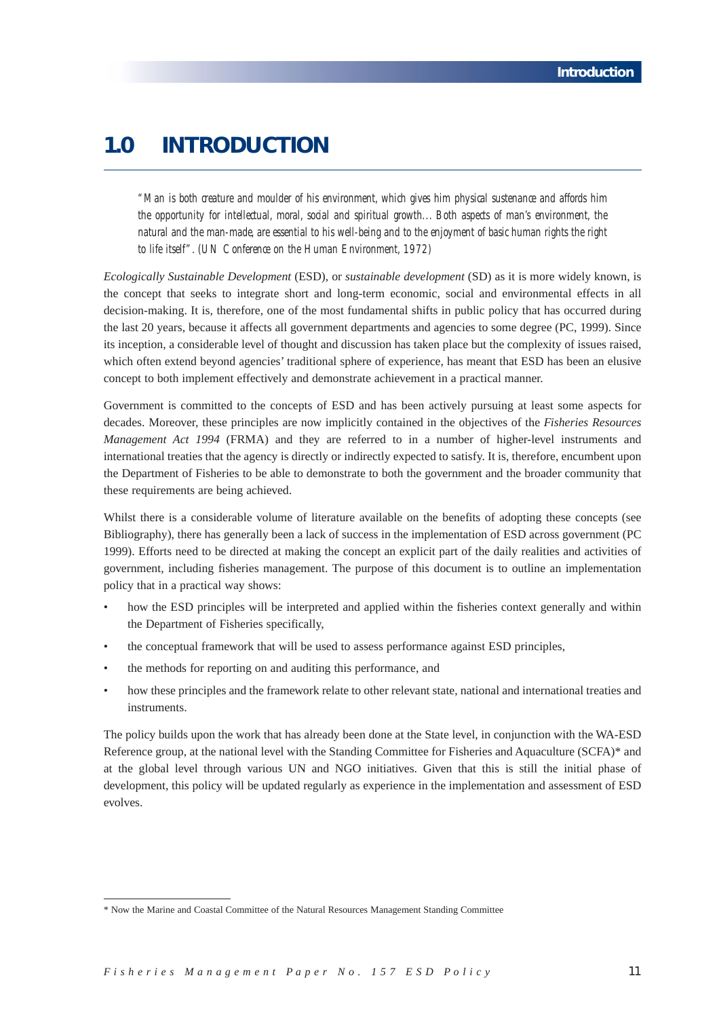# **1.0 INTRODUCTION**

*"Man is both creature and moulder of his environment, which gives him physical sustenance and affords him the opportunity for intellectual, moral, social and spiritual growth... Both aspects of man's environment, the natural and the man-made, are essential to his well-being and to the enjoyment of basic human rights the right to life itself". (UN Conference on the Human Environment, 1972)*

*Ecologically Sustainable Development* (ESD), or *sustainable development* (SD) as it is more widely known, is the concept that seeks to integrate short and long-term economic, social and environmental effects in all decision-making. It is, therefore, one of the most fundamental shifts in public policy that has occurred during the last 20 years, because it affects all government departments and agencies to some degree (PC, 1999). Since its inception, a considerable level of thought and discussion has taken place but the complexity of issues raised, which often extend beyond agencies' traditional sphere of experience, has meant that ESD has been an elusive concept to both implement effectively and demonstrate achievement in a practical manner.

Government is committed to the concepts of ESD and has been actively pursuing at least some aspects for decades. Moreover, these principles are now implicitly contained in the objectives of the *Fisheries Resources Management Act 1994* (FRMA) and they are referred to in a number of higher-level instruments and international treaties that the agency is directly or indirectly expected to satisfy. It is, therefore, encumbent upon the Department of Fisheries to be able to demonstrate to both the government and the broader community that these requirements are being achieved.

Whilst there is a considerable volume of literature available on the benefits of adopting these concepts (see Bibliography), there has generally been a lack of success in the implementation of ESD across government (PC 1999). Efforts need to be directed at making the concept an explicit part of the daily realities and activities of government, including fisheries management. The purpose of this document is to outline an implementation policy that in a practical way shows:

- how the ESD principles will be interpreted and applied within the fisheries context generally and within the Department of Fisheries specifically,
- the conceptual framework that will be used to assess performance against ESD principles,
- the methods for reporting on and auditing this performance, and
- how these principles and the framework relate to other relevant state, national and international treaties and instruments.

The policy builds upon the work that has already been done at the State level, in conjunction with the WA-ESD Reference group, at the national level with the Standing Committee for Fisheries and Aquaculture (SCFA)\* and at the global level through various UN and NGO initiatives. Given that this is still the initial phase of development, this policy will be updated regularly as experience in the implementation and assessment of ESD evolves.

<sup>\*</sup> Now the Marine and Coastal Committee of the Natural Resources Management Standing Committee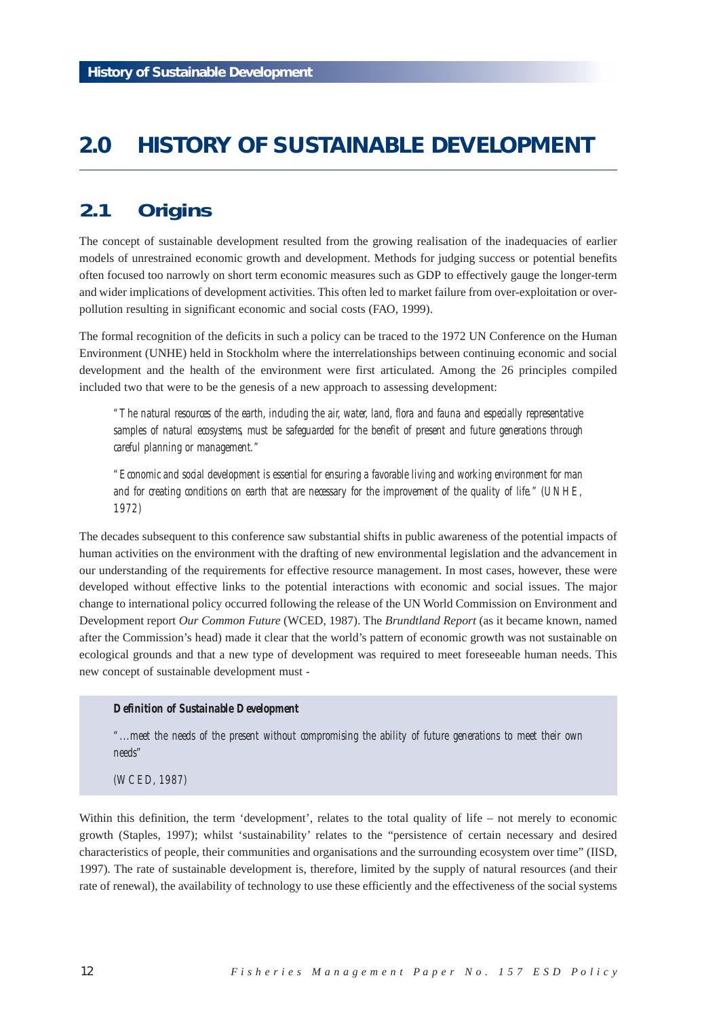# **2.0 HISTORY OF SUSTAINABLE DEVELOPMENT**

# **2.1 Origins**

The concept of sustainable development resulted from the growing realisation of the inadequacies of earlier models of unrestrained economic growth and development. Methods for judging success or potential benefits often focused too narrowly on short term economic measures such as GDP to effectively gauge the longer-term and wider implications of development activities. This often led to market failure from over-exploitation or overpollution resulting in significant economic and social costs (FAO, 1999).

The formal recognition of the deficits in such a policy can be traced to the 1972 UN Conference on the Human Environment (UNHE) held in Stockholm where the interrelationships between continuing economic and social development and the health of the environment were first articulated. Among the 26 principles compiled included two that were to be the genesis of a new approach to assessing development:

*"The natural resources of the earth, including the air, water, land, flora and fauna and especially representative samples of natural ecosystems, must be safeguarded for the benefit of present and future generations through careful planning or management."*

*"Economic and social development is essential for ensuring a favorable living and working environment for man and for creating conditions on earth that are necessary for the improvement of the quality of life." (UNHE, 1972)*

The decades subsequent to this conference saw substantial shifts in public awareness of the potential impacts of human activities on the environment with the drafting of new environmental legislation and the advancement in our understanding of the requirements for effective resource management. In most cases, however, these were developed without effective links to the potential interactions with economic and social issues. The major change to international policy occurred following the release of the UN World Commission on Environment and Development report *Our Common Future* (WCED, 1987). The *Brundtland Report* (as it became known, named after the Commission's head) made it clear that the world's pattern of economic growth was not sustainable on ecological grounds and that a new type of development was required to meet foreseeable human needs. This new concept of sustainable development must -

### *Definition of Sustainable Development*

*"...meet the needs of the present without compromising the ability of future generations to meet their own needs"*

*(WCED, 1987)*

Within this definition, the term 'development', relates to the total quality of life – not merely to economic growth (Staples, 1997); whilst 'sustainability' relates to the "persistence of certain necessary and desired characteristics of people, their communities and organisations and the surrounding ecosystem over time" (IISD, 1997). The rate of sustainable development is, therefore, limited by the supply of natural resources (and their rate of renewal), the availability of technology to use these efficiently and the effectiveness of the social systems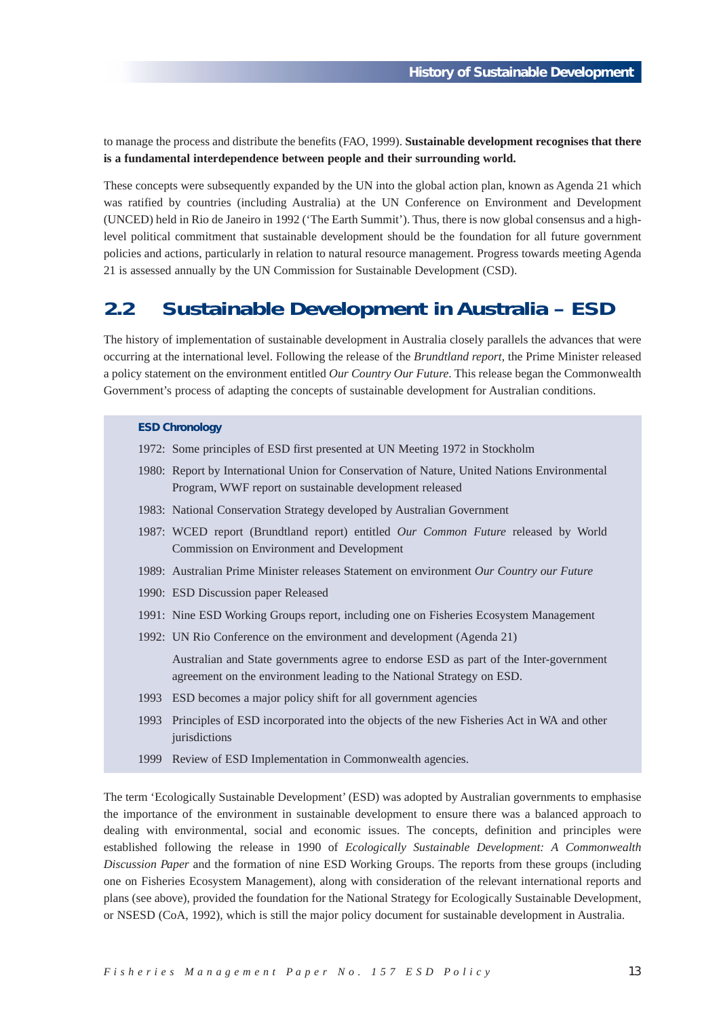to manage the process and distribute the benefits (FAO, 1999). **Sustainable development recognises that there is a fundamental interdependence between people and their surrounding world.**

These concepts were subsequently expanded by the UN into the global action plan, known as Agenda 21 which was ratified by countries (including Australia) at the UN Conference on Environment and Development (UNCED) held in Rio de Janeiro in 1992 ('The Earth Summit'). Thus, there is now global consensus and a highlevel political commitment that sustainable development should be the foundation for all future government policies and actions, particularly in relation to natural resource management. Progress towards meeting Agenda 21 is assessed annually by the UN Commission for Sustainable Development (CSD).

# **2.2 Sustainable Development in Australia – ESD**

The history of implementation of sustainable development in Australia closely parallels the advances that were occurring at the international level. Following the release of the *Brundtland report*, the Prime Minister released a policy statement on the environment entitled *Our Country Our Future*. This release began the Commonwealth Government's process of adapting the concepts of sustainable development for Australian conditions.

#### **ESD Chronology**

- 1972: Some principles of ESD first presented at UN Meeting 1972 in Stockholm
- 1980: Report by International Union for Conservation of Nature, United Nations Environmental Program, WWF report on sustainable development released
- 1983: National Conservation Strategy developed by Australian Government
- 1987: WCED report (Brundtland report) entitled *Our Common Future* released by World Commission on Environment and Development
- 1989: Australian Prime Minister releases Statement on environment *Our Country our Future*
- 1990: ESD Discussion paper Released
- 1991: Nine ESD Working Groups report, including one on Fisheries Ecosystem Management
- 1992: UN Rio Conference on the environment and development (Agenda 21)

Australian and State governments agree to endorse ESD as part of the Inter-government agreement on the environment leading to the National Strategy on ESD.

- 1993 ESD becomes a major policy shift for all government agencies
- 1993 Principles of ESD incorporated into the objects of the new Fisheries Act in WA and other jurisdictions
- 1999 Review of ESD Implementation in Commonwealth agencies.

The term 'Ecologically Sustainable Development' (ESD) was adopted by Australian governments to emphasise the importance of the environment in sustainable development to ensure there was a balanced approach to dealing with environmental, social and economic issues. The concepts, definition and principles were established following the release in 1990 of *Ecologically Sustainable Development: A Commonwealth Discussion Paper* and the formation of nine ESD Working Groups. The reports from these groups (including one on Fisheries Ecosystem Management), along with consideration of the relevant international reports and plans (see above), provided the foundation for the National Strategy for Ecologically Sustainable Development, or NSESD (CoA, 1992), which is still the major policy document for sustainable development in Australia.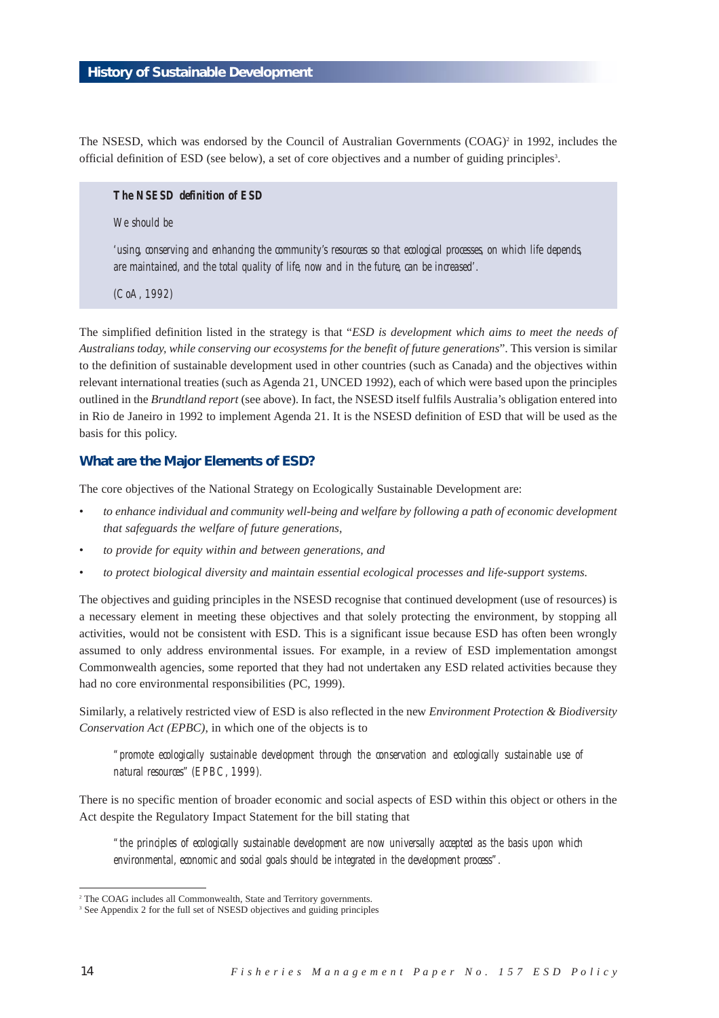The NSESD, which was endorsed by the Council of Australian Governments  $(COAG)^2$  in 1992, includes the official definition of ESD (see below), a set of core objectives and a number of guiding principles<sup>3</sup>.

### *The NSESD definition of ESD*

## *We should be*

*'using, conserving and enhancing the community's resources so that ecological processes, on which life depends, are maintained, and the total quality of life, now and in the future, can be increased'.*

*(CoA, 1992)*

The simplified definition listed in the strategy is that "*ESD is development which aims to meet the needs of Australians today, while conserving our ecosystems for the benefit of future generations*". This version is similar to the definition of sustainable development used in other countries (such as Canada) and the objectives within relevant international treaties (such as Agenda 21, UNCED 1992), each of which were based upon the principles outlined in the *Brundtland report* (see above). In fact, the NSESD itself fulfils Australia's obligation entered into in Rio de Janeiro in 1992 to implement Agenda 21. It is the NSESD definition of ESD that will be used as the basis for this policy.

#### **What are the Major Elements of ESD?**

The core objectives of the National Strategy on Ecologically Sustainable Development are:

- *to enhance individual and community well-being and welfare by following a path of economic development that safeguards the welfare of future generations,*
- *to provide for equity within and between generations, and*
- *to protect biological diversity and maintain essential ecological processes and life-support systems.*

The objectives and guiding principles in the NSESD recognise that continued development (use of resources) is a necessary element in meeting these objectives and that solely protecting the environment, by stopping all activities, would not be consistent with ESD. This is a significant issue because ESD has often been wrongly assumed to only address environmental issues. For example, in a review of ESD implementation amongst Commonwealth agencies, some reported that they had not undertaken any ESD related activities because they had no core environmental responsibilities (PC, 1999).

Similarly, a relatively restricted view of ESD is also reflected in the new *Environment Protection & Biodiversity Conservation Act (EPBC)*, in which one of the objects is to

*"promote ecologically sustainable development through the conservation and ecologically sustainable use of natural resources" (EPBC, 1999).*

There is no specific mention of broader economic and social aspects of ESD within this object or others in the Act despite the Regulatory Impact Statement for the bill stating that

*"the principles of ecologically sustainable development are now universally accepted as the basis upon which environmental, economic and social goals should be integrated in the development process".*

<sup>&</sup>lt;sup>2</sup> The COAG includes all Commonwealth, State and Territory governments.

<sup>&</sup>lt;sup>3</sup> See Appendix 2 for the full set of NSESD objectives and guiding principles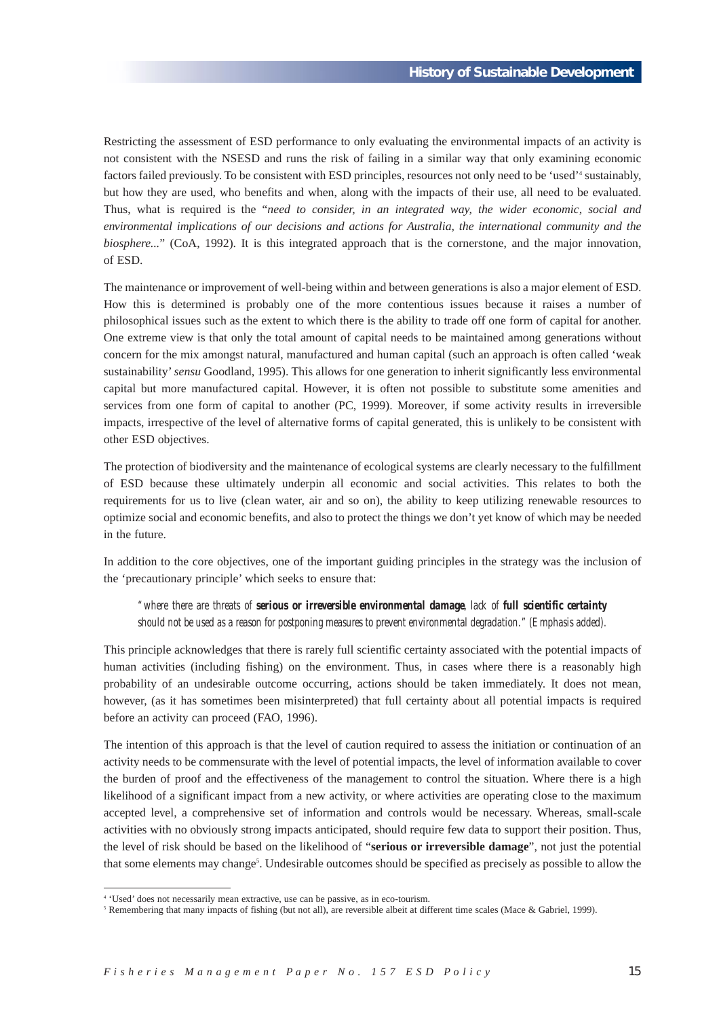Restricting the assessment of ESD performance to only evaluating the environmental impacts of an activity is not consistent with the NSESD and runs the risk of failing in a similar way that only examining economic factors failed previously. To be consistent with ESD principles, resources not only need to be 'used'<sup>4</sup> sustainably, but how they are used, who benefits and when, along with the impacts of their use, all need to be evaluated. Thus, what is required is the "*need to consider, in an integrated way, the wider economic, social and environmental implications of our decisions and actions for Australia, the international community and the biosphere...*" (CoA, 1992). It is this integrated approach that is the cornerstone, and the major innovation, of ESD.

The maintenance or improvement of well-being within and between generations is also a major element of ESD. How this is determined is probably one of the more contentious issues because it raises a number of philosophical issues such as the extent to which there is the ability to trade off one form of capital for another. One extreme view is that only the total amount of capital needs to be maintained among generations without concern for the mix amongst natural, manufactured and human capital (such an approach is often called 'weak sustainability'*sensu* Goodland, 1995). This allows for one generation to inherit significantly less environmental capital but more manufactured capital. However, it is often not possible to substitute some amenities and services from one form of capital to another (PC, 1999). Moreover, if some activity results in irreversible impacts, irrespective of the level of alternative forms of capital generated, this is unlikely to be consistent with other ESD objectives.

The protection of biodiversity and the maintenance of ecological systems are clearly necessary to the fulfillment of ESD because these ultimately underpin all economic and social activities. This relates to both the requirements for us to live (clean water, air and so on), the ability to keep utilizing renewable resources to optimize social and economic benefits, and also to protect the things we don't yet know of which may be needed in the future.

In addition to the core objectives, one of the important guiding principles in the strategy was the inclusion of the 'precautionary principle' which seeks to ensure that:

*"where there are threats of serious or irreversible environmental damage, lack of full scientific certainty should not be used as a reason for postponing measures to prevent environmental degradation." (Emphasis added).*

This principle acknowledges that there is rarely full scientific certainty associated with the potential impacts of human activities (including fishing) on the environment. Thus, in cases where there is a reasonably high probability of an undesirable outcome occurring, actions should be taken immediately. It does not mean, however, (as it has sometimes been misinterpreted) that full certainty about all potential impacts is required before an activity can proceed (FAO, 1996).

The intention of this approach is that the level of caution required to assess the initiation or continuation of an activity needs to be commensurate with the level of potential impacts, the level of information available to cover the burden of proof and the effectiveness of the management to control the situation. Where there is a high likelihood of a significant impact from a new activity, or where activities are operating close to the maximum accepted level, a comprehensive set of information and controls would be necessary. Whereas, small-scale activities with no obviously strong impacts anticipated, should require few data to support their position. Thus, the level of risk should be based on the likelihood of "**serious or irreversible damage**", not just the potential that some elements may change<sup>5</sup>. Undesirable outcomes should be specified as precisely as possible to allow the

<sup>4</sup> 'Used' does not necessarily mean extractive, use can be passive, as in eco-tourism.

<sup>&</sup>lt;sup>5</sup> Remembering that many impacts of fishing (but not all), are reversible albeit at different time scales (Mace & Gabriel, 1999).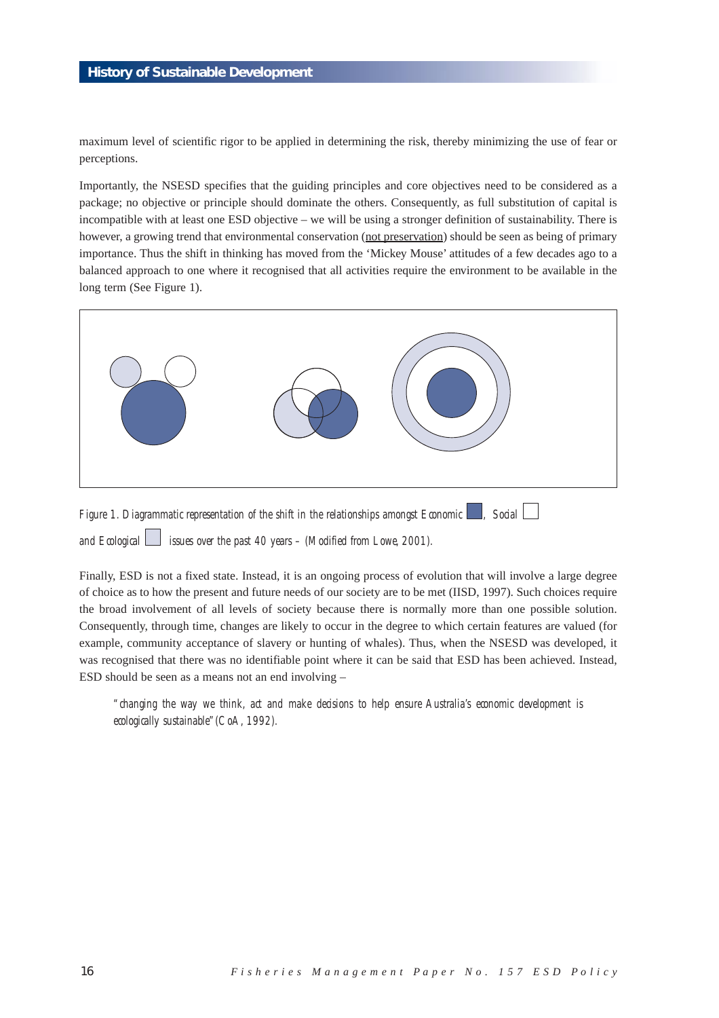maximum level of scientific rigor to be applied in determining the risk, thereby minimizing the use of fear or perceptions.

Importantly, the NSESD specifies that the guiding principles and core objectives need to be considered as a package; no objective or principle should dominate the others. Consequently, as full substitution of capital is incompatible with at least one ESD objective – we will be using a stronger definition of sustainability. There is however, a growing trend that environmental conservation (not preservation) should be seen as being of primary importance. Thus the shift in thinking has moved from the 'Mickey Mouse' attitudes of a few decades ago to a balanced approach to one where it recognised that all activities require the environment to be available in the long term (See Figure 1).



and Ecological issues over the past 40 years – (Modified from Lowe, 2001).

Finally, ESD is not a fixed state. Instead, it is an ongoing process of evolution that will involve a large degree of choice as to how the present and future needs of our society are to be met (IISD, 1997). Such choices require the broad involvement of all levels of society because there is normally more than one possible solution. Consequently, through time, changes are likely to occur in the degree to which certain features are valued (for example, community acceptance of slavery or hunting of whales). Thus, when the NSESD was developed, it was recognised that there was no identifiable point where it can be said that ESD has been achieved. Instead, ESD should be seen as a means not an end involving –

*"changing the way we think, act and make decisions to help ensure Australia's economic development is ecologically sustainable"(CoA, 1992).*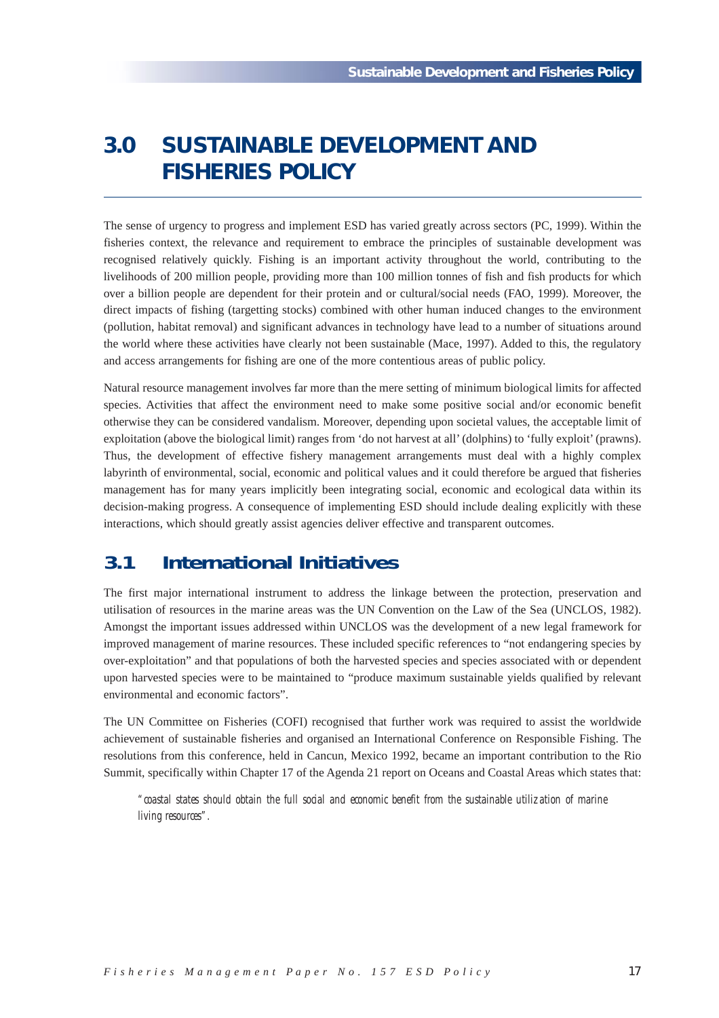# **3.0 SUSTAINABLE DEVELOPMENT AND FISHERIES POLICY**

The sense of urgency to progress and implement ESD has varied greatly across sectors (PC, 1999). Within the fisheries context, the relevance and requirement to embrace the principles of sustainable development was recognised relatively quickly. Fishing is an important activity throughout the world, contributing to the livelihoods of 200 million people, providing more than 100 million tonnes of fish and fish products for which over a billion people are dependent for their protein and or cultural/social needs (FAO, 1999). Moreover, the direct impacts of fishing (targetting stocks) combined with other human induced changes to the environment (pollution, habitat removal) and significant advances in technology have lead to a number of situations around the world where these activities have clearly not been sustainable (Mace, 1997). Added to this, the regulatory and access arrangements for fishing are one of the more contentious areas of public policy.

Natural resource management involves far more than the mere setting of minimum biological limits for affected species. Activities that affect the environment need to make some positive social and/or economic benefit otherwise they can be considered vandalism. Moreover, depending upon societal values, the acceptable limit of exploitation (above the biological limit) ranges from 'do not harvest at all' (dolphins) to 'fully exploit' (prawns). Thus, the development of effective fishery management arrangements must deal with a highly complex labyrinth of environmental, social, economic and political values and it could therefore be argued that fisheries management has for many years implicitly been integrating social, economic and ecological data within its decision-making progress. A consequence of implementing ESD should include dealing explicitly with these interactions, which should greatly assist agencies deliver effective and transparent outcomes.

# **3.1 International Initiatives**

The first major international instrument to address the linkage between the protection, preservation and utilisation of resources in the marine areas was the UN Convention on the Law of the Sea (UNCLOS, 1982). Amongst the important issues addressed within UNCLOS was the development of a new legal framework for improved management of marine resources. These included specific references to "not endangering species by over-exploitation" and that populations of both the harvested species and species associated with or dependent upon harvested species were to be maintained to "produce maximum sustainable yields qualified by relevant environmental and economic factors".

The UN Committee on Fisheries (COFI) recognised that further work was required to assist the worldwide achievement of sustainable fisheries and organised an International Conference on Responsible Fishing. The resolutions from this conference, held in Cancun, Mexico 1992, became an important contribution to the Rio Summit, specifically within Chapter 17 of the Agenda 21 report on Oceans and Coastal Areas which states that:

*"coastal states should obtain the full social and economic benefit from the sustainable utilization of marine living resources".*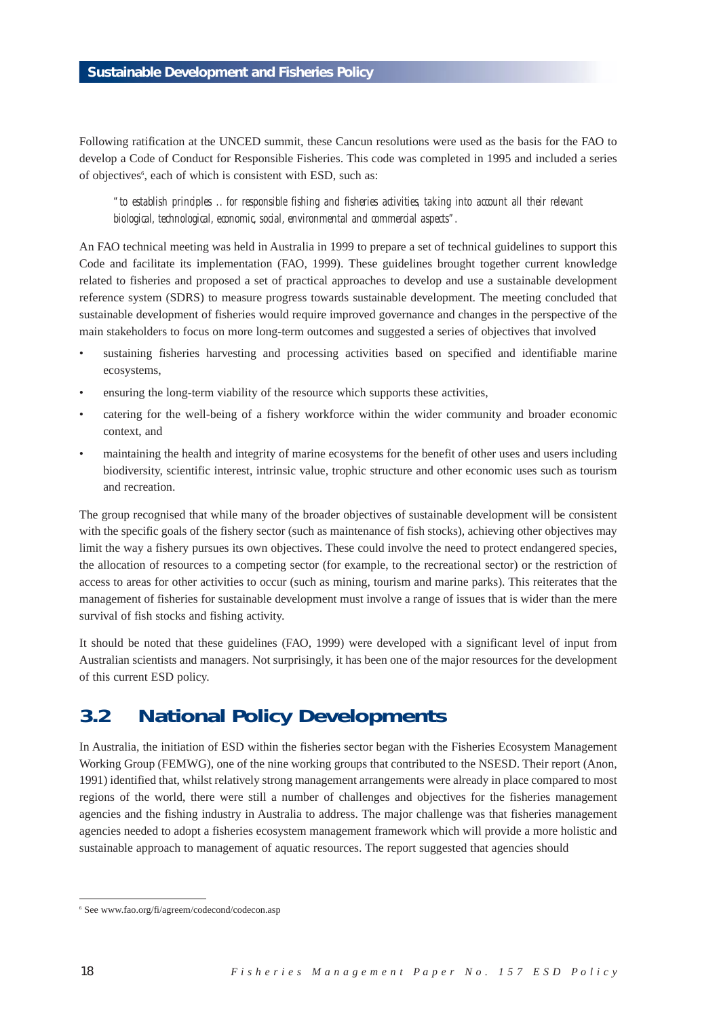Following ratification at the UNCED summit, these Cancun resolutions were used as the basis for the FAO to develop a Code of Conduct for Responsible Fisheries. This code was completed in 1995 and included a series of objectives<sup>6</sup>, each of which is consistent with ESD, such as:

*"to establish principles .. for responsible fishing and fisheries activities, taking into account all their relevant biological, technological, economic, social, environmental and commercial aspects".*

An FAO technical meeting was held in Australia in 1999 to prepare a set of technical guidelines to support this Code and facilitate its implementation (FAO, 1999). These guidelines brought together current knowledge related to fisheries and proposed a set of practical approaches to develop and use a sustainable development reference system (SDRS) to measure progress towards sustainable development. The meeting concluded that sustainable development of fisheries would require improved governance and changes in the perspective of the main stakeholders to focus on more long-term outcomes and suggested a series of objectives that involved

- sustaining fisheries harvesting and processing activities based on specified and identifiable marine ecosystems,
- ensuring the long-term viability of the resource which supports these activities,
- catering for the well-being of a fishery workforce within the wider community and broader economic context, and
- maintaining the health and integrity of marine ecosystems for the benefit of other uses and users including biodiversity, scientific interest, intrinsic value, trophic structure and other economic uses such as tourism and recreation.

The group recognised that while many of the broader objectives of sustainable development will be consistent with the specific goals of the fishery sector (such as maintenance of fish stocks), achieving other objectives may limit the way a fishery pursues its own objectives. These could involve the need to protect endangered species, the allocation of resources to a competing sector (for example, to the recreational sector) or the restriction of access to areas for other activities to occur (such as mining, tourism and marine parks). This reiterates that the management of fisheries for sustainable development must involve a range of issues that is wider than the mere survival of fish stocks and fishing activity.

It should be noted that these guidelines (FAO, 1999) were developed with a significant level of input from Australian scientists and managers. Not surprisingly, it has been one of the major resources for the development of this current ESD policy.

# **3.2 National Policy Developments**

In Australia, the initiation of ESD within the fisheries sector began with the Fisheries Ecosystem Management Working Group (FEMWG), one of the nine working groups that contributed to the NSESD. Their report (Anon, 1991) identified that, whilst relatively strong management arrangements were already in place compared to most regions of the world, there were still a number of challenges and objectives for the fisheries management agencies and the fishing industry in Australia to address. The major challenge was that fisheries management agencies needed to adopt a fisheries ecosystem management framework which will provide a more holistic and sustainable approach to management of aquatic resources. The report suggested that agencies should

<sup>6</sup> See www.fao.org/fi/agreem/codecond/codecon.asp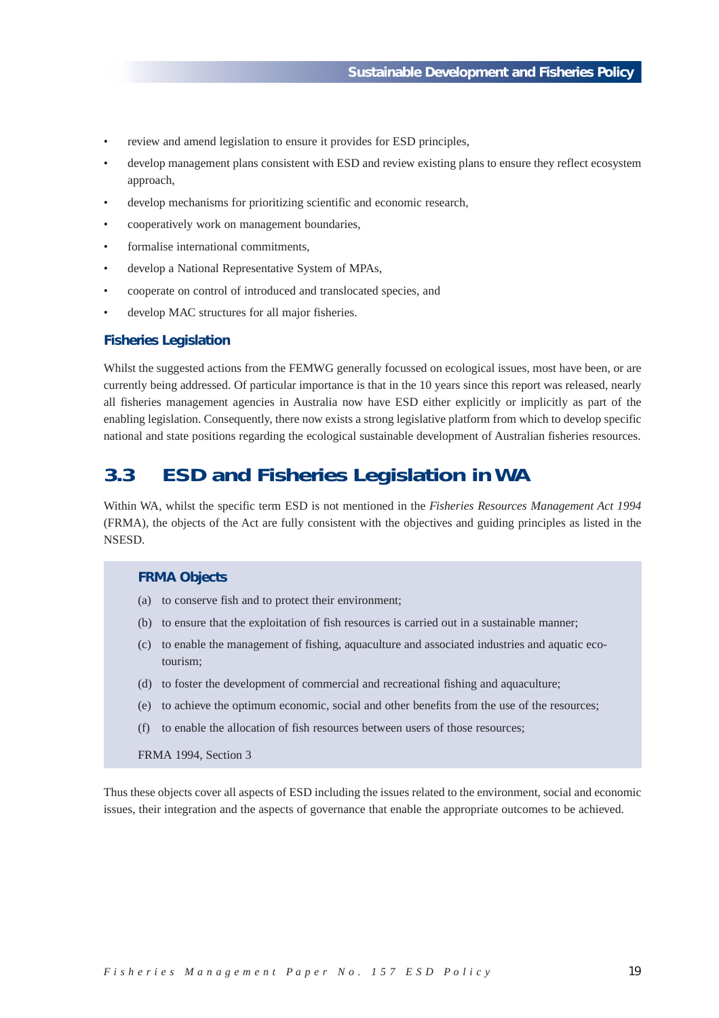- review and amend legislation to ensure it provides for ESD principles,
- develop management plans consistent with ESD and review existing plans to ensure they reflect ecosystem approach,
- develop mechanisms for prioritizing scientific and economic research,
- cooperatively work on management boundaries,
- formalise international commitments.
- develop a National Representative System of MPAs,
- cooperate on control of introduced and translocated species, and
- develop MAC structures for all major fisheries.

## **Fisheries Legislation**

Whilst the suggested actions from the FEMWG generally focussed on ecological issues, most have been, or are currently being addressed. Of particular importance is that in the 10 years since this report was released, nearly all fisheries management agencies in Australia now have ESD either explicitly or implicitly as part of the enabling legislation. Consequently, there now exists a strong legislative platform from which to develop specific national and state positions regarding the ecological sustainable development of Australian fisheries resources.

# **3.3 ESD and Fisheries Legislation in WA**

Within WA, whilst the specific term ESD is not mentioned in the *Fisheries Resources Management Act 1994* (FRMA), the objects of the Act are fully consistent with the objectives and guiding principles as listed in the NSESD.

### **FRMA Objects**

- (a) to conserve fish and to protect their environment;
- (b) to ensure that the exploitation of fish resources is carried out in a sustainable manner;
- (c) to enable the management of fishing, aquaculture and associated industries and aquatic ecotourism;
- (d) to foster the development of commercial and recreational fishing and aquaculture;
- (e) to achieve the optimum economic, social and other benefits from the use of the resources;
- (f) to enable the allocation of fish resources between users of those resources;

FRMA 1994, Section 3

Thus these objects cover all aspects of ESD including the issues related to the environment, social and economic issues, their integration and the aspects of governance that enable the appropriate outcomes to be achieved.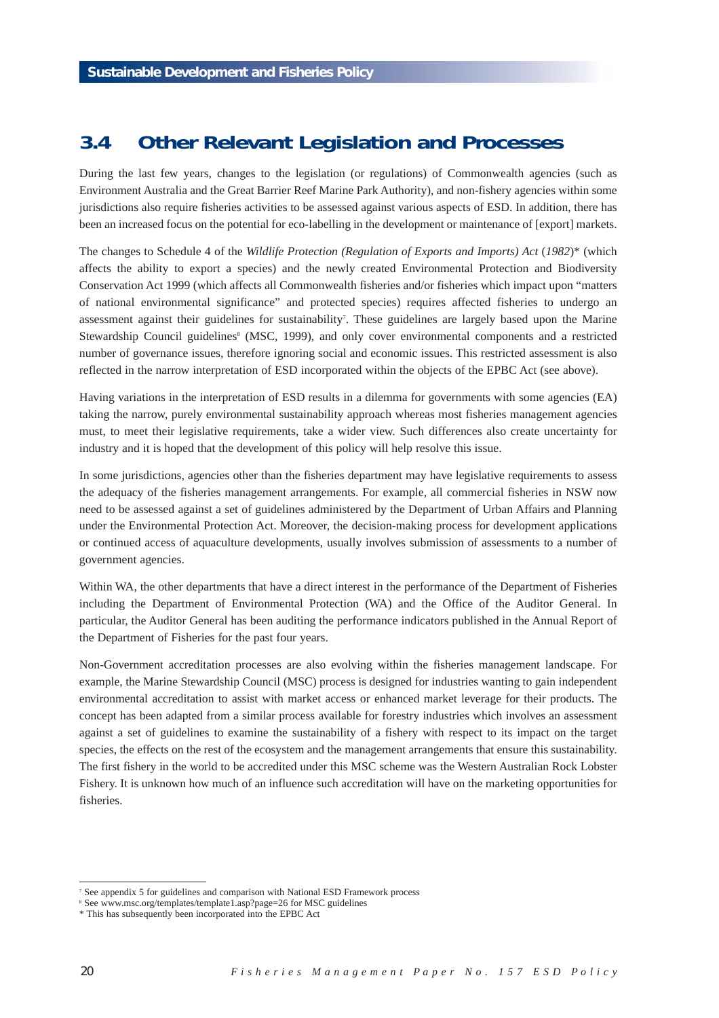# **3.4 Other Relevant Legislation and Processes**

During the last few years, changes to the legislation (or regulations) of Commonwealth agencies (such as Environment Australia and the Great Barrier Reef Marine Park Authority), and non-fishery agencies within some jurisdictions also require fisheries activities to be assessed against various aspects of ESD. In addition, there has been an increased focus on the potential for eco-labelling in the development or maintenance of [export] markets.

The changes to Schedule 4 of the *Wildlife Protection (Regulation of Exports and Imports) Act (1982)*\* (which affects the ability to export a species) and the newly created Environmental Protection and Biodiversity Conservation Act 1999 (which affects all Commonwealth fisheries and/or fisheries which impact upon "matters of national environmental significance" and protected species) requires affected fisheries to undergo an assessment against their guidelines for sustainability<sup>7</sup>. These guidelines are largely based upon the Marine Stewardship Council guidelines<sup>8</sup> (MSC, 1999), and only cover environmental components and a restricted number of governance issues, therefore ignoring social and economic issues. This restricted assessment is also reflected in the narrow interpretation of ESD incorporated within the objects of the EPBC Act (see above).

Having variations in the interpretation of ESD results in a dilemma for governments with some agencies (EA) taking the narrow, purely environmental sustainability approach whereas most fisheries management agencies must, to meet their legislative requirements, take a wider view. Such differences also create uncertainty for industry and it is hoped that the development of this policy will help resolve this issue.

In some jurisdictions, agencies other than the fisheries department may have legislative requirements to assess the adequacy of the fisheries management arrangements. For example, all commercial fisheries in NSW now need to be assessed against a set of guidelines administered by the Department of Urban Affairs and Planning under the Environmental Protection Act. Moreover, the decision-making process for development applications or continued access of aquaculture developments, usually involves submission of assessments to a number of government agencies.

Within WA, the other departments that have a direct interest in the performance of the Department of Fisheries including the Department of Environmental Protection (WA) and the Office of the Auditor General. In particular, the Auditor General has been auditing the performance indicators published in the Annual Report of the Department of Fisheries for the past four years.

Non-Government accreditation processes are also evolving within the fisheries management landscape. For example, the Marine Stewardship Council (MSC) process is designed for industries wanting to gain independent environmental accreditation to assist with market access or enhanced market leverage for their products. The concept has been adapted from a similar process available for forestry industries which involves an assessment against a set of guidelines to examine the sustainability of a fishery with respect to its impact on the target species, the effects on the rest of the ecosystem and the management arrangements that ensure this sustainability. The first fishery in the world to be accredited under this MSC scheme was the Western Australian Rock Lobster Fishery. It is unknown how much of an influence such accreditation will have on the marketing opportunities for fisheries.

<sup>&</sup>lt;sup>7</sup> See appendix 5 for guidelines and comparison with National ESD Framework process

<sup>8</sup> See www.msc.org/templates/template1.asp?page=26 for MSC guidelines

<sup>\*</sup> This has subsequently been incorporated into the EPBC Act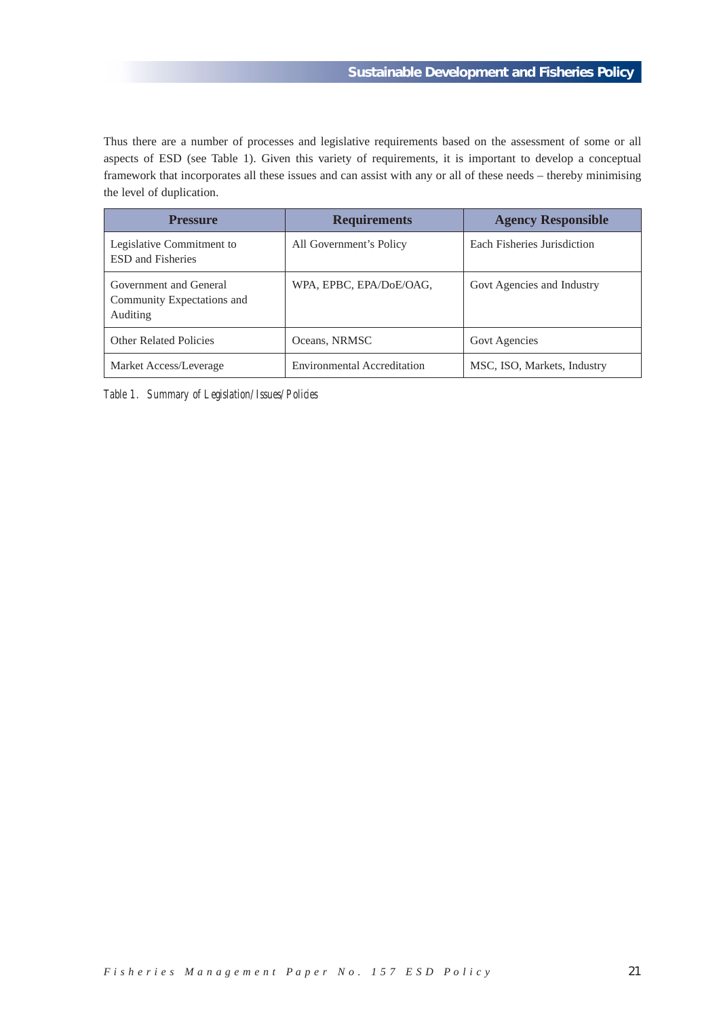Thus there are a number of processes and legislative requirements based on the assessment of some or all aspects of ESD (see Table 1). Given this variety of requirements, it is important to develop a conceptual framework that incorporates all these issues and can assist with any or all of these needs – thereby minimising the level of duplication.

| <b>Pressure</b>                                                  | <b>Requirements</b>                | <b>Agency Responsible</b>   |
|------------------------------------------------------------------|------------------------------------|-----------------------------|
| Legislative Commitment to<br><b>ESD</b> and Fisheries            | All Government's Policy            | Each Fisheries Jurisdiction |
| Government and General<br>Community Expectations and<br>Auditing | WPA, EPBC, EPA/DoE/OAG,            | Govt Agencies and Industry  |
| <b>Other Related Policies</b>                                    | Oceans, NRMSC                      | <b>Govt Agencies</b>        |
| Market Access/Leverage                                           | <b>Environmental Accreditation</b> | MSC, ISO, Markets, Industry |

*Table 1. Summary of Legislation/Issues/Policies*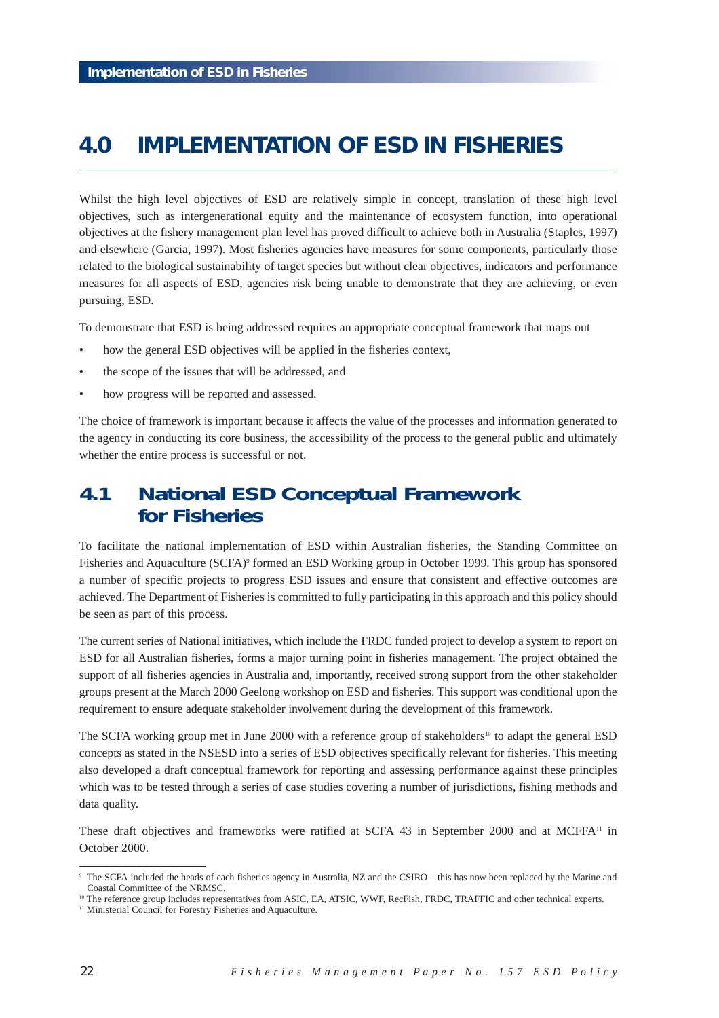# **4.0 IMPLEMENTATION OF ESD IN FISHERIES**

Whilst the high level objectives of ESD are relatively simple in concept, translation of these high level objectives, such as intergenerational equity and the maintenance of ecosystem function, into operational objectives at the fishery management plan level has proved difficult to achieve both in Australia (Staples, 1997) and elsewhere (Garcia, 1997). Most fisheries agencies have measures for some components, particularly those related to the biological sustainability of target species but without clear objectives, indicators and performance measures for all aspects of ESD, agencies risk being unable to demonstrate that they are achieving, or even pursuing, ESD.

To demonstrate that ESD is being addressed requires an appropriate conceptual framework that maps out

- how the general ESD objectives will be applied in the fisheries context,
- the scope of the issues that will be addressed, and
- how progress will be reported and assessed.

The choice of framework is important because it affects the value of the processes and information generated to the agency in conducting its core business, the accessibility of the process to the general public and ultimately whether the entire process is successful or not.

# **4.1 National ESD Conceptual Framework for Fisheries**

To facilitate the national implementation of ESD within Australian fisheries, the Standing Committee on Fisheries and Aquaculture (SCFA)<sup>9</sup> formed an ESD Working group in October 1999. This group has sponsored a number of specific projects to progress ESD issues and ensure that consistent and effective outcomes are achieved. The Department of Fisheries is committed to fully participating in this approach and this policy should be seen as part of this process.

The current series of National initiatives, which include the FRDC funded project to develop a system to report on ESD for all Australian fisheries, forms a major turning point in fisheries management. The project obtained the support of all fisheries agencies in Australia and, importantly, received strong support from the other stakeholder groups present at the March 2000 Geelong workshop on ESD and fisheries. This support was conditional upon the requirement to ensure adequate stakeholder involvement during the development of this framework.

The SCFA working group met in June 2000 with a reference group of stakeholders<sup>10</sup> to adapt the general ESD concepts as stated in the NSESD into a series of ESD objectives specifically relevant for fisheries. This meeting also developed a draft conceptual framework for reporting and assessing performance against these principles which was to be tested through a series of case studies covering a number of jurisdictions, fishing methods and data quality.

These draft objectives and frameworks were ratified at SCFA 43 in September 2000 and at MCFFA<sup>11</sup> in October 2000.

<sup>9</sup> The SCFA included the heads of each fisheries agency in Australia, NZ and the CSIRO – this has now been replaced by the Marine and Coastal Committee of the NRMSC.

<sup>&</sup>lt;sup>10</sup> The reference group includes representatives from ASIC, EA, ATSIC, WWF, RecFish, FRDC, TRAFFIC and other technical experts.

<sup>&</sup>lt;sup>11</sup> Ministerial Council for Forestry Fisheries and Aquaculture.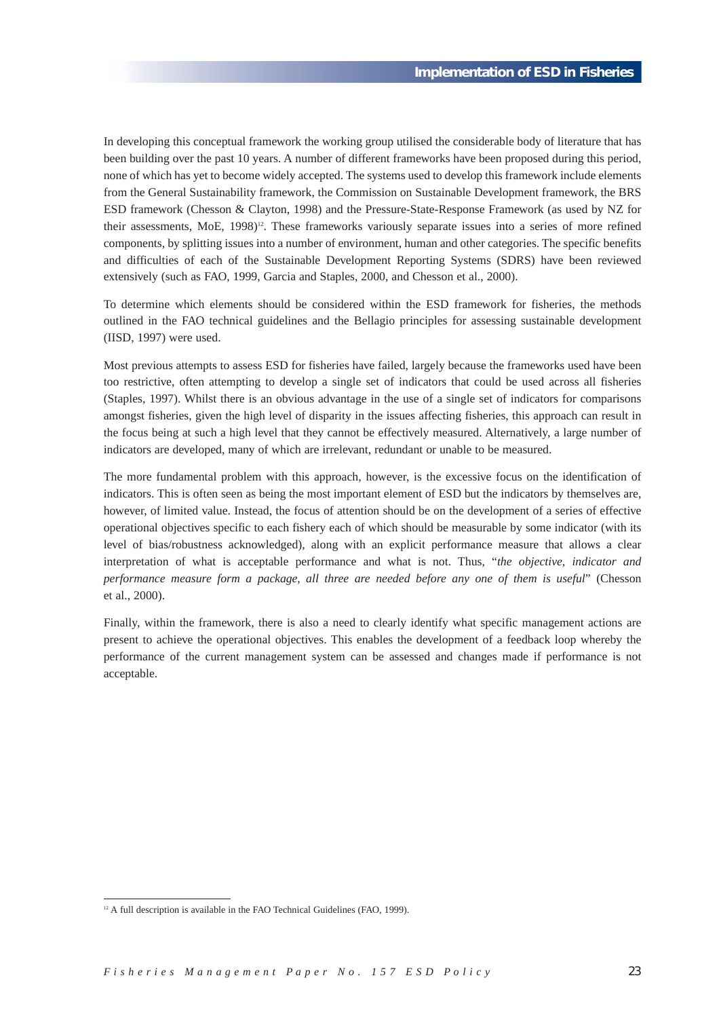In developing this conceptual framework the working group utilised the considerable body of literature that has been building over the past 10 years. A number of different frameworks have been proposed during this period, none of which has yet to become widely accepted. The systems used to develop this framework include elements from the General Sustainability framework, the Commission on Sustainable Development framework, the BRS ESD framework (Chesson & Clayton, 1998) and the Pressure-State-Response Framework (as used by NZ for their assessments, MoE, 1998)<sup>12</sup>. These frameworks variously separate issues into a series of more refined components, by splitting issues into a number of environment, human and other categories. The specific benefits and difficulties of each of the Sustainable Development Reporting Systems (SDRS) have been reviewed extensively (such as FAO, 1999, Garcia and Staples, 2000, and Chesson et al., 2000).

To determine which elements should be considered within the ESD framework for fisheries, the methods outlined in the FAO technical guidelines and the Bellagio principles for assessing sustainable development (IISD, 1997) were used.

Most previous attempts to assess ESD for fisheries have failed, largely because the frameworks used have been too restrictive, often attempting to develop a single set of indicators that could be used across all fisheries (Staples, 1997). Whilst there is an obvious advantage in the use of a single set of indicators for comparisons amongst fisheries, given the high level of disparity in the issues affecting fisheries, this approach can result in the focus being at such a high level that they cannot be effectively measured. Alternatively, a large number of indicators are developed, many of which are irrelevant, redundant or unable to be measured.

The more fundamental problem with this approach, however, is the excessive focus on the identification of indicators. This is often seen as being the most important element of ESD but the indicators by themselves are, however, of limited value. Instead, the focus of attention should be on the development of a series of effective operational objectives specific to each fishery each of which should be measurable by some indicator (with its level of bias/robustness acknowledged), along with an explicit performance measure that allows a clear interpretation of what is acceptable performance and what is not. Thus, "*the objective, indicator and performance measure form a package, all three are needed before any one of them is useful*" (Chesson et al., 2000).

Finally, within the framework, there is also a need to clearly identify what specific management actions are present to achieve the operational objectives. This enables the development of a feedback loop whereby the performance of the current management system can be assessed and changes made if performance is not acceptable.

<sup>&</sup>lt;sup>12</sup> A full description is available in the FAO Technical Guidelines (FAO, 1999).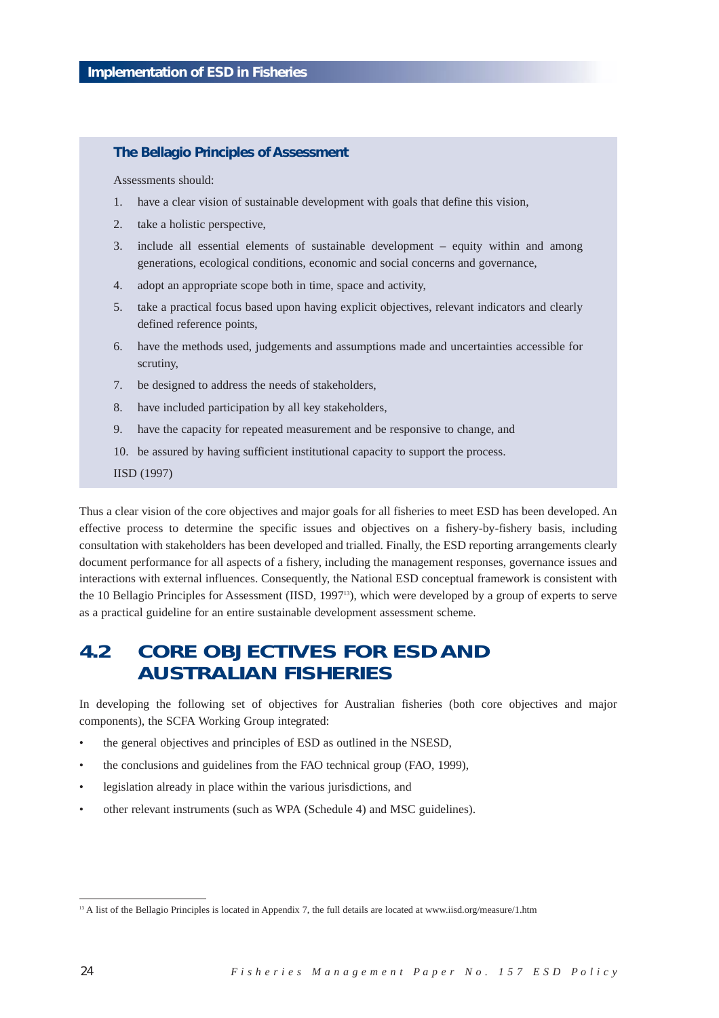## **The Bellagio Principles of Assessment**

Assessments should:

- 1. have a clear vision of sustainable development with goals that define this vision,
- 2. take a holistic perspective,
- 3. include all essential elements of sustainable development equity within and among generations, ecological conditions, economic and social concerns and governance,
- 4. adopt an appropriate scope both in time, space and activity,
- 5. take a practical focus based upon having explicit objectives, relevant indicators and clearly defined reference points,
- 6. have the methods used, judgements and assumptions made and uncertainties accessible for scrutiny,
- 7. be designed to address the needs of stakeholders,
- 8. have included participation by all key stakeholders,
- 9. have the capacity for repeated measurement and be responsive to change, and
- 10. be assured by having sufficient institutional capacity to support the process.

IISD (1997)

Thus a clear vision of the core objectives and major goals for all fisheries to meet ESD has been developed. An effective process to determine the specific issues and objectives on a fishery-by-fishery basis, including consultation with stakeholders has been developed and trialled. Finally, the ESD reporting arrangements clearly document performance for all aspects of a fishery, including the management responses, governance issues and interactions with external influences. Consequently, the National ESD conceptual framework is consistent with the 10 Bellagio Principles for Assessment (IISD, 199713), which were developed by a group of experts to serve as a practical guideline for an entire sustainable development assessment scheme.

# **4.2 CORE OBJECTIVES FOR ESD AND AUSTRALIAN FISHERIES**

In developing the following set of objectives for Australian fisheries (both core objectives and major components), the SCFA Working Group integrated:

- the general objectives and principles of ESD as outlined in the NSESD,
- the conclusions and guidelines from the FAO technical group (FAO, 1999),
- legislation already in place within the various jurisdictions, and
- other relevant instruments (such as WPA (Schedule 4) and MSC guidelines).

<sup>&</sup>lt;sup>13</sup> A list of the Bellagio Principles is located in Appendix 7, the full details are located at www.iisd.org/measure/1.htm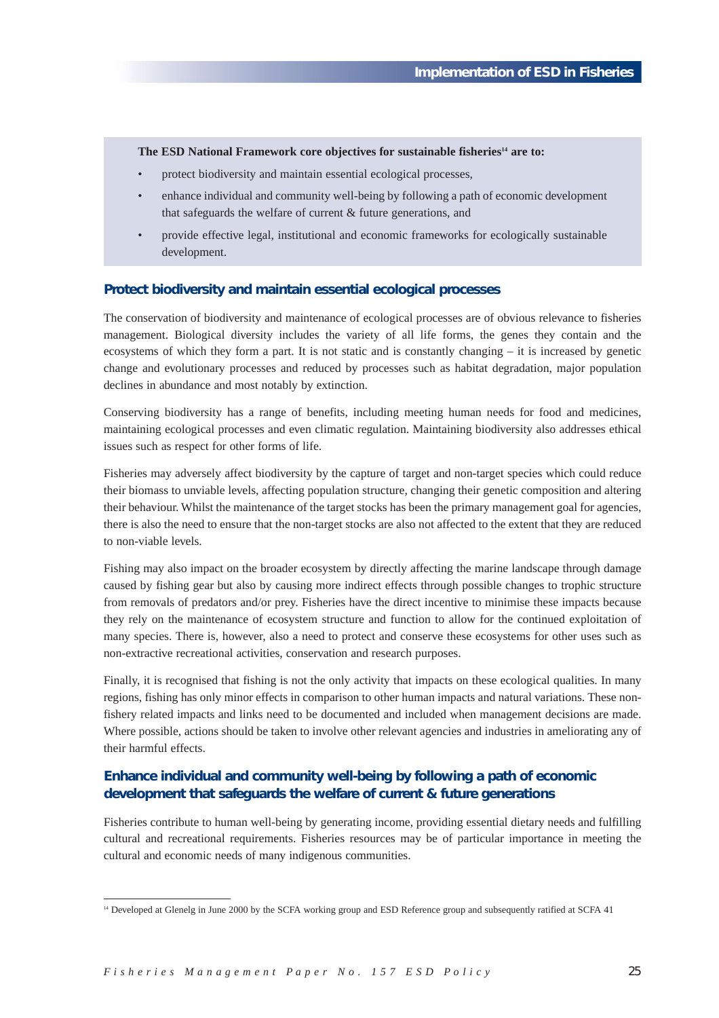The ESD National Framework core objectives for sustainable fisheries<sup>14</sup> are to:

- protect biodiversity and maintain essential ecological processes,
- enhance individual and community well-being by following a path of economic development that safeguards the welfare of current & future generations, and
- provide effective legal, institutional and economic frameworks for ecologically sustainable development.

## **Protect biodiversity and maintain essential ecological processes**

The conservation of biodiversity and maintenance of ecological processes are of obvious relevance to fisheries management. Biological diversity includes the variety of all life forms, the genes they contain and the ecosystems of which they form a part. It is not static and is constantly changing – it is increased by genetic change and evolutionary processes and reduced by processes such as habitat degradation, major population declines in abundance and most notably by extinction.

Conserving biodiversity has a range of benefits, including meeting human needs for food and medicines, maintaining ecological processes and even climatic regulation. Maintaining biodiversity also addresses ethical issues such as respect for other forms of life.

Fisheries may adversely affect biodiversity by the capture of target and non-target species which could reduce their biomass to unviable levels, affecting population structure, changing their genetic composition and altering their behaviour. Whilst the maintenance of the target stocks has been the primary management goal for agencies, there is also the need to ensure that the non-target stocks are also not affected to the extent that they are reduced to non-viable levels.

Fishing may also impact on the broader ecosystem by directly affecting the marine landscape through damage caused by fishing gear but also by causing more indirect effects through possible changes to trophic structure from removals of predators and/or prey. Fisheries have the direct incentive to minimise these impacts because they rely on the maintenance of ecosystem structure and function to allow for the continued exploitation of many species. There is, however, also a need to protect and conserve these ecosystems for other uses such as non-extractive recreational activities, conservation and research purposes.

Finally, it is recognised that fishing is not the only activity that impacts on these ecological qualities. In many regions, fishing has only minor effects in comparison to other human impacts and natural variations. These nonfishery related impacts and links need to be documented and included when management decisions are made. Where possible, actions should be taken to involve other relevant agencies and industries in ameliorating any of their harmful effects.

## **Enhance individual and community well-being by following a path of economic development that safeguards the welfare of current & future generations**

Fisheries contribute to human well-being by generating income, providing essential dietary needs and fulfilling cultural and recreational requirements. Fisheries resources may be of particular importance in meeting the cultural and economic needs of many indigenous communities.

<sup>&</sup>lt;sup>14</sup> Developed at Glenelg in June 2000 by the SCFA working group and ESD Reference group and subsequently ratified at SCFA 41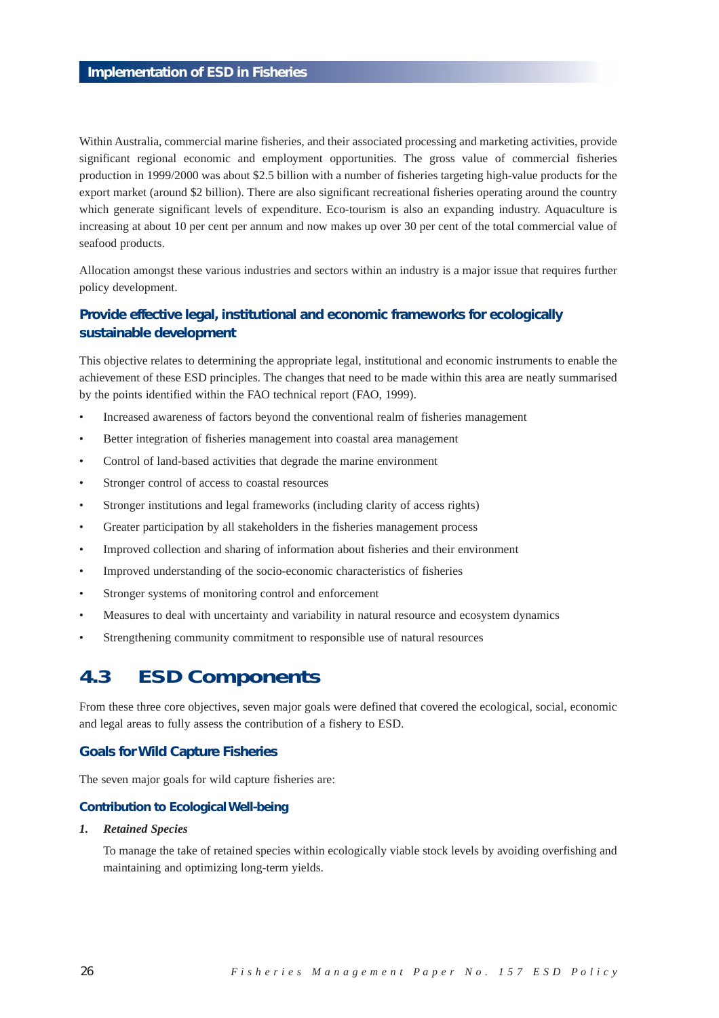Within Australia, commercial marine fisheries, and their associated processing and marketing activities, provide significant regional economic and employment opportunities. The gross value of commercial fisheries production in 1999/2000 was about \$2.5 billion with a number of fisheries targeting high-value products for the export market (around \$2 billion). There are also significant recreational fisheries operating around the country which generate significant levels of expenditure. Eco-tourism is also an expanding industry. Aquaculture is increasing at about 10 per cent per annum and now makes up over 30 per cent of the total commercial value of seafood products.

Allocation amongst these various industries and sectors within an industry is a major issue that requires further policy development.

## **Provide effective legal, institutional and economic frameworks for ecologically sustainable development**

This objective relates to determining the appropriate legal, institutional and economic instruments to enable the achievement of these ESD principles. The changes that need to be made within this area are neatly summarised by the points identified within the FAO technical report (FAO, 1999).

- Increased awareness of factors beyond the conventional realm of fisheries management
- Better integration of fisheries management into coastal area management
- Control of land-based activities that degrade the marine environment
- Stronger control of access to coastal resources
- Stronger institutions and legal frameworks (including clarity of access rights)
- Greater participation by all stakeholders in the fisheries management process
- Improved collection and sharing of information about fisheries and their environment
- Improved understanding of the socio-economic characteristics of fisheries
- Stronger systems of monitoring control and enforcement
- Measures to deal with uncertainty and variability in natural resource and ecosystem dynamics
- Strengthening community commitment to responsible use of natural resources

# **4.3 ESD Components**

From these three core objectives, seven major goals were defined that covered the ecological, social, economic and legal areas to fully assess the contribution of a fishery to ESD.

## **Goals for Wild Capture Fisheries**

The seven major goals for wild capture fisheries are:

#### **Contribution to Ecological Well-being**

## *1. Retained Species*

To manage the take of retained species within ecologically viable stock levels by avoiding overfishing and maintaining and optimizing long-term yields.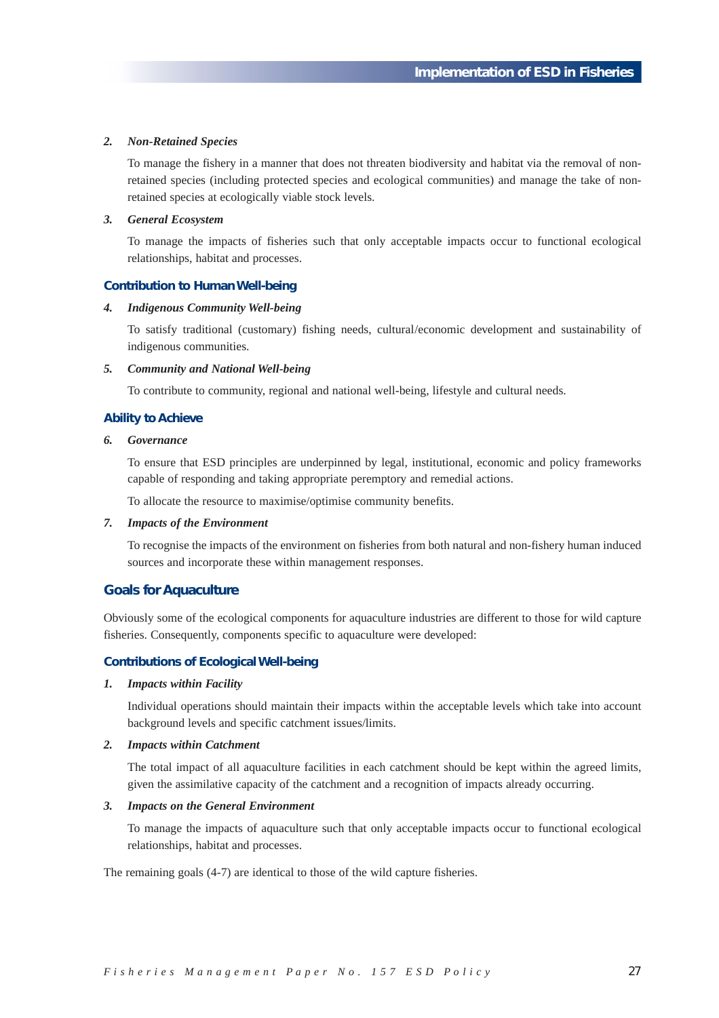#### *2. Non-Retained Species*

To manage the fishery in a manner that does not threaten biodiversity and habitat via the removal of nonretained species (including protected species and ecological communities) and manage the take of nonretained species at ecologically viable stock levels.

#### *3. General Ecosystem*

To manage the impacts of fisheries such that only acceptable impacts occur to functional ecological relationships, habitat and processes.

### **Contribution to Human Well-being**

#### *4. Indigenous Community Well-being*

To satisfy traditional (customary) fishing needs, cultural/economic development and sustainability of indigenous communities.

#### *5. Community and National Well-being*

To contribute to community, regional and national well-being, lifestyle and cultural needs.

### **Ability to Achieve**

#### *6. Governance*

To ensure that ESD principles are underpinned by legal, institutional, economic and policy frameworks capable of responding and taking appropriate peremptory and remedial actions.

To allocate the resource to maximise/optimise community benefits.

### *7. Impacts of the Environment*

To recognise the impacts of the environment on fisheries from both natural and non-fishery human induced sources and incorporate these within management responses.

### **Goals for Aquaculture**

Obviously some of the ecological components for aquaculture industries are different to those for wild capture fisheries. Consequently, components specific to aquaculture were developed:

### **Contributions of Ecological Well-being**

#### *1. Impacts within Facility*

Individual operations should maintain their impacts within the acceptable levels which take into account background levels and specific catchment issues/limits.

#### *2. Impacts within Catchment*

The total impact of all aquaculture facilities in each catchment should be kept within the agreed limits, given the assimilative capacity of the catchment and a recognition of impacts already occurring.

#### *3. Impacts on the General Environment*

To manage the impacts of aquaculture such that only acceptable impacts occur to functional ecological relationships, habitat and processes.

The remaining goals (4-7) are identical to those of the wild capture fisheries.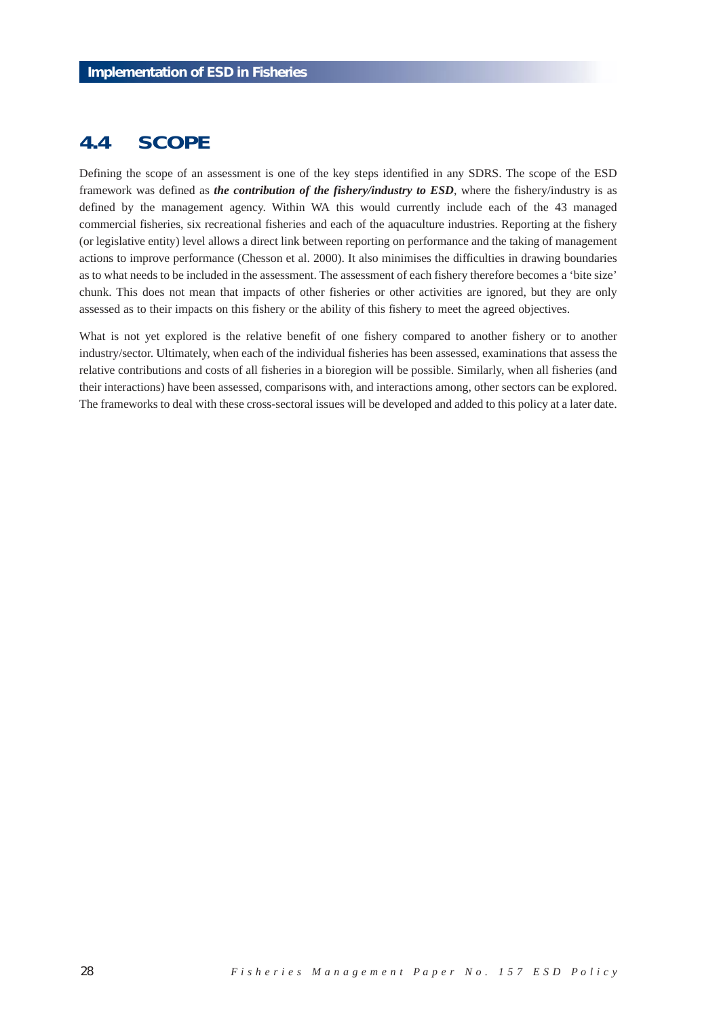# **4.4 SCOPE**

Defining the scope of an assessment is one of the key steps identified in any SDRS. The scope of the ESD framework was defined as *the contribution of the fishery/industry to ESD*, where the fishery/industry is as defined by the management agency. Within WA this would currently include each of the 43 managed commercial fisheries, six recreational fisheries and each of the aquaculture industries. Reporting at the fishery (or legislative entity) level allows a direct link between reporting on performance and the taking of management actions to improve performance (Chesson et al. 2000). It also minimises the difficulties in drawing boundaries as to what needs to be included in the assessment. The assessment of each fishery therefore becomes a 'bite size' chunk. This does not mean that impacts of other fisheries or other activities are ignored, but they are only assessed as to their impacts on this fishery or the ability of this fishery to meet the agreed objectives.

What is not yet explored is the relative benefit of one fishery compared to another fishery or to another industry/sector. Ultimately, when each of the individual fisheries has been assessed, examinations that assess the relative contributions and costs of all fisheries in a bioregion will be possible. Similarly, when all fisheries (and their interactions) have been assessed, comparisons with, and interactions among, other sectors can be explored. The frameworks to deal with these cross-sectoral issues will be developed and added to this policy at a later date.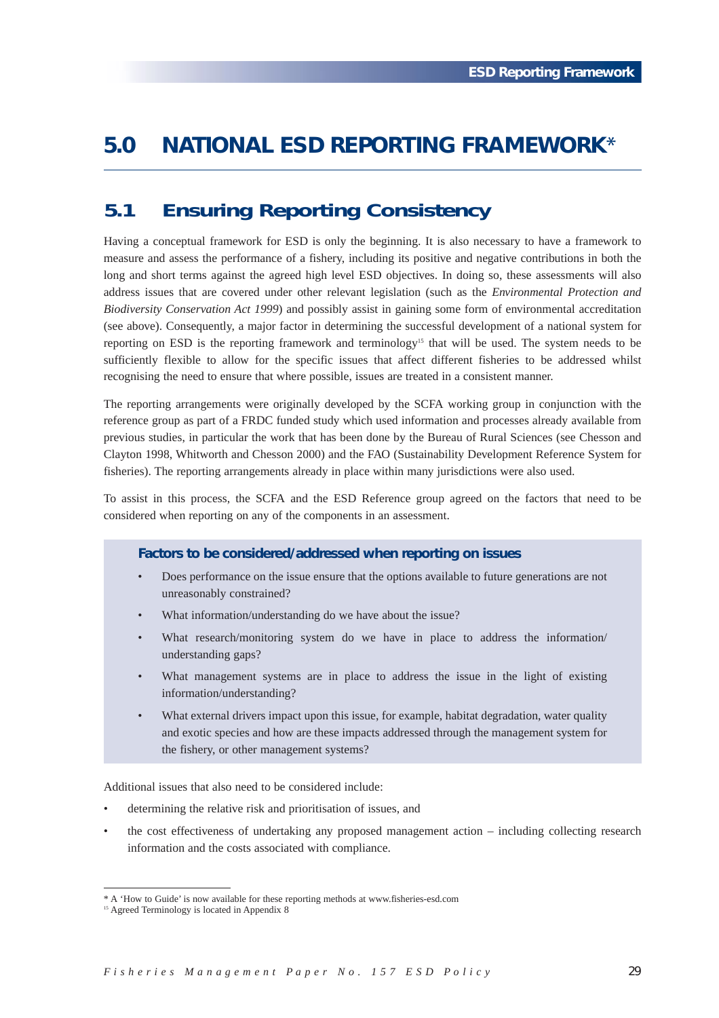# **5.0 NATIONAL ESD REPORTING FRAMEWORK**\*

# **5.1 Ensuring Reporting Consistency**

Having a conceptual framework for ESD is only the beginning. It is also necessary to have a framework to measure and assess the performance of a fishery, including its positive and negative contributions in both the long and short terms against the agreed high level ESD objectives. In doing so, these assessments will also address issues that are covered under other relevant legislation (such as the *Environmental Protection and Biodiversity Conservation Act 1999*) and possibly assist in gaining some form of environmental accreditation (see above). Consequently, a major factor in determining the successful development of a national system for reporting on ESD is the reporting framework and terminology15 that will be used. The system needs to be sufficiently flexible to allow for the specific issues that affect different fisheries to be addressed whilst recognising the need to ensure that where possible, issues are treated in a consistent manner.

The reporting arrangements were originally developed by the SCFA working group in conjunction with the reference group as part of a FRDC funded study which used information and processes already available from previous studies, in particular the work that has been done by the Bureau of Rural Sciences (see Chesson and Clayton 1998, Whitworth and Chesson 2000) and the FAO (Sustainability Development Reference System for fisheries). The reporting arrangements already in place within many jurisdictions were also used.

To assist in this process, the SCFA and the ESD Reference group agreed on the factors that need to be considered when reporting on any of the components in an assessment.

## **Factors to be considered/addressed when reporting on issues**

- Does performance on the issue ensure that the options available to future generations are not unreasonably constrained?
- What information/understanding do we have about the issue?
- What research/monitoring system do we have in place to address the information/ understanding gaps?
- What management systems are in place to address the issue in the light of existing information/understanding?
- What external drivers impact upon this issue, for example, habitat degradation, water quality and exotic species and how are these impacts addressed through the management system for the fishery, or other management systems?

Additional issues that also need to be considered include:

- determining the relative risk and prioritisation of issues, and
- the cost effectiveness of undertaking any proposed management action including collecting research information and the costs associated with compliance.

<sup>\*</sup> A 'How to Guide' is now available for these reporting methods at www.fisheries-esd.com

<sup>&</sup>lt;sup>15</sup> Agreed Terminology is located in Appendix 8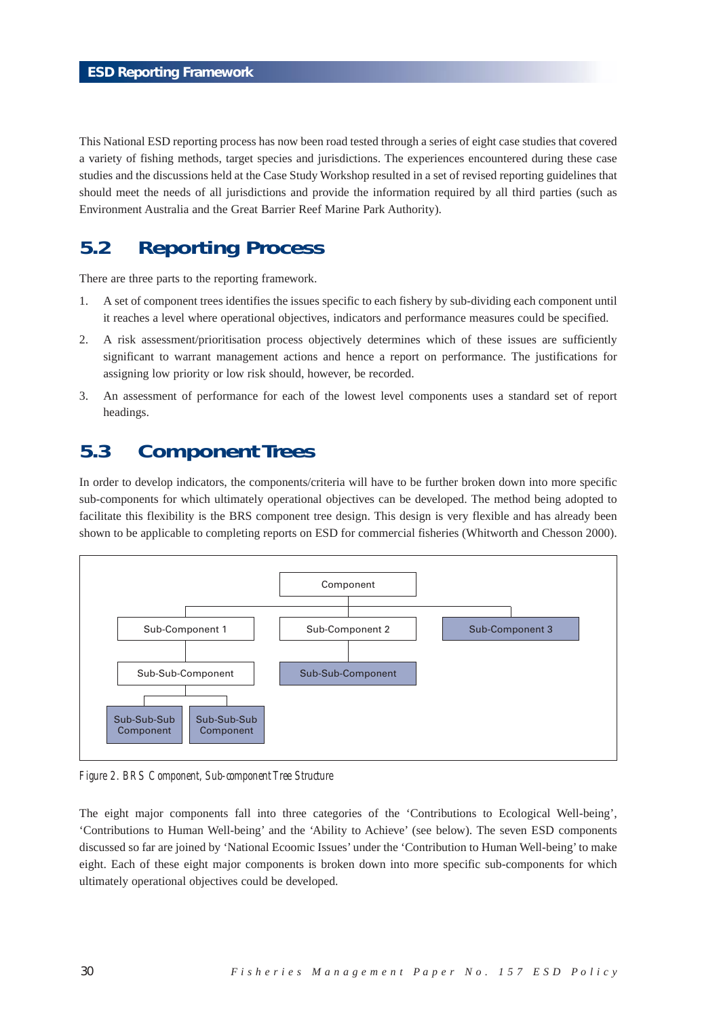This National ESD reporting process has now been road tested through a series of eight case studies that covered a variety of fishing methods, target species and jurisdictions. The experiences encountered during these case studies and the discussions held at the Case Study Workshop resulted in a set of revised reporting guidelines that should meet the needs of all jurisdictions and provide the information required by all third parties (such as Environment Australia and the Great Barrier Reef Marine Park Authority).

# **5.2 Reporting Process**

There are three parts to the reporting framework.

- 1. A set of component trees identifies the issues specific to each fishery by sub-dividing each component until it reaches a level where operational objectives, indicators and performance measures could be specified.
- 2. A risk assessment/prioritisation process objectively determines which of these issues are sufficiently significant to warrant management actions and hence a report on performance. The justifications for assigning low priority or low risk should, however, be recorded.
- 3. An assessment of performance for each of the lowest level components uses a standard set of report headings.

# **5.3 Component Trees**

In order to develop indicators, the components/criteria will have to be further broken down into more specific sub-components for which ultimately operational objectives can be developed. The method being adopted to facilitate this flexibility is the BRS component tree design. This design is very flexible and has already been shown to be applicable to completing reports on ESD for commercial fisheries (Whitworth and Chesson 2000).



*Figure 2. BRS Component, Sub-component Tree Structure*

The eight major components fall into three categories of the 'Contributions to Ecological Well-being', 'Contributions to Human Well-being' and the 'Ability to Achieve' (see below). The seven ESD components discussed so far are joined by 'National Ecoomic Issues' under the 'Contribution to Human Well-being' to make eight. Each of these eight major components is broken down into more specific sub-components for which ultimately operational objectives could be developed.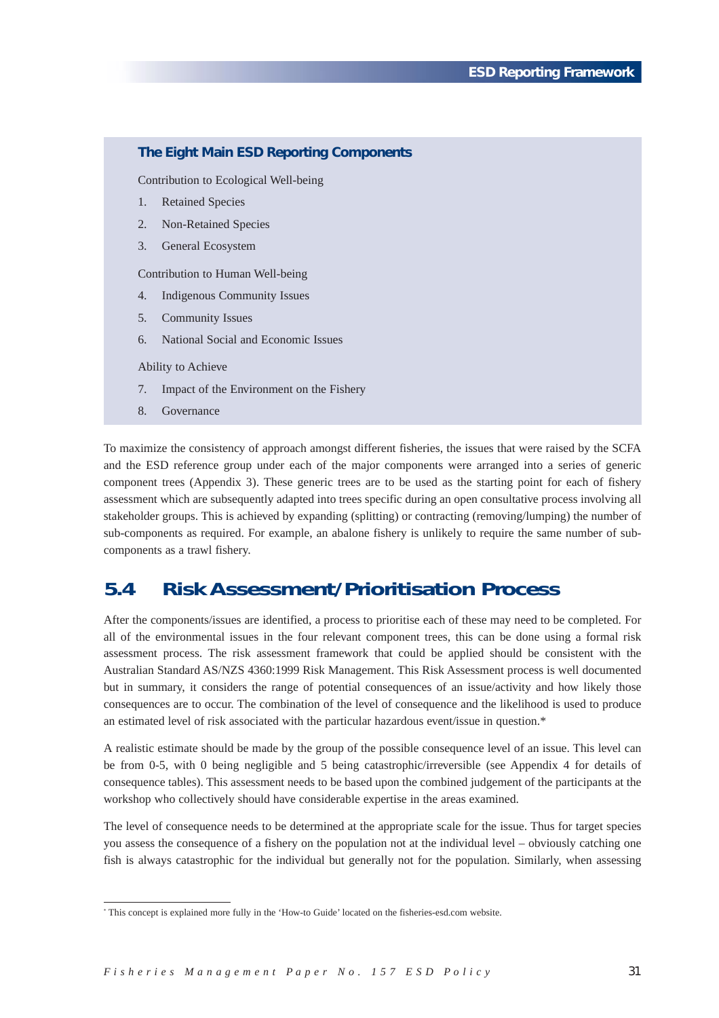| The Eight Main ESD Reporting Components |                                          |  |  |  |
|-----------------------------------------|------------------------------------------|--|--|--|
| Contribution to Ecological Well-being   |                                          |  |  |  |
| 1.                                      | <b>Retained Species</b>                  |  |  |  |
| 2.                                      | <b>Non-Retained Species</b>              |  |  |  |
| 3.                                      | General Ecosystem                        |  |  |  |
| Contribution to Human Well-being        |                                          |  |  |  |
| 4.                                      | Indigenous Community Issues              |  |  |  |
| 5.                                      | <b>Community Issues</b>                  |  |  |  |
| 6.                                      | National Social and Economic Issues      |  |  |  |
| Ability to Achieve                      |                                          |  |  |  |
| 7.                                      | Impact of the Environment on the Fishery |  |  |  |
| 8.                                      | Governance                               |  |  |  |

To maximize the consistency of approach amongst different fisheries, the issues that were raised by the SCFA and the ESD reference group under each of the major components were arranged into a series of generic component trees (Appendix 3). These generic trees are to be used as the starting point for each of fishery assessment which are subsequently adapted into trees specific during an open consultative process involving all stakeholder groups. This is achieved by expanding (splitting) or contracting (removing/lumping) the number of sub-components as required. For example, an abalone fishery is unlikely to require the same number of subcomponents as a trawl fishery.

# **5.4 Risk Assessment/Prioritisation Process**

After the components/issues are identified, a process to prioritise each of these may need to be completed. For all of the environmental issues in the four relevant component trees, this can be done using a formal risk assessment process. The risk assessment framework that could be applied should be consistent with the Australian Standard AS/NZS 4360:1999 Risk Management. This Risk Assessment process is well documented but in summary, it considers the range of potential consequences of an issue/activity and how likely those consequences are to occur. The combination of the level of consequence and the likelihood is used to produce an estimated level of risk associated with the particular hazardous event/issue in question.\*

A realistic estimate should be made by the group of the possible consequence level of an issue. This level can be from 0-5, with 0 being negligible and 5 being catastrophic/irreversible (see Appendix 4 for details of consequence tables). This assessment needs to be based upon the combined judgement of the participants at the workshop who collectively should have considerable expertise in the areas examined.

The level of consequence needs to be determined at the appropriate scale for the issue. Thus for target species you assess the consequence of a fishery on the population not at the individual level – obviously catching one fish is always catastrophic for the individual but generally not for the population. Similarly, when assessing

<sup>\*</sup> This concept is explained more fully in the 'How-to Guide' located on the fisheries-esd.com website.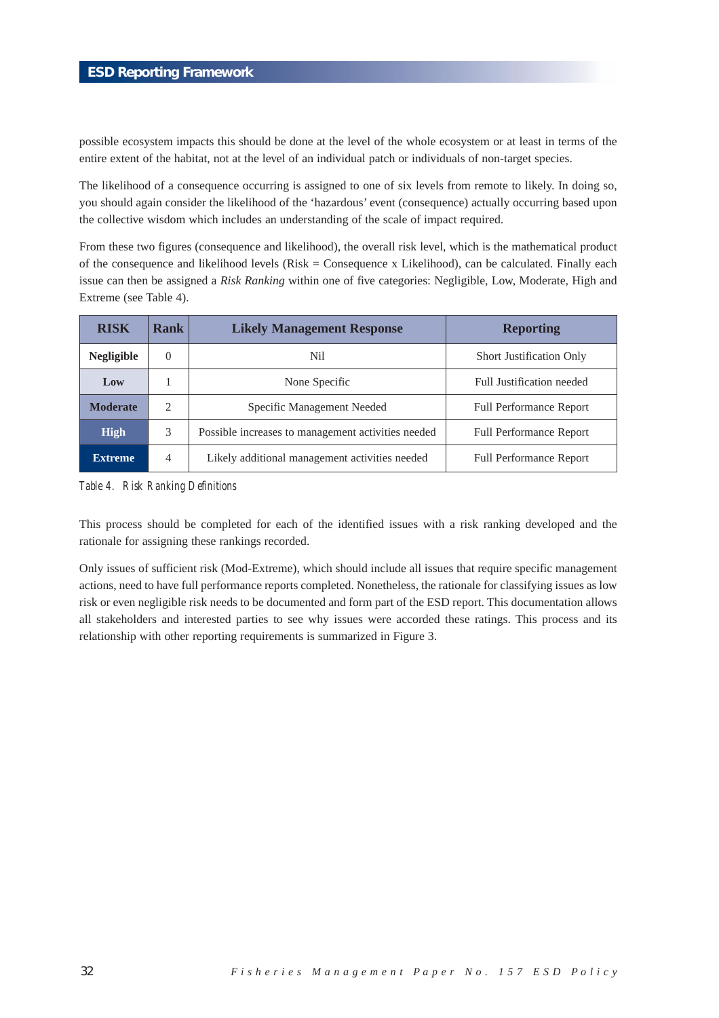possible ecosystem impacts this should be done at the level of the whole ecosystem or at least in terms of the entire extent of the habitat, not at the level of an individual patch or individuals of non-target species.

The likelihood of a consequence occurring is assigned to one of six levels from remote to likely. In doing so, you should again consider the likelihood of the 'hazardous' event (consequence) actually occurring based upon the collective wisdom which includes an understanding of the scale of impact required.

From these two figures (consequence and likelihood), the overall risk level, which is the mathematical product of the consequence and likelihood levels (Risk = Consequence x Likelihood), can be calculated. Finally each issue can then be assigned a *Risk Ranking* within one of five categories: Negligible, Low, Moderate, High and Extreme (see Table 4).

| <b>RISK</b>                                                            | <b>Rank</b>    | <b>Likely Management Response</b>              | <b>Reporting</b>                |
|------------------------------------------------------------------------|----------------|------------------------------------------------|---------------------------------|
| <b>Negligible</b>                                                      | $\theta$       | Nil                                            | <b>Short Justification Only</b> |
| Low                                                                    |                | None Specific                                  | Full Justification needed       |
| <b>Moderate</b>                                                        | $\overline{c}$ | Specific Management Needed                     | <b>Full Performance Report</b>  |
| <b>High</b><br>3<br>Possible increases to management activities needed |                | <b>Full Performance Report</b>                 |                                 |
| <b>Extreme</b>                                                         | 4              | Likely additional management activities needed | <b>Full Performance Report</b>  |

*Table 4. Risk Ranking Definitions*

This process should be completed for each of the identified issues with a risk ranking developed and the rationale for assigning these rankings recorded.

Only issues of sufficient risk (Mod-Extreme), which should include all issues that require specific management actions, need to have full performance reports completed. Nonetheless, the rationale for classifying issues as low risk or even negligible risk needs to be documented and form part of the ESD report. This documentation allows all stakeholders and interested parties to see why issues were accorded these ratings. This process and its relationship with other reporting requirements is summarized in Figure 3.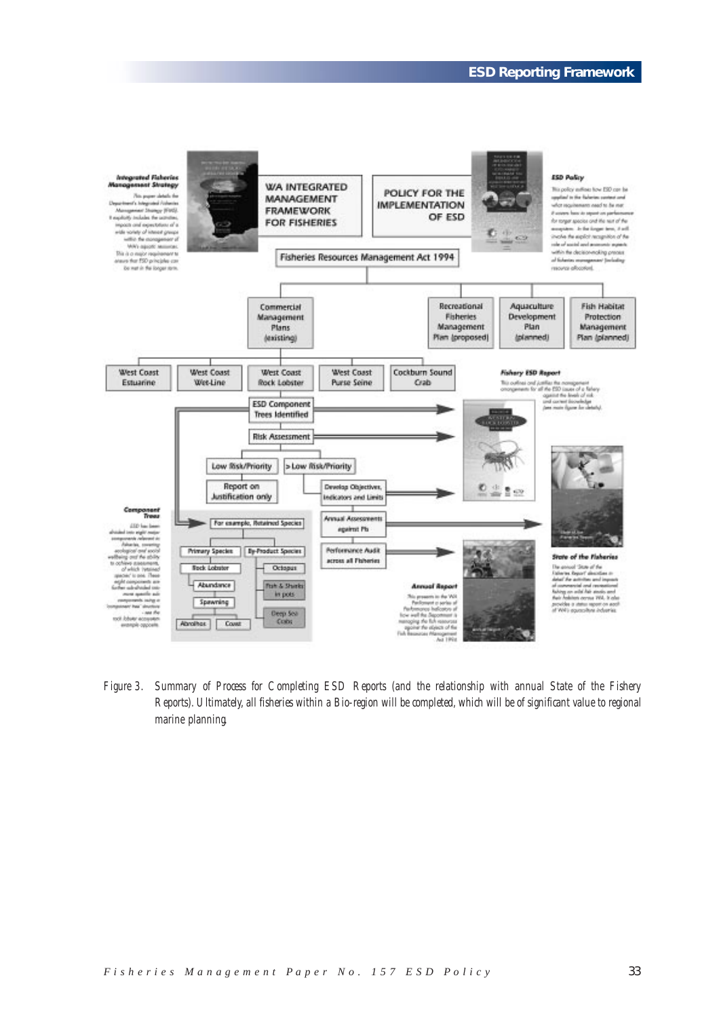

*Figure 3. Summary of Process for Completing ESD Reports (and the relationship with annual State of the Fishery Reports). Ultimately, all fisheries within a Bio-region will be completed, which will be of significant value to regional marine planning.*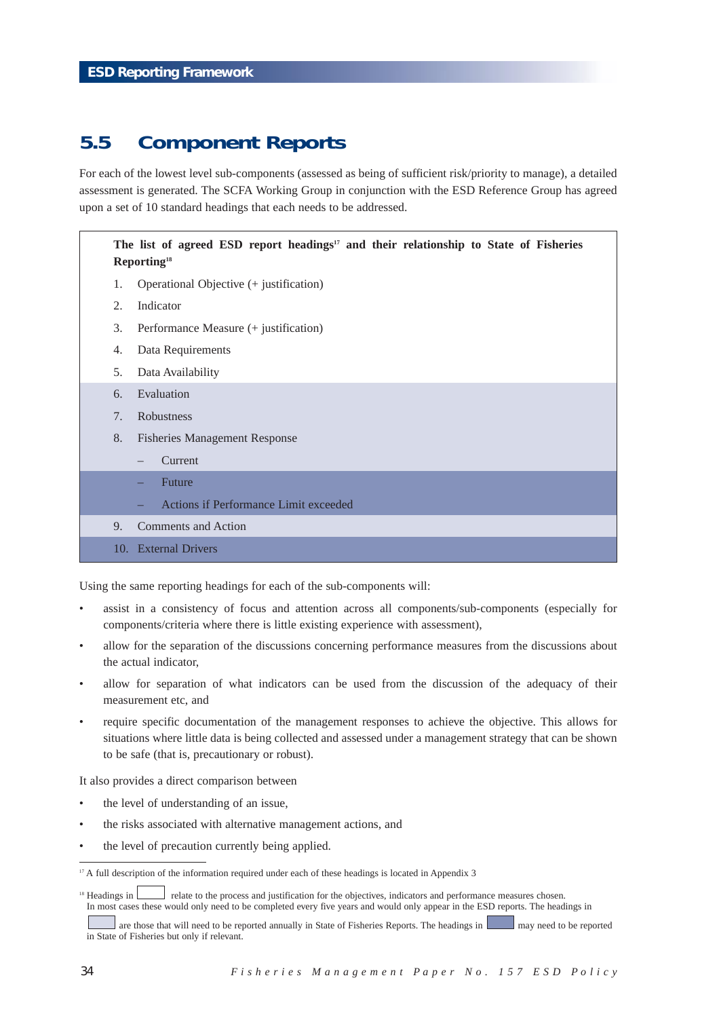# **5.5 Component Reports**

For each of the lowest level sub-components (assessed as being of sufficient risk/priority to manage), a detailed assessment is generated. The SCFA Working Group in conjunction with the ESD Reference Group has agreed upon a set of 10 standard headings that each needs to be addressed.

## The list of agreed ESD report headings<sup>17</sup> and their relationship to State of Fisheries **Reporting18**

- 1. Operational Objective (+ justification)
- 2. Indicator
- 3. Performance Measure (+ justification)
- 4. Data Requirements
- 5. Data Availability
- 6. Evaluation
- 7. Robustness
- 8. Fisheries Management Response
	- Current
	- **Future**
	- Actions if Performance Limit exceeded
- 9. Comments and Action
- 10. External Drivers

Using the same reporting headings for each of the sub-components will:

- assist in a consistency of focus and attention across all components/sub-components (especially for components/criteria where there is little existing experience with assessment),
- allow for the separation of the discussions concerning performance measures from the discussions about the actual indicator,
- allow for separation of what indicators can be used from the discussion of the adequacy of their measurement etc, and
- require specific documentation of the management responses to achieve the objective. This allows for situations where little data is being collected and assessed under a management strategy that can be shown to be safe (that is, precautionary or robust).

It also provides a direct comparison between

- the level of understanding of an issue,
- the risks associated with alternative management actions, and
- the level of precaution currently being applied.

<sup>&</sup>lt;sup>17</sup> A full description of the information required under each of these headings is located in Appendix 3

<sup>&</sup>lt;sup>18</sup> Headings in **relate to the process and justification for the objectives, indicators and performance measures chosen.** In most cases these would only need to be completed every five years and would only appear in the ESD reports. The headings in

are those that will need to be reported annually in State of Fisheries Reports. The headings in may need to be reported in State of Fisheries but only if relevant.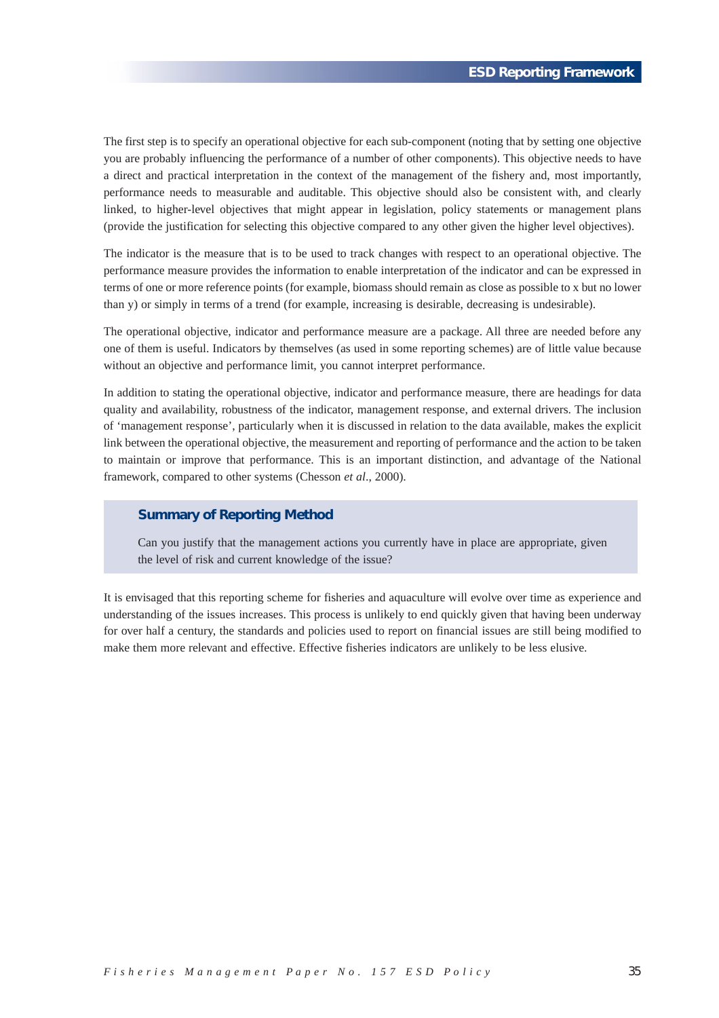The first step is to specify an operational objective for each sub-component (noting that by setting one objective you are probably influencing the performance of a number of other components). This objective needs to have a direct and practical interpretation in the context of the management of the fishery and, most importantly, performance needs to measurable and auditable. This objective should also be consistent with, and clearly linked, to higher-level objectives that might appear in legislation, policy statements or management plans (provide the justification for selecting this objective compared to any other given the higher level objectives).

The indicator is the measure that is to be used to track changes with respect to an operational objective. The performance measure provides the information to enable interpretation of the indicator and can be expressed in terms of one or more reference points (for example, biomass should remain as close as possible to x but no lower than y) or simply in terms of a trend (for example, increasing is desirable, decreasing is undesirable).

The operational objective, indicator and performance measure are a package. All three are needed before any one of them is useful. Indicators by themselves (as used in some reporting schemes) are of little value because without an objective and performance limit, you cannot interpret performance.

In addition to stating the operational objective, indicator and performance measure, there are headings for data quality and availability, robustness of the indicator, management response, and external drivers. The inclusion of 'management response', particularly when it is discussed in relation to the data available, makes the explicit link between the operational objective, the measurement and reporting of performance and the action to be taken to maintain or improve that performance. This is an important distinction, and advantage of the National framework, compared to other systems (Chesson *et al*., 2000).

### **Summary of Reporting Method**

Can you justify that the management actions you currently have in place are appropriate, given the level of risk and current knowledge of the issue?

It is envisaged that this reporting scheme for fisheries and aquaculture will evolve over time as experience and understanding of the issues increases. This process is unlikely to end quickly given that having been underway for over half a century, the standards and policies used to report on financial issues are still being modified to make them more relevant and effective. Effective fisheries indicators are unlikely to be less elusive.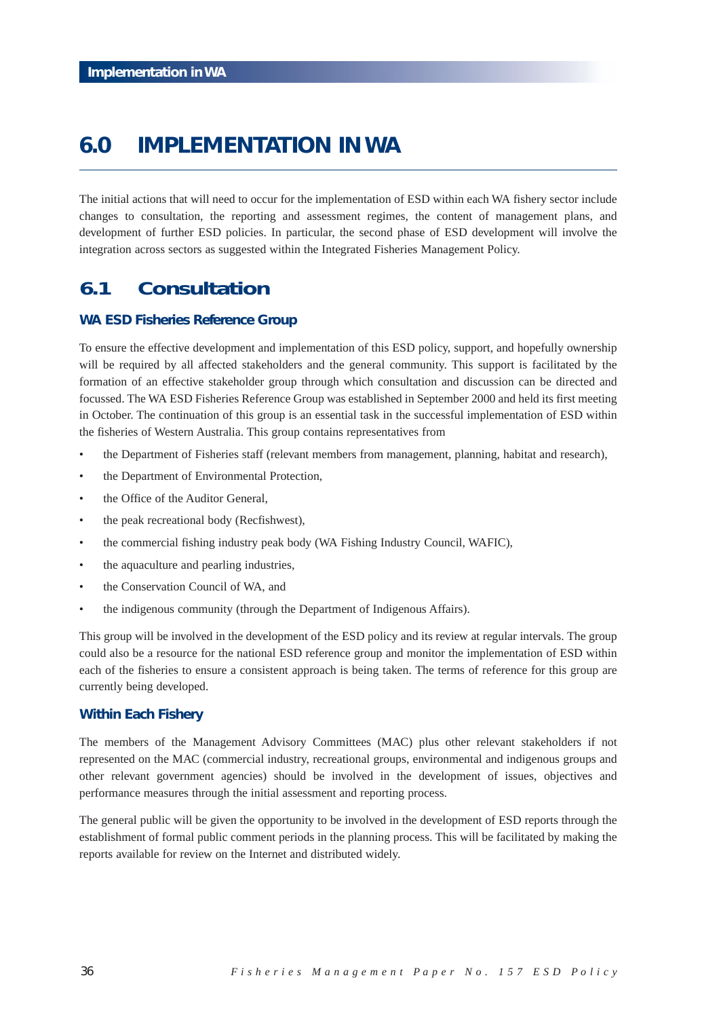# **6.0 IMPLEMENTATION IN WA**

The initial actions that will need to occur for the implementation of ESD within each WA fishery sector include changes to consultation, the reporting and assessment regimes, the content of management plans, and development of further ESD policies. In particular, the second phase of ESD development will involve the integration across sectors as suggested within the Integrated Fisheries Management Policy.

# **6.1 Consultation**

## **WA ESD Fisheries Reference Group**

To ensure the effective development and implementation of this ESD policy, support, and hopefully ownership will be required by all affected stakeholders and the general community. This support is facilitated by the formation of an effective stakeholder group through which consultation and discussion can be directed and focussed. The WA ESD Fisheries Reference Group was established in September 2000 and held its first meeting in October. The continuation of this group is an essential task in the successful implementation of ESD within the fisheries of Western Australia. This group contains representatives from

- the Department of Fisheries staff (relevant members from management, planning, habitat and research),
- the Department of Environmental Protection,
- the Office of the Auditor General,
- the peak recreational body (Recfishwest),
- the commercial fishing industry peak body (WA Fishing Industry Council, WAFIC),
- the aquaculture and pearling industries,
- the Conservation Council of WA, and
- the indigenous community (through the Department of Indigenous Affairs).

This group will be involved in the development of the ESD policy and its review at regular intervals. The group could also be a resource for the national ESD reference group and monitor the implementation of ESD within each of the fisheries to ensure a consistent approach is being taken. The terms of reference for this group are currently being developed.

## **Within Each Fishery**

The members of the Management Advisory Committees (MAC) plus other relevant stakeholders if not represented on the MAC (commercial industry, recreational groups, environmental and indigenous groups and other relevant government agencies) should be involved in the development of issues, objectives and performance measures through the initial assessment and reporting process.

The general public will be given the opportunity to be involved in the development of ESD reports through the establishment of formal public comment periods in the planning process. This will be facilitated by making the reports available for review on the Internet and distributed widely.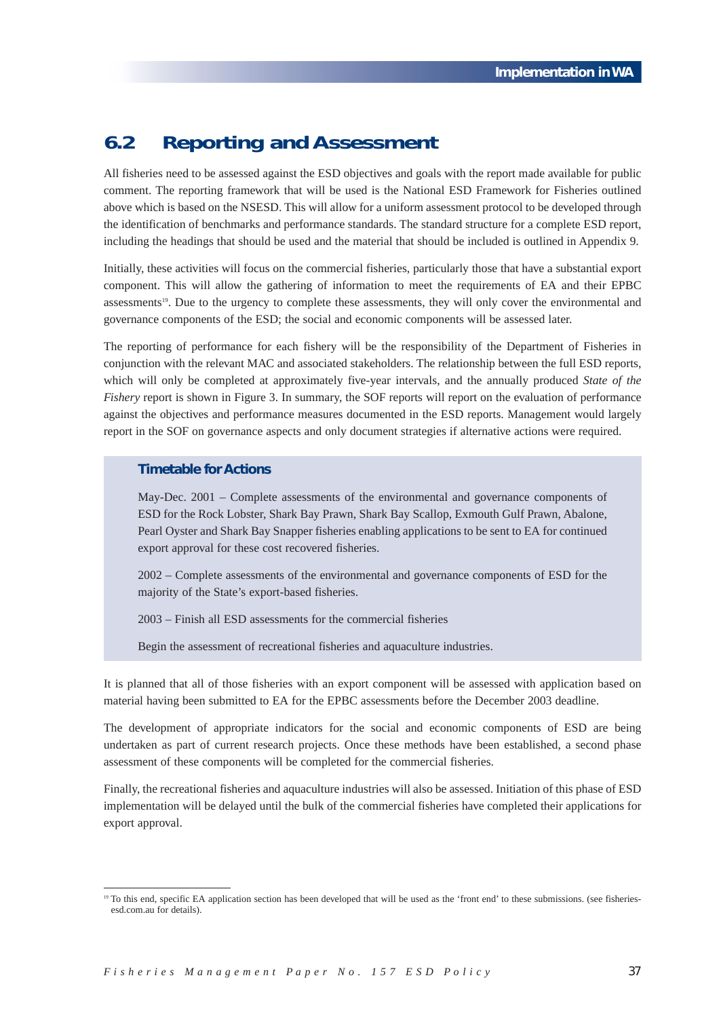# **6.2 Reporting and Assessment**

All fisheries need to be assessed against the ESD objectives and goals with the report made available for public comment. The reporting framework that will be used is the National ESD Framework for Fisheries outlined above which is based on the NSESD. This will allow for a uniform assessment protocol to be developed through the identification of benchmarks and performance standards. The standard structure for a complete ESD report, including the headings that should be used and the material that should be included is outlined in Appendix 9.

Initially, these activities will focus on the commercial fisheries, particularly those that have a substantial export component. This will allow the gathering of information to meet the requirements of EA and their EPBC assessments<sup>19</sup>. Due to the urgency to complete these assessments, they will only cover the environmental and governance components of the ESD; the social and economic components will be assessed later.

The reporting of performance for each fishery will be the responsibility of the Department of Fisheries in conjunction with the relevant MAC and associated stakeholders. The relationship between the full ESD reports, which will only be completed at approximately five-year intervals, and the annually produced *State of the Fishery* report is shown in Figure 3. In summary, the SOF reports will report on the evaluation of performance against the objectives and performance measures documented in the ESD reports. Management would largely report in the SOF on governance aspects and only document strategies if alternative actions were required.

## **Timetable for Actions**

May-Dec. 2001 – Complete assessments of the environmental and governance components of ESD for the Rock Lobster, Shark Bay Prawn, Shark Bay Scallop, Exmouth Gulf Prawn, Abalone, Pearl Oyster and Shark Bay Snapper fisheries enabling applications to be sent to EA for continued export approval for these cost recovered fisheries.

2002 – Complete assessments of the environmental and governance components of ESD for the majority of the State's export-based fisheries.

2003 – Finish all ESD assessments for the commercial fisheries

Begin the assessment of recreational fisheries and aquaculture industries.

It is planned that all of those fisheries with an export component will be assessed with application based on material having been submitted to EA for the EPBC assessments before the December 2003 deadline.

The development of appropriate indicators for the social and economic components of ESD are being undertaken as part of current research projects. Once these methods have been established, a second phase assessment of these components will be completed for the commercial fisheries.

Finally, the recreational fisheries and aquaculture industries will also be assessed. Initiation of this phase of ESD implementation will be delayed until the bulk of the commercial fisheries have completed their applications for export approval.

<sup>&</sup>lt;sup>19</sup> To this end, specific EA application section has been developed that will be used as the 'front end' to these submissions. (see fisheriesesd.com.au for details).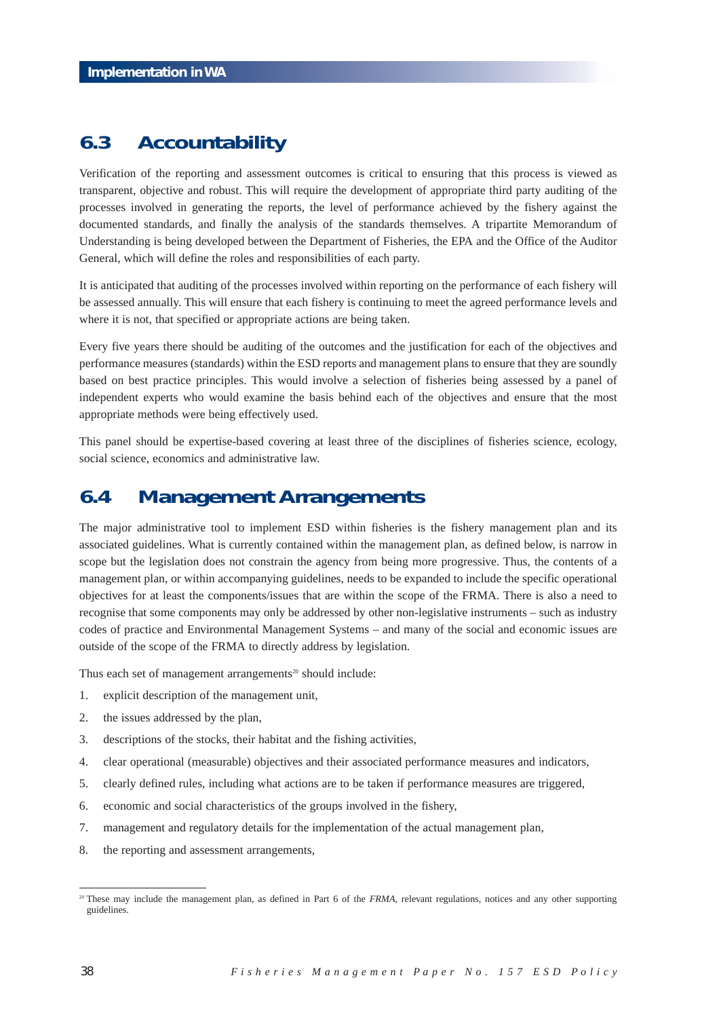# **6.3 Accountability**

Verification of the reporting and assessment outcomes is critical to ensuring that this process is viewed as transparent, objective and robust. This will require the development of appropriate third party auditing of the processes involved in generating the reports, the level of performance achieved by the fishery against the documented standards, and finally the analysis of the standards themselves. A tripartite Memorandum of Understanding is being developed between the Department of Fisheries, the EPA and the Office of the Auditor General, which will define the roles and responsibilities of each party.

It is anticipated that auditing of the processes involved within reporting on the performance of each fishery will be assessed annually. This will ensure that each fishery is continuing to meet the agreed performance levels and where it is not, that specified or appropriate actions are being taken.

Every five years there should be auditing of the outcomes and the justification for each of the objectives and performance measures (standards) within the ESD reports and management plans to ensure that they are soundly based on best practice principles. This would involve a selection of fisheries being assessed by a panel of independent experts who would examine the basis behind each of the objectives and ensure that the most appropriate methods were being effectively used.

This panel should be expertise-based covering at least three of the disciplines of fisheries science, ecology, social science, economics and administrative law.

# **6.4 Management Arrangements**

The major administrative tool to implement ESD within fisheries is the fishery management plan and its associated guidelines. What is currently contained within the management plan, as defined below, is narrow in scope but the legislation does not constrain the agency from being more progressive. Thus, the contents of a management plan, or within accompanying guidelines, needs to be expanded to include the specific operational objectives for at least the components/issues that are within the scope of the FRMA. There is also a need to recognise that some components may only be addressed by other non-legislative instruments – such as industry codes of practice and Environmental Management Systems – and many of the social and economic issues are outside of the scope of the FRMA to directly address by legislation.

Thus each set of management arrangements<sup>20</sup> should include:

- 1. explicit description of the management unit,
- 2. the issues addressed by the plan,
- 3. descriptions of the stocks, their habitat and the fishing activities,
- 4. clear operational (measurable) objectives and their associated performance measures and indicators,
- 5. clearly defined rules, including what actions are to be taken if performance measures are triggered,
- 6. economic and social characteristics of the groups involved in the fishery,
- 7. management and regulatory details for the implementation of the actual management plan,
- 8. the reporting and assessment arrangements,

<sup>&</sup>lt;sup>20</sup> These may include the management plan, as defined in Part 6 of the *FRMA*, relevant regulations, notices and any other supporting guidelines.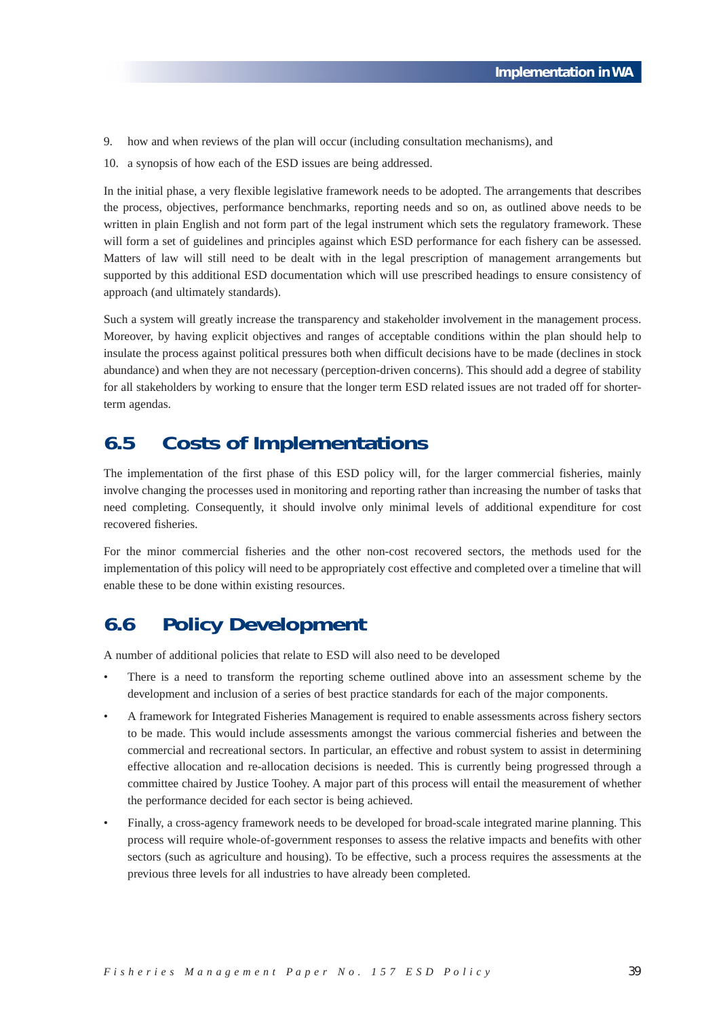- 9. how and when reviews of the plan will occur (including consultation mechanisms), and
- 10. a synopsis of how each of the ESD issues are being addressed.

In the initial phase, a very flexible legislative framework needs to be adopted. The arrangements that describes the process, objectives, performance benchmarks, reporting needs and so on, as outlined above needs to be written in plain English and not form part of the legal instrument which sets the regulatory framework. These will form a set of guidelines and principles against which ESD performance for each fishery can be assessed. Matters of law will still need to be dealt with in the legal prescription of management arrangements but supported by this additional ESD documentation which will use prescribed headings to ensure consistency of approach (and ultimately standards).

Such a system will greatly increase the transparency and stakeholder involvement in the management process. Moreover, by having explicit objectives and ranges of acceptable conditions within the plan should help to insulate the process against political pressures both when difficult decisions have to be made (declines in stock abundance) and when they are not necessary (perception-driven concerns). This should add a degree of stability for all stakeholders by working to ensure that the longer term ESD related issues are not traded off for shorterterm agendas.

# **6.5 Costs of Implementations**

The implementation of the first phase of this ESD policy will, for the larger commercial fisheries, mainly involve changing the processes used in monitoring and reporting rather than increasing the number of tasks that need completing. Consequently, it should involve only minimal levels of additional expenditure for cost recovered fisheries.

For the minor commercial fisheries and the other non-cost recovered sectors, the methods used for the implementation of this policy will need to be appropriately cost effective and completed over a timeline that will enable these to be done within existing resources.

# **6.6 Policy Development**

A number of additional policies that relate to ESD will also need to be developed

- There is a need to transform the reporting scheme outlined above into an assessment scheme by the development and inclusion of a series of best practice standards for each of the major components.
- A framework for Integrated Fisheries Management is required to enable assessments across fishery sectors to be made. This would include assessments amongst the various commercial fisheries and between the commercial and recreational sectors. In particular, an effective and robust system to assist in determining effective allocation and re-allocation decisions is needed. This is currently being progressed through a committee chaired by Justice Toohey. A major part of this process will entail the measurement of whether the performance decided for each sector is being achieved.
- Finally, a cross-agency framework needs to be developed for broad-scale integrated marine planning. This process will require whole-of-government responses to assess the relative impacts and benefits with other sectors (such as agriculture and housing). To be effective, such a process requires the assessments at the previous three levels for all industries to have already been completed.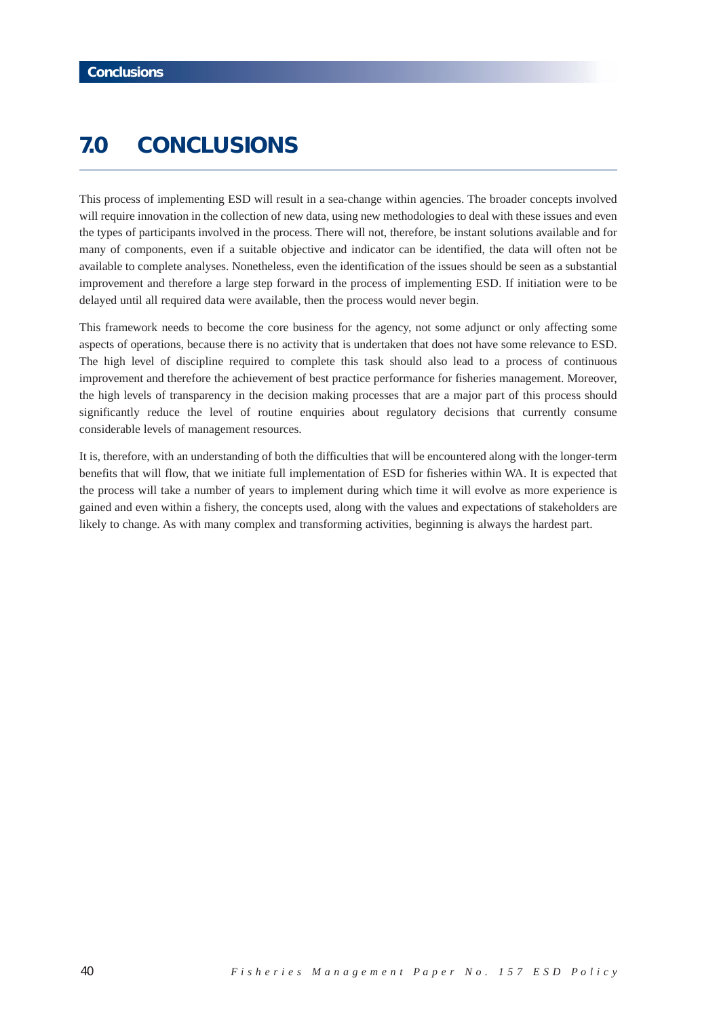# **7.0 CONCLUSIONS**

This process of implementing ESD will result in a sea-change within agencies. The broader concepts involved will require innovation in the collection of new data, using new methodologies to deal with these issues and even the types of participants involved in the process. There will not, therefore, be instant solutions available and for many of components, even if a suitable objective and indicator can be identified, the data will often not be available to complete analyses. Nonetheless, even the identification of the issues should be seen as a substantial improvement and therefore a large step forward in the process of implementing ESD. If initiation were to be delayed until all required data were available, then the process would never begin.

This framework needs to become the core business for the agency, not some adjunct or only affecting some aspects of operations, because there is no activity that is undertaken that does not have some relevance to ESD. The high level of discipline required to complete this task should also lead to a process of continuous improvement and therefore the achievement of best practice performance for fisheries management. Moreover, the high levels of transparency in the decision making processes that are a major part of this process should significantly reduce the level of routine enquiries about regulatory decisions that currently consume considerable levels of management resources.

It is, therefore, with an understanding of both the difficulties that will be encountered along with the longer-term benefits that will flow, that we initiate full implementation of ESD for fisheries within WA. It is expected that the process will take a number of years to implement during which time it will evolve as more experience is gained and even within a fishery, the concepts used, along with the values and expectations of stakeholders are likely to change. As with many complex and transforming activities, beginning is always the hardest part.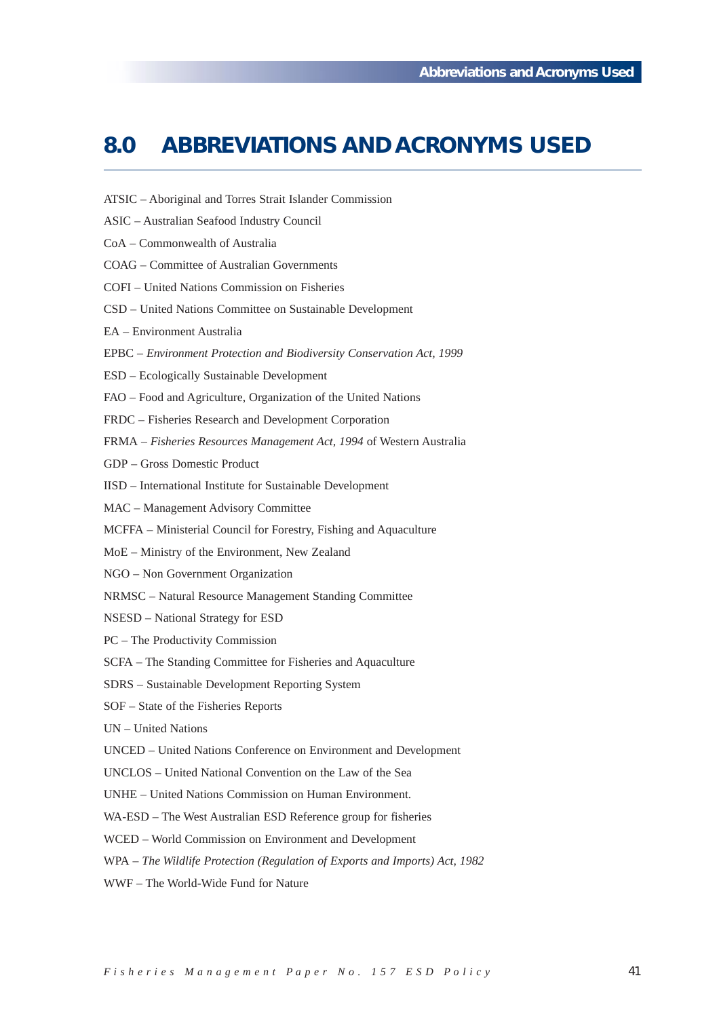# **8.0 ABBREVIATIONS AND ACRONYMS USED**

- ATSIC Aboriginal and Torres Strait Islander Commission
- ASIC Australian Seafood Industry Council
- CoA Commonwealth of Australia
- COAG Committee of Australian Governments
- COFI United Nations Commission on Fisheries
- CSD United Nations Committee on Sustainable Development
- EA Environment Australia
- EPBC *Environment Protection and Biodiversity Conservation Act, 1999*
- ESD Ecologically Sustainable Development
- FAO Food and Agriculture, Organization of the United Nations
- FRDC Fisheries Research and Development Corporation
- FRMA *Fisheries Resources Management Act, 1994* of Western Australia
- GDP Gross Domestic Product
- IISD International Institute for Sustainable Development
- MAC Management Advisory Committee
- MCFFA Ministerial Council for Forestry, Fishing and Aquaculture
- MoE Ministry of the Environment, New Zealand
- NGO Non Government Organization
- NRMSC Natural Resource Management Standing Committee
- NSESD National Strategy for ESD
- PC The Productivity Commission
- SCFA The Standing Committee for Fisheries and Aquaculture
- SDRS Sustainable Development Reporting System
- SOF State of the Fisheries Reports
- UN United Nations
- UNCED United Nations Conference on Environment and Development
- UNCLOS United National Convention on the Law of the Sea
- UNHE United Nations Commission on Human Environment.
- WA-ESD The West Australian ESD Reference group for fisheries
- WCED World Commission on Environment and Development
- WPA *The Wildlife Protection (Regulation of Exports and Imports) Act, 1982*
- WWF The World-Wide Fund for Nature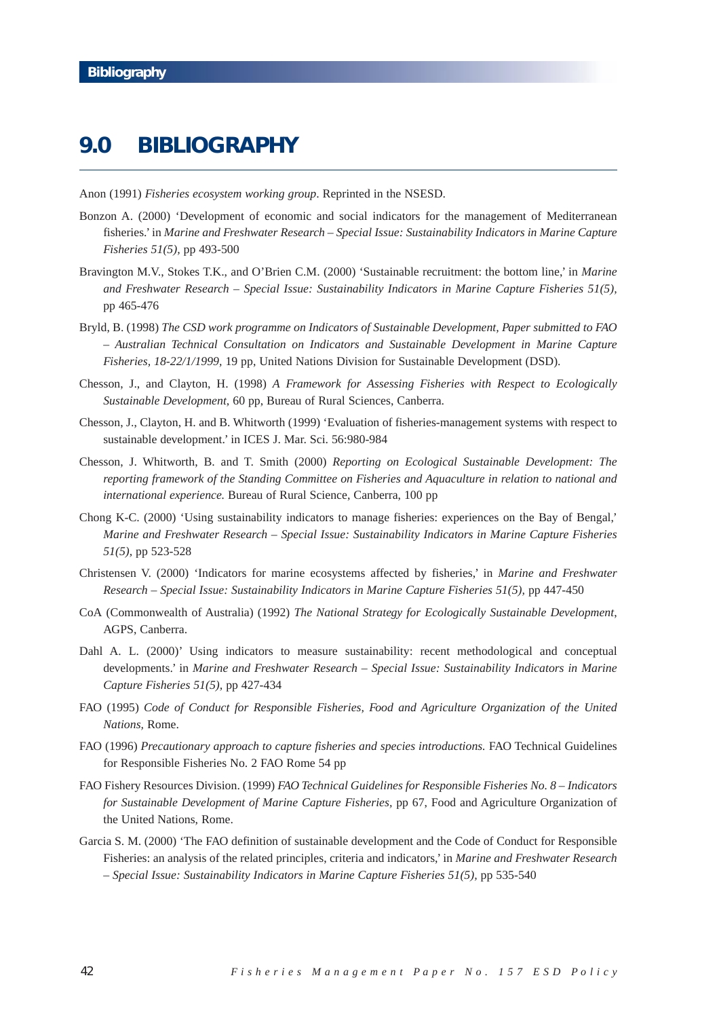# **9.0 BIBLIOGRAPHY**

Anon (1991) *Fisheries ecosystem working group*. Reprinted in the NSESD.

- Bonzon A. (2000) 'Development of economic and social indicators for the management of Mediterranean fisheries.' in *Marine and Freshwater Research – Special Issue: Sustainability Indicators in Marine Capture Fisheries 51(5),* pp 493-500
- Bravington M.V., Stokes T.K., and O'Brien C.M. (2000) 'Sustainable recruitment: the bottom line,' in *Marine and Freshwater Research – Special Issue: Sustainability Indicators in Marine Capture Fisheries 51(5),* pp 465-476
- Bryld, B. (1998) *The CSD work programme on Indicators of Sustainable Development, Paper submitted to FAO – Australian Technical Consultation on Indicators and Sustainable Development in Marine Capture Fisheries, 18-22/1/1999,* 19 pp, United Nations Division for Sustainable Development (DSD).
- Chesson, J., and Clayton, H. (1998) *A Framework for Assessing Fisheries with Respect to Ecologically Sustainable Development,* 60 pp, Bureau of Rural Sciences, Canberra.
- Chesson, J., Clayton, H. and B. Whitworth (1999) 'Evaluation of fisheries-management systems with respect to sustainable development.' in ICES J. Mar. Sci. 56:980-984
- Chesson, J. Whitworth, B. and T. Smith (2000) *Reporting on Ecological Sustainable Development: The reporting framework of the Standing Committee on Fisheries and Aquaculture in relation to national and international experience.* Bureau of Rural Science, Canberra, 100 pp
- Chong K-C. (2000) 'Using sustainability indicators to manage fisheries: experiences on the Bay of Bengal,' *Marine and Freshwater Research – Special Issue: Sustainability Indicators in Marine Capture Fisheries 51(5),* pp 523-528
- Christensen V. (2000) 'Indicators for marine ecosystems affected by fisheries,' in *Marine and Freshwater Research – Special Issue: Sustainability Indicators in Marine Capture Fisheries 51(5),* pp 447-450
- CoA (Commonwealth of Australia) (1992) *The National Strategy for Ecologically Sustainable Development*, AGPS, Canberra.
- Dahl A. L. (2000)' Using indicators to measure sustainability: recent methodological and conceptual developments.' in *Marine and Freshwater Research – Special Issue: Sustainability Indicators in Marine Capture Fisheries 51(5),* pp 427-434
- FAO (1995) *Code of Conduct for Responsible Fisheries, Food and Agriculture Organization of the United Nations,* Rome.
- FAO (1996) Precautionary approach to capture fisheries and species introductions. FAO Technical Guidelines for Responsible Fisheries No. 2 FAO Rome 54 pp
- FAO Fishery Resources Division. (1999) *FAO Technical Guidelines for Responsible Fisheries No. 8 Indicators for Sustainable Development of Marine Capture Fisheries*, pp 67, Food and Agriculture Organization of the United Nations, Rome.
- Garcia S. M. (2000) 'The FAO definition of sustainable development and the Code of Conduct for Responsible Fisheries: an analysis of the related principles, criteria and indicators,' in *Marine and Freshwater Research – Special Issue: Sustainability Indicators in Marine Capture Fisheries 51(5),* pp 535-540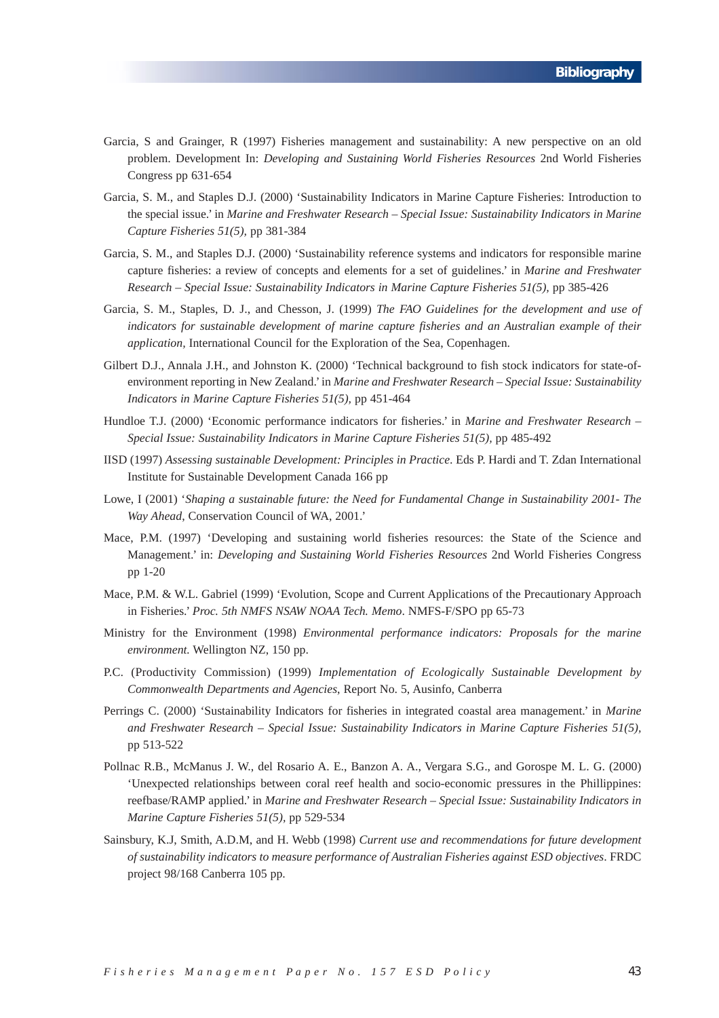- Garcia, S and Grainger, R (1997) Fisheries management and sustainability: A new perspective on an old problem. Development In: *Developing and Sustaining World Fisheries Resources* 2nd World Fisheries Congress pp 631-654
- Garcia, S. M., and Staples D.J. (2000) 'Sustainability Indicators in Marine Capture Fisheries: Introduction to the special issue.' in *Marine and Freshwater Research – Special Issue: Sustainability Indicators in Marine Capture Fisheries 51(5),* pp 381-384
- Garcia, S. M., and Staples D.J. (2000) 'Sustainability reference systems and indicators for responsible marine capture fisheries: a review of concepts and elements for a set of guidelines.' in *Marine and Freshwater Research – Special Issue: Sustainability Indicators in Marine Capture Fisheries 51(5),* pp 385-426
- Garcia, S. M., Staples, D. J., and Chesson, J. (1999) *The FAO Guidelines for the development and use of indicators for sustainable development of marine capture fisheries and an Australian example of their application,* International Council for the Exploration of the Sea, Copenhagen.
- Gilbert D.J., Annala J.H., and Johnston K. (2000) 'Technical background to fish stock indicators for state-ofenvironment reporting in New Zealand.' in *Marine and Freshwater Research – Special Issue: Sustainability Indicators in Marine Capture Fisheries 51(5),* pp 451-464
- Hundloe T.J. (2000) 'Economic performance indicators for fisheries.' in *Marine and Freshwater Research – Special Issue: Sustainability Indicators in Marine Capture Fisheries 51(5),* pp 485-492
- IISD (1997) *Assessing sustainable Development: Principles in Practice*. Eds P. Hardi and T. Zdan International Institute for Sustainable Development Canada 166 pp
- Lowe, I (2001) '*Shaping a sustainable future: the Need for Fundamental Change in Sustainability 2001- The Way Ahead*, Conservation Council of WA, 2001.'
- Mace, P.M. (1997) 'Developing and sustaining world fisheries resources: the State of the Science and Management.' in: *Developing and Sustaining World Fisheries Resources* 2nd World Fisheries Congress pp 1-20
- Mace, P.M. & W.L. Gabriel (1999) 'Evolution, Scope and Current Applications of the Precautionary Approach in Fisheries.' *Proc. 5th NMFS NSAW NOAA Tech. Memo*. NMFS-F/SPO pp 65-73
- Ministry for the Environment (1998) *Environmental performance indicators: Proposals for the marine environment.* Wellington NZ, 150 pp.
- P.C. (Productivity Commission) (1999) *Implementation of Ecologically Sustainable Development by Commonwealth Departments and Agencies*, Report No. 5, Ausinfo, Canberra
- Perrings C. (2000) 'Sustainability Indicators for fisheries in integrated coastal area management.' in *Marine and Freshwater Research – Special Issue: Sustainability Indicators in Marine Capture Fisheries 51(5),* pp 513-522
- Pollnac R.B., McManus J. W., del Rosario A. E., Banzon A. A., Vergara S.G., and Gorospe M. L. G. (2000) 'Unexpected relationships between coral reef health and socio-economic pressures in the Phillippines: reefbase/RAMP applied.' in *Marine and Freshwater Research – Special Issue: Sustainability Indicators in Marine Capture Fisheries 51(5),* pp 529-534
- Sainsbury, K.J, Smith, A.D.M, and H. Webb (1998) *Current use and recommendations for future development of sustainability indicators to measure performance of Australian Fisheries against ESD objectives*. FRDC project 98/168 Canberra 105 pp.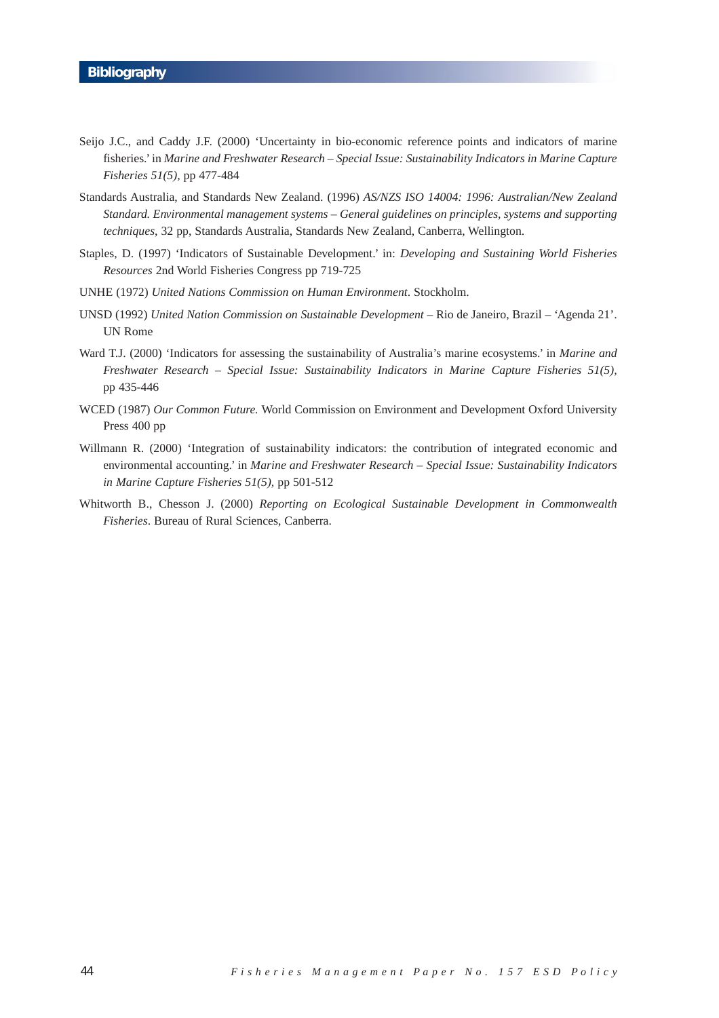- Seijo J.C., and Caddy J.F. (2000) 'Uncertainty in bio-economic reference points and indicators of marine fisheries.' in *Marine and Freshwater Research – Special Issue: Sustainability Indicators in Marine Capture Fisheries 51(5),* pp 477-484
- Standards Australia, and Standards New Zealand. (1996) *AS/NZS ISO 14004: 1996: Australian/New Zealand Standard. Environmental management systems – General guidelines on principles, systems and supporting techniques*, 32 pp, Standards Australia, Standards New Zealand, Canberra, Wellington.
- Staples, D. (1997) 'Indicators of Sustainable Development.' in: *Developing and Sustaining World Fisheries Resources* 2nd World Fisheries Congress pp 719-725
- UNHE (1972) *United Nations Commission on Human Environment*. Stockholm.
- UNSD (1992) *United Nation Commission on Sustainable Development*  Rio de Janeiro, Brazil 'Agenda 21'. UN Rome
- Ward T.J. (2000) 'Indicators for assessing the sustainability of Australia's marine ecosystems.' in *Marine and Freshwater Research – Special Issue: Sustainability Indicators in Marine Capture Fisheries 51(5),* pp 435-446
- WCED (1987) *Our Common Future.* World Commission on Environment and Development Oxford University Press 400 pp
- Willmann R. (2000) 'Integration of sustainability indicators: the contribution of integrated economic and environmental accounting.' in *Marine and Freshwater Research – Special Issue: Sustainability Indicators in Marine Capture Fisheries 51(5),* pp 501-512
- Whitworth B., Chesson J. (2000) *Reporting on Ecological Sustainable Development in Commonwealth Fisheries*. Bureau of Rural Sciences, Canberra.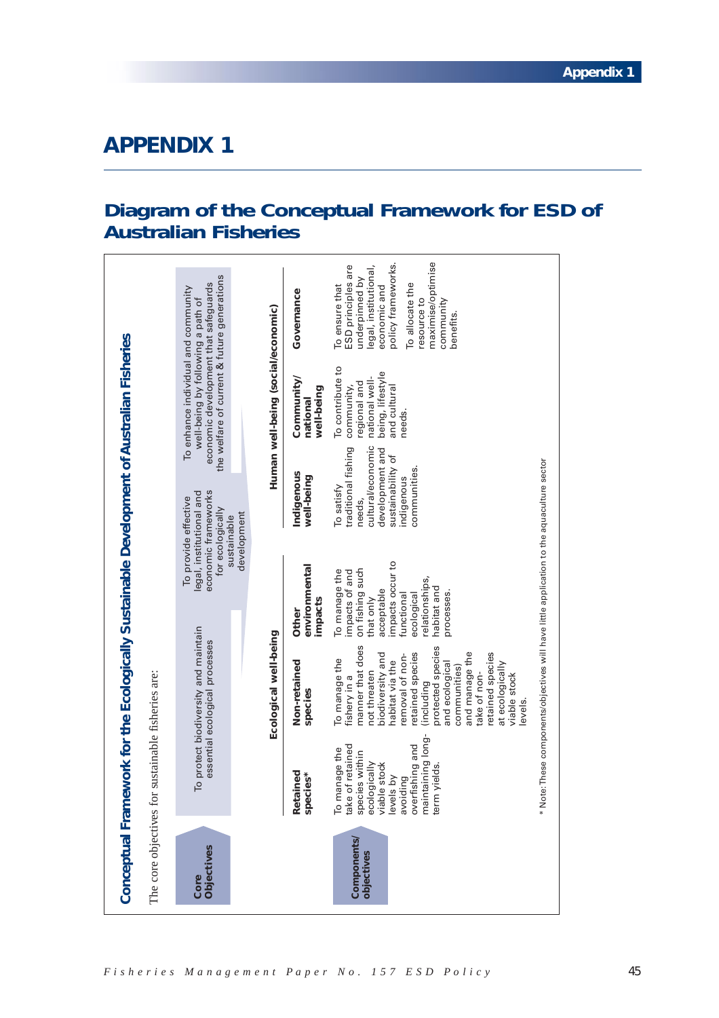# **Diagram of the Conceptual Framework for ESD of Australian Fisheries**

| The core objectives for  |                                                                                                                                                                                     |                                                                                                                                                                                                                                                                                                                         |                                                                                                                                                                              |                                                                                                                                        |                                                                                                                                                                 |                                                                                                                                                                                                        |
|--------------------------|-------------------------------------------------------------------------------------------------------------------------------------------------------------------------------------|-------------------------------------------------------------------------------------------------------------------------------------------------------------------------------------------------------------------------------------------------------------------------------------------------------------------------|------------------------------------------------------------------------------------------------------------------------------------------------------------------------------|----------------------------------------------------------------------------------------------------------------------------------------|-----------------------------------------------------------------------------------------------------------------------------------------------------------------|--------------------------------------------------------------------------------------------------------------------------------------------------------------------------------------------------------|
|                          |                                                                                                                                                                                     | sustainable fisheries are:                                                                                                                                                                                                                                                                                              |                                                                                                                                                                              |                                                                                                                                        |                                                                                                                                                                 |                                                                                                                                                                                                        |
| Objectives<br>Core       |                                                                                                                                                                                     | To protect biodiversity and maintain<br>essential ecological processes                                                                                                                                                                                                                                                  |                                                                                                                                                                              | economic frameworks<br>legal, institutional and<br>To provide effective<br>for ecologically<br>development<br>sustainable              | the welfare of current & future generations<br>economic development that safequards<br>To enhance individual and community<br>well-being by following a path of |                                                                                                                                                                                                        |
|                          |                                                                                                                                                                                     | Ecological well-being                                                                                                                                                                                                                                                                                                   |                                                                                                                                                                              |                                                                                                                                        | Human well-being (social/economic)                                                                                                                              |                                                                                                                                                                                                        |
|                          | Retained<br>species*                                                                                                                                                                | Non-retained<br>species                                                                                                                                                                                                                                                                                                 | environmental<br>impacts<br>Other                                                                                                                                            | Indigenous<br>well-being                                                                                                               | Community/<br>well-being<br>national                                                                                                                            | Governance                                                                                                                                                                                             |
| Components<br>objectives | maintaining long-<br>overfishing and<br>take of retained<br>anage the<br>species within<br>ecologically<br>viable stock<br>yields.<br>ls by<br>avoiding<br>ro<br>P<br>level<br>term | manner that does<br>protected species<br>and manage the<br>retained species<br>retained species<br>biodiversity and<br>removal of non-<br>To manage the<br>habitat via the<br>at ecologically<br>and ecological<br>communities)<br>not threaten<br>take of non-<br>viable stock<br>fishery in a<br>lincluding<br>evels. | impacts occur to<br>on fishing such<br>To manage the<br>impacts of and<br>relationships,<br>habitat and<br>acceptable<br>processes.<br>ecological<br>functional<br>that only | cultural/economic<br>traditional fishing<br>development and<br>sustainability of<br>communities.<br>indigenous<br>To satisfy<br>needs, | To contribute to<br>being, lifestyle<br>national well-<br>regional and<br>community,<br>and cultural<br>needs.                                                  | maximise/optimise<br>policy frameworks.<br>legal, institutional,<br>ESD principles are<br>underpinned by<br>To ensure that<br>economic and<br>To allocate the<br>resource to<br>community<br>benefits. |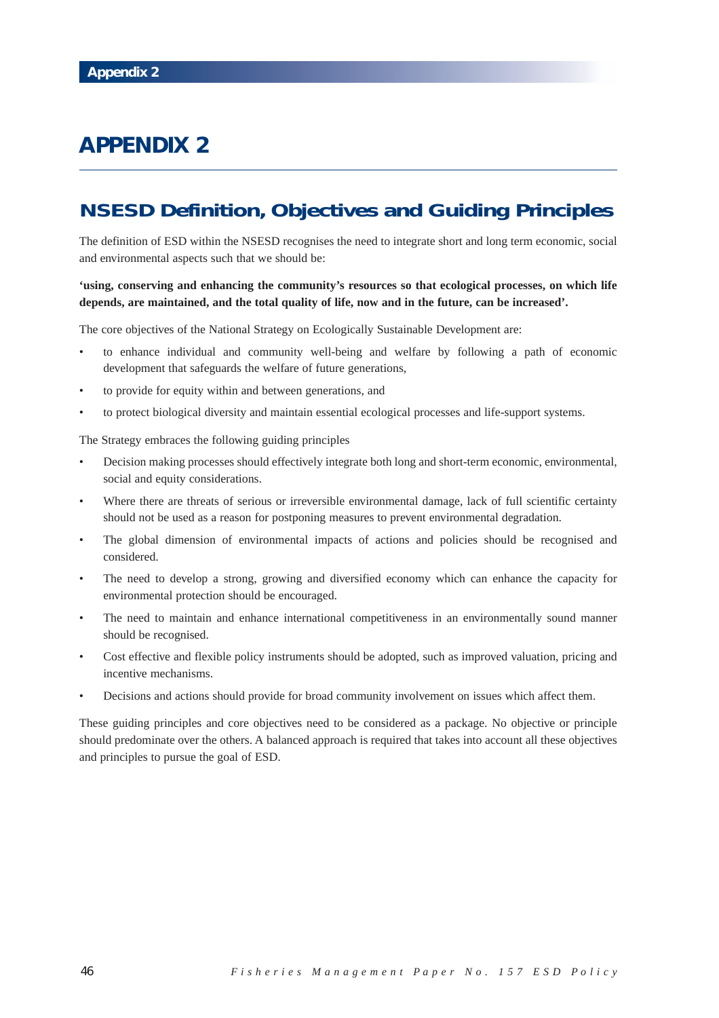# **NSESD Definition, Objectives and Guiding Principles**

The definition of ESD within the NSESD recognises the need to integrate short and long term economic, social and environmental aspects such that we should be:

## **'using, conserving and enhancing the community's resources so that ecological processes, on which life depends, are maintained, and the total quality of life, now and in the future, can be increased'.**

The core objectives of the National Strategy on Ecologically Sustainable Development are:

- to enhance individual and community well-being and welfare by following a path of economic development that safeguards the welfare of future generations,
- to provide for equity within and between generations, and
- to protect biological diversity and maintain essential ecological processes and life-support systems.

The Strategy embraces the following guiding principles

- Decision making processes should effectively integrate both long and short-term economic, environmental, social and equity considerations.
- Where there are threats of serious or irreversible environmental damage, lack of full scientific certainty should not be used as a reason for postponing measures to prevent environmental degradation.
- The global dimension of environmental impacts of actions and policies should be recognised and considered.
- The need to develop a strong, growing and diversified economy which can enhance the capacity for environmental protection should be encouraged.
- The need to maintain and enhance international competitiveness in an environmentally sound manner should be recognised.
- Cost effective and flexible policy instruments should be adopted, such as improved valuation, pricing and incentive mechanisms.
- Decisions and actions should provide for broad community involvement on issues which affect them.

These guiding principles and core objectives need to be considered as a package. No objective or principle should predominate over the others. A balanced approach is required that takes into account all these objectives and principles to pursue the goal of ESD.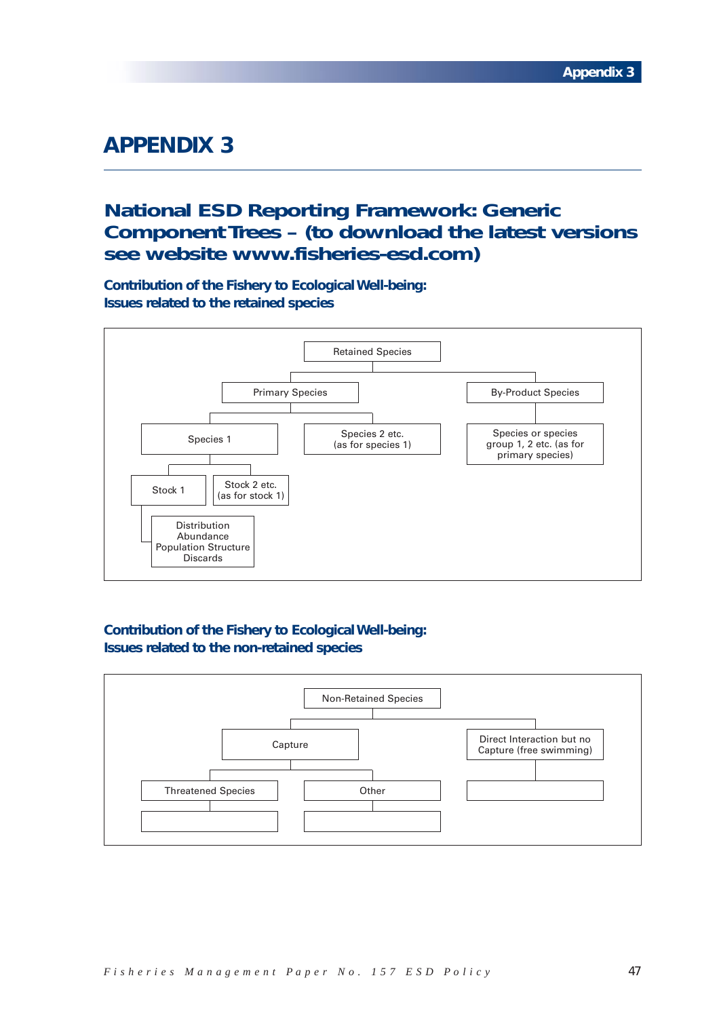# **National ESD Reporting Framework: Generic Component Trees – (to download the latest versions see website www.fisheries-esd.com)**

**Contribution of the Fishery to Ecological Well-being: Issues related to the retained species**



# **Contribution of the Fishery to Ecological Well-being: Issues related to the non-retained species**

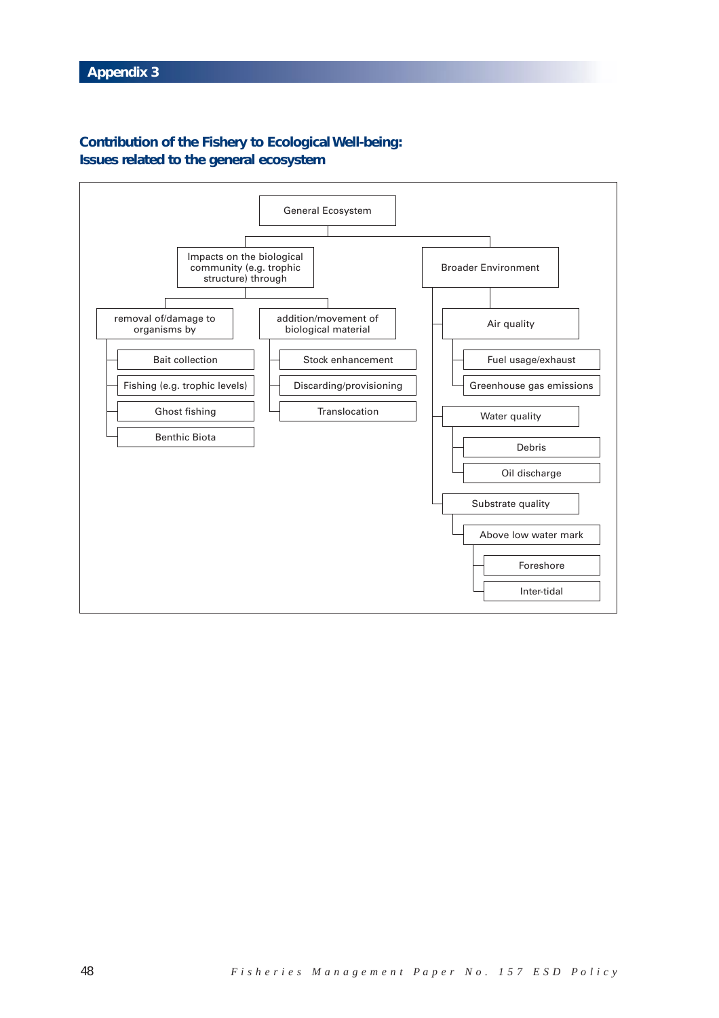# **Contribution of the Fishery to Ecological Well-being: Issues related to the general ecosystem**

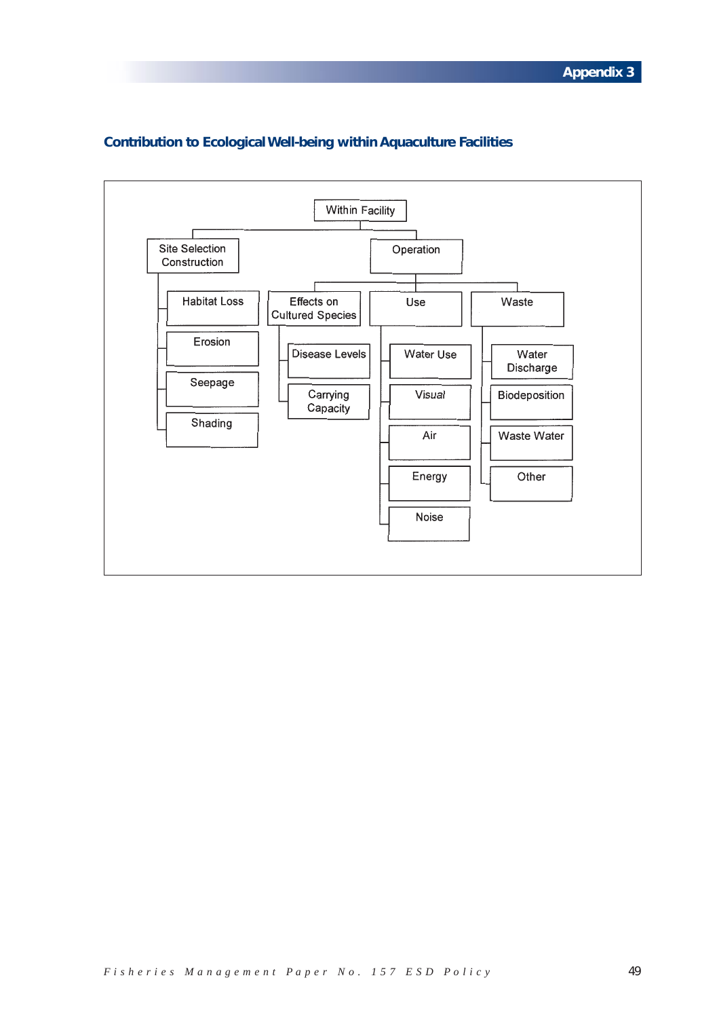

# **Contribution to Ecological Well-being within Aquaculture Facilities**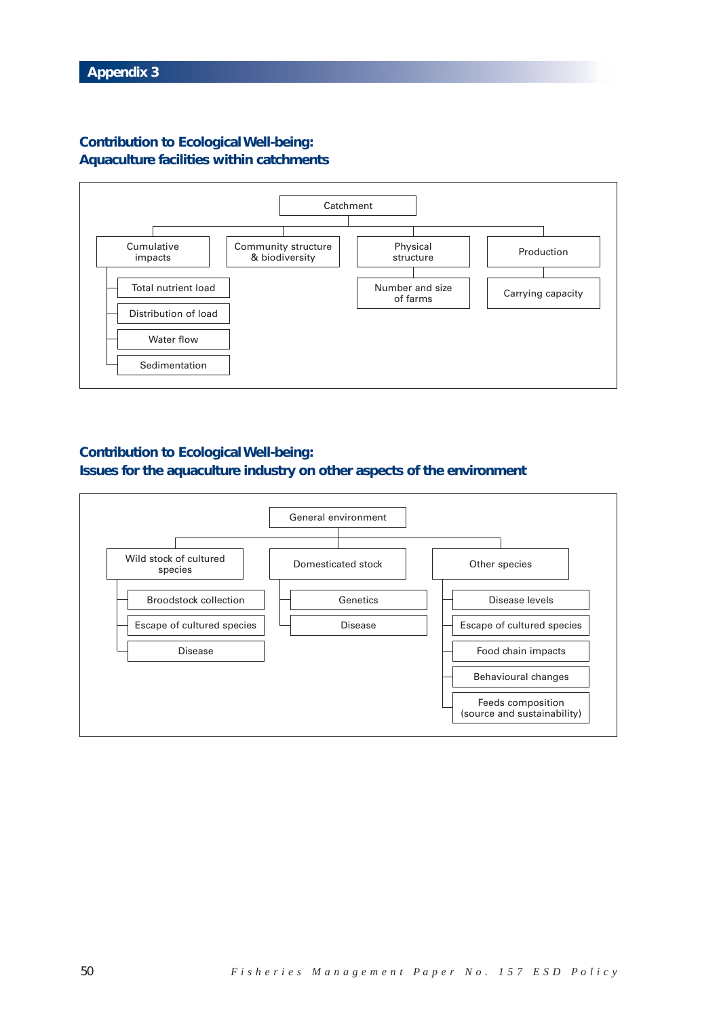## **Contribution to Ecological Well-being: Aquaculture facilities within catchments**



## **Contribution to Ecological Well-being: Issues for the aquaculture industry on other aspects of the environment**

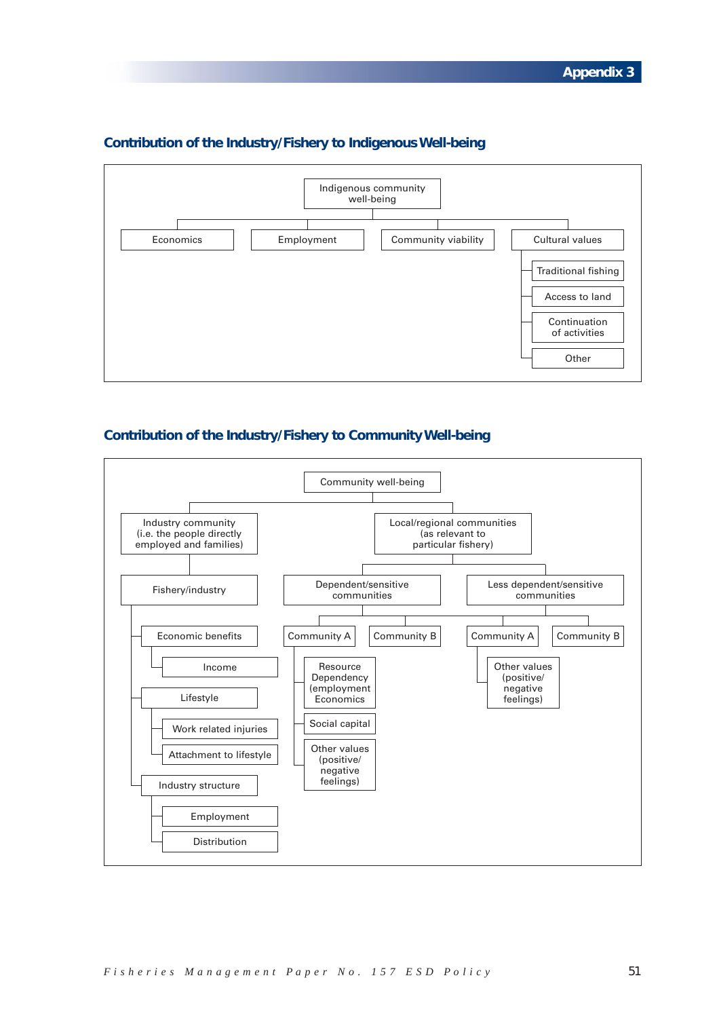

## **Contribution of the Industry/Fishery to Indigenous Well-being**

## **Contribution of the Industry/Fishery to Community Well-being**

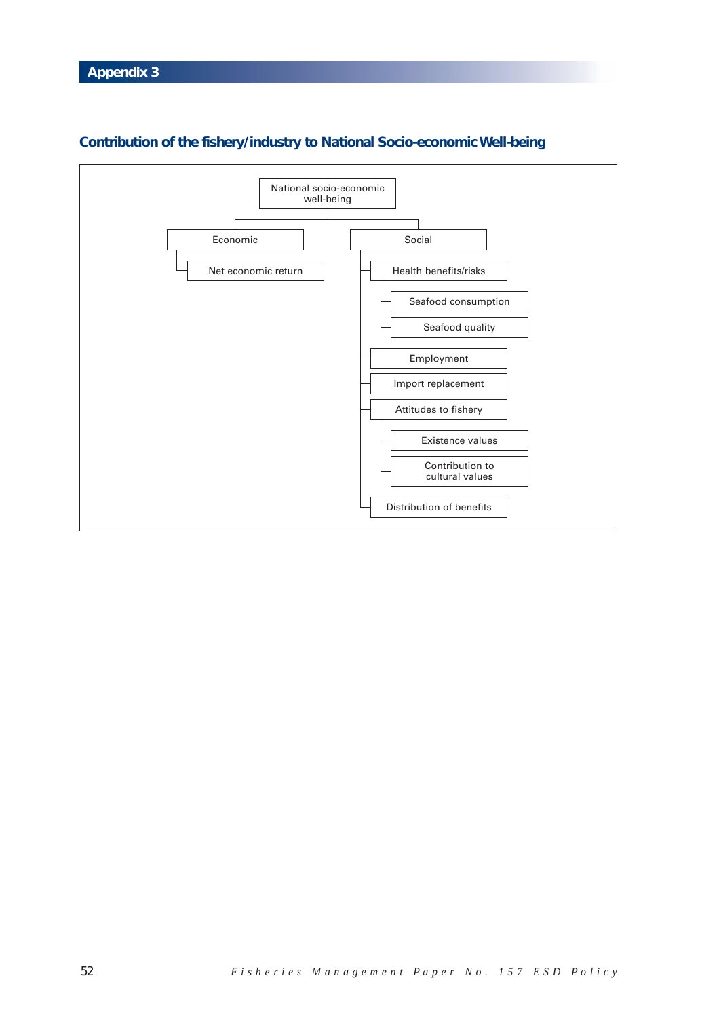

# **Contribution of the fishery/industry to National Socio-economic Well-being**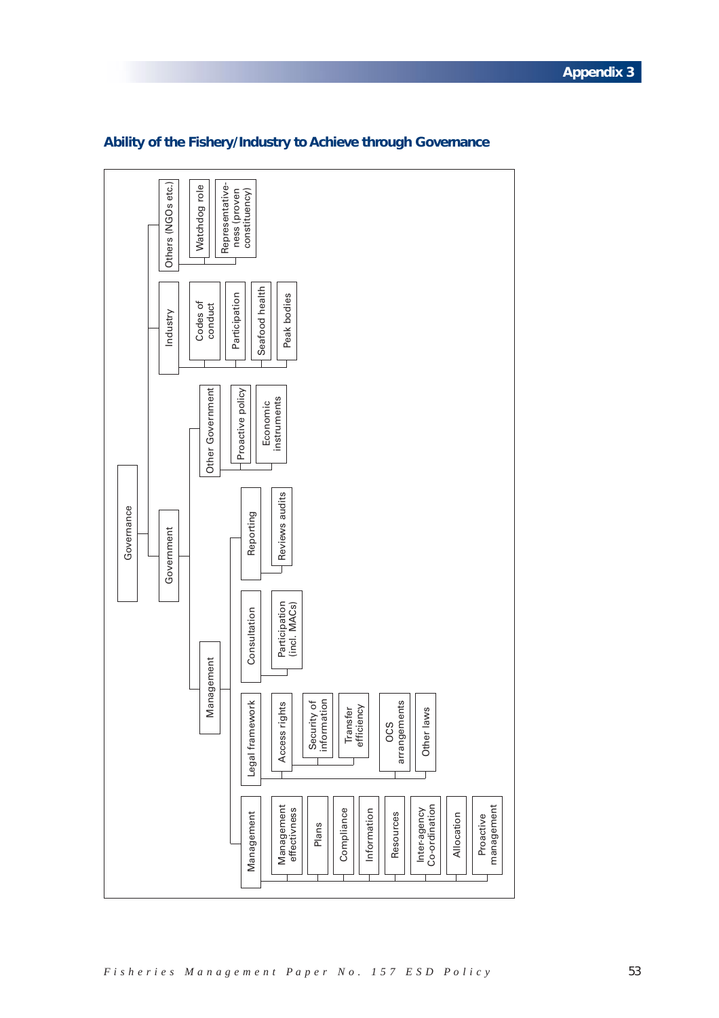

## **Ability of the Fishery/Industry to Achieve through Governance**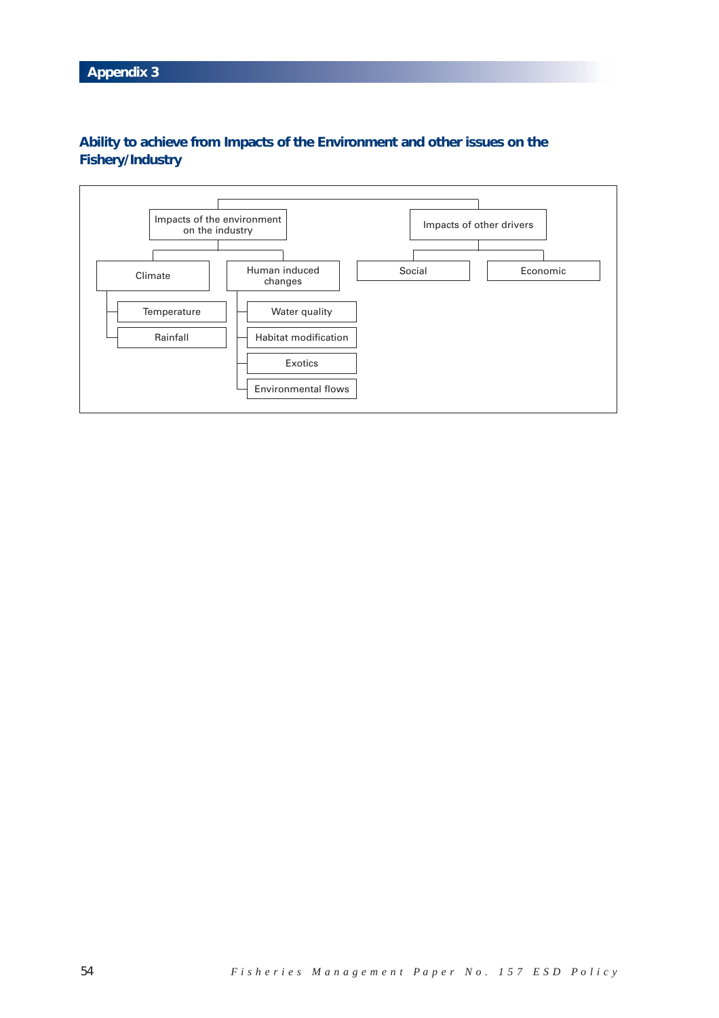# **Ability to achieve from Impacts of the Environment and other issues on the Fishery/Industry**

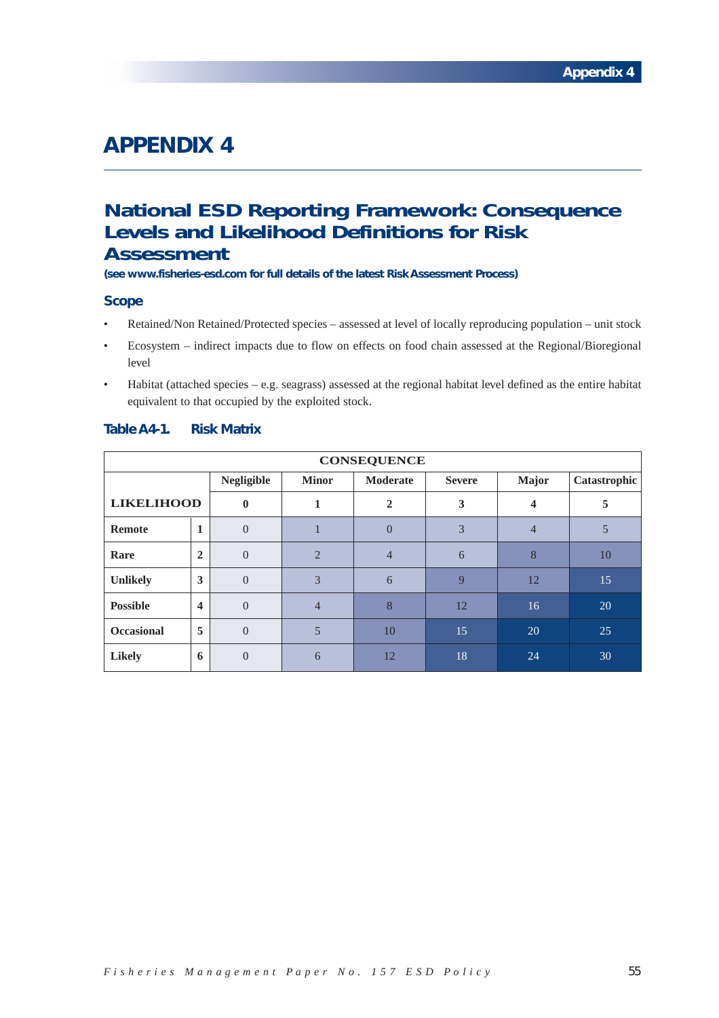# **National ESD Reporting Framework: Consequence Levels and Likelihood Definitions for Risk Assessment**

**(see www.fisheries-esd.com for full details of the latest Risk Assessment Process)**

### **Scope**

- Retained/Non Retained/Protected species assessed at level of locally reproducing population unit stock
- Ecosystem indirect impacts due to flow on effects on food chain assessed at the Regional/Bioregional level
- Habitat (attached species e.g. seagrass) assessed at the regional habitat level defined as the entire habitat equivalent to that occupied by the exploited stock.

| <b>CONSEQUENCE</b> |                |                   |                             |                 |               |       |              |
|--------------------|----------------|-------------------|-----------------------------|-----------------|---------------|-------|--------------|
|                    |                | <b>Negligible</b> | <b>Minor</b>                | <b>Moderate</b> | <b>Severe</b> | Major | Catastrophic |
| <b>LIKELIHOOD</b>  |                | $\mathbf{0}$      |                             | $\overline{2}$  | 3             | 4     | 5            |
| Remote             | 1              | $\Omega$          |                             | $\Omega$        | 3             | 4     |              |
| Rare               | $\overline{2}$ | $\Omega$          | $\mathcal{D}_{\mathcal{L}}$ | $\overline{4}$  | 6             | 8     | 10           |
| <b>Unlikely</b>    | 3              | $\Omega$          | 3                           | 6               | $\mathbf{Q}$  | 12    | 15           |
| <b>Possible</b>    | 4              | $\Omega$          | $\overline{4}$              | 8               | 12            | 16    | 20           |
| <b>Occasional</b>  | 5              | $\Omega$          | 5                           | 10              | 15            | 20    | 25           |
| <b>Likely</b>      | 6              | $\Omega$          | 6                           | 12              | 18            | 24    | 30           |

## **Table A4-1. Risk Matrix**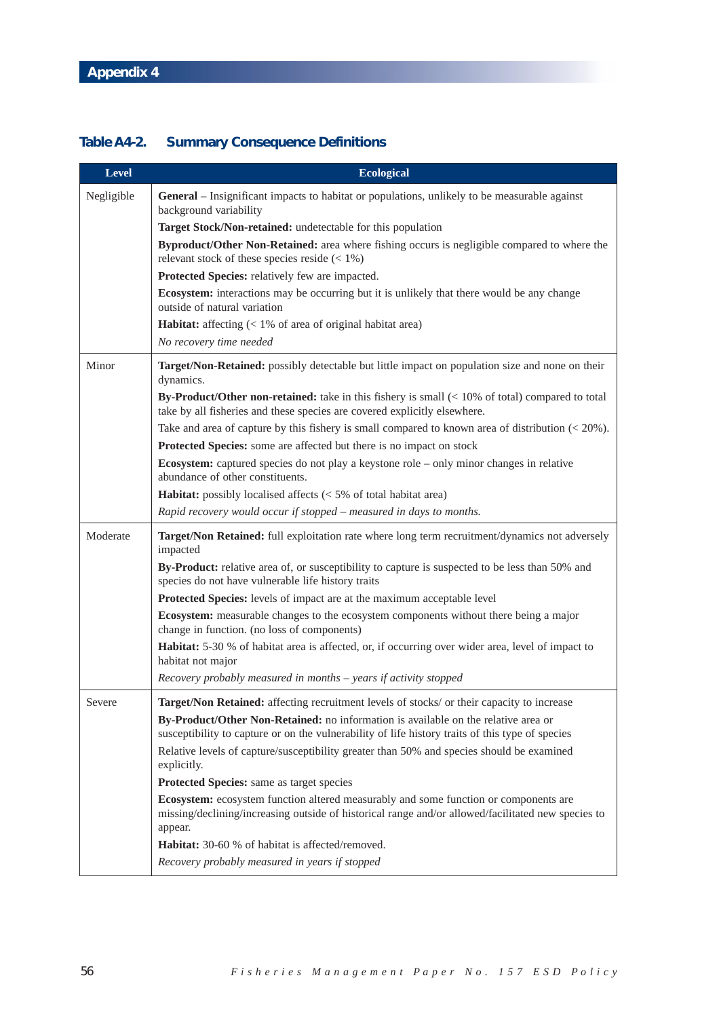# **Table A4-2. Summary Consequence Definitions**

| <b>Level</b> | <b>Ecological</b>                                                                                                                                                                                                                                                                   |
|--------------|-------------------------------------------------------------------------------------------------------------------------------------------------------------------------------------------------------------------------------------------------------------------------------------|
| Negligible   | <b>General</b> – Insignificant impacts to habitat or populations, unlikely to be measurable against<br>background variability                                                                                                                                                       |
|              | Target Stock/Non-retained: undetectable for this population                                                                                                                                                                                                                         |
|              | Byproduct/Other Non-Retained: area where fishing occurs is negligible compared to where the                                                                                                                                                                                         |
|              | relevant stock of these species reside $(< 1\%)$                                                                                                                                                                                                                                    |
|              | Protected Species: relatively few are impacted.                                                                                                                                                                                                                                     |
|              | <b>Ecosystem:</b> interactions may be occurring but it is unlikely that there would be any change<br>outside of natural variation                                                                                                                                                   |
|              | <b>Habitat:</b> affecting $\left($ < 1% of area of original habitat area)                                                                                                                                                                                                           |
|              | No recovery time needed                                                                                                                                                                                                                                                             |
| Minor        | Target/Non-Retained: possibly detectable but little impact on population size and none on their<br>dynamics.                                                                                                                                                                        |
|              | By-Product/Other non-retained: take in this fishery is small $(< 10\%$ of total) compared to total<br>take by all fisheries and these species are covered explicitly elsewhere.                                                                                                     |
|              | Take and area of capture by this fishery is small compared to known area of distribution $\left($ < 20%).                                                                                                                                                                           |
|              | Protected Species: some are affected but there is no impact on stock                                                                                                                                                                                                                |
|              | Ecosystem: captured species do not play a keystone role – only minor changes in relative<br>abundance of other constituents.                                                                                                                                                        |
|              | <b>Habitat:</b> possibly localised affects $\left($ < 5% of total habitat area)                                                                                                                                                                                                     |
|              | Rapid recovery would occur if stopped – measured in days to months.                                                                                                                                                                                                                 |
| Moderate     | Target/Non Retained: full exploitation rate where long term recruitment/dynamics not adversely<br>impacted                                                                                                                                                                          |
|              | By-Product: relative area of, or susceptibility to capture is suspected to be less than 50% and<br>species do not have vulnerable life history traits                                                                                                                               |
|              | Protected Species: levels of impact are at the maximum acceptable level                                                                                                                                                                                                             |
|              | Ecosystem: measurable changes to the ecosystem components without there being a major<br>change in function. (no loss of components)                                                                                                                                                |
|              | <b>Habitat:</b> 5-30 % of habitat area is affected, or, if occurring over wider area, level of impact to<br>habitat not major                                                                                                                                                       |
|              | $Recovery$ probably measured in months $-$ years if activity stopped                                                                                                                                                                                                                |
| Severe       | Target/Non Retained: affecting recruitment levels of stocks/ or their capacity to increase                                                                                                                                                                                          |
|              | By-Product/Other Non-Retained: no information is available on the relative area or<br>susceptibility to capture or on the vulnerability of life history traits of this type of species<br>Relative levels of capture/susceptibility greater than 50% and species should be examined |
|              | explicitly.                                                                                                                                                                                                                                                                         |
|              | Protected Species: same as target species                                                                                                                                                                                                                                           |
|              | Ecosystem: ecosystem function altered measurably and some function or components are<br>missing/declining/increasing outside of historical range and/or allowed/facilitated new species to<br>appear.                                                                               |
|              | Habitat: 30-60 % of habitat is affected/removed.                                                                                                                                                                                                                                    |
|              | Recovery probably measured in years if stopped                                                                                                                                                                                                                                      |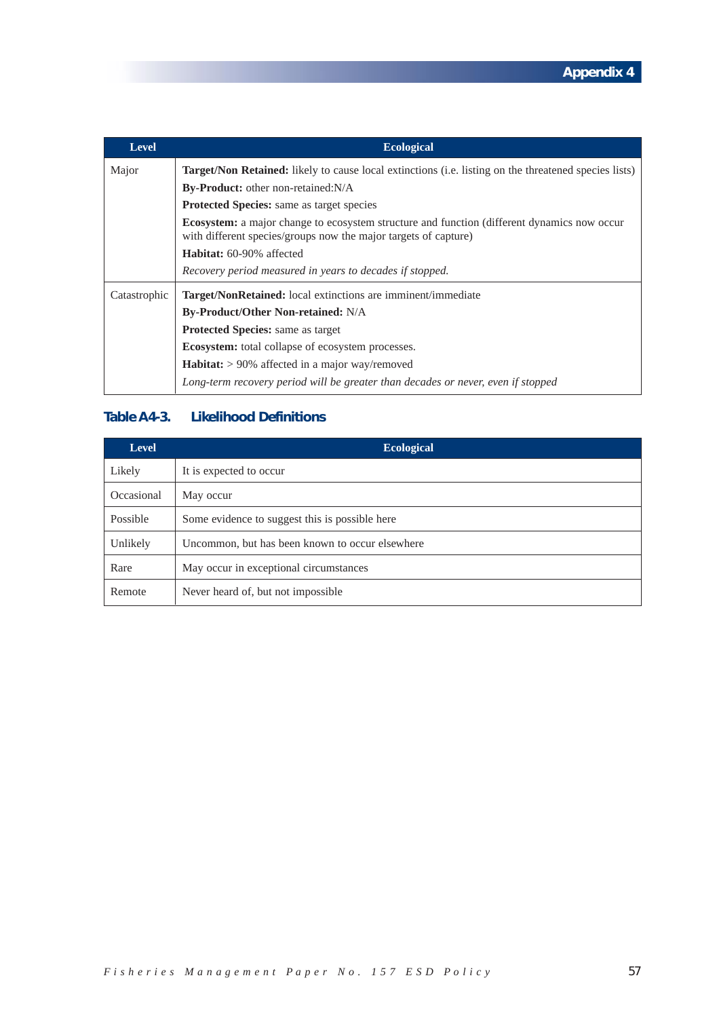| <b>Level</b> | <b>Ecological</b>                                                                                                                                                     |
|--------------|-----------------------------------------------------------------------------------------------------------------------------------------------------------------------|
| Major        | <b>Target/Non Retained:</b> likely to cause local extinctions (i.e. listing on the threatened species lists)                                                          |
|              | <b>By-Product:</b> other non-retained: N/A                                                                                                                            |
|              | <b>Protected Species:</b> same as target species                                                                                                                      |
|              | <b>Ecosystem:</b> a major change to ecosystem structure and function (different dynamics now occur<br>with different species/groups now the major targets of capture) |
|              | <b>Habitat:</b> 60-90% affected                                                                                                                                       |
|              | Recovery period measured in years to decades if stopped.                                                                                                              |
| Catastrophic | Target/NonRetained: local extinctions are imminent/immediate                                                                                                          |
|              | <b>By-Product/Other Non-retained: N/A</b>                                                                                                                             |
|              | <b>Protected Species:</b> same as target                                                                                                                              |
|              | <b>Ecosystem:</b> total collapse of ecosystem processes.                                                                                                              |
|              | <b>Habitat:</b> $> 90\%$ affected in a major way/removed                                                                                                              |
|              | Long-term recovery period will be greater than decades or never, even if stopped                                                                                      |

# **Table A4-3. Likelihood Definitions**

| <b>Level</b> | <b>Ecological</b>                               |  |  |
|--------------|-------------------------------------------------|--|--|
| Likely       | It is expected to occur                         |  |  |
| Occasional   | May occur                                       |  |  |
| Possible     | Some evidence to suggest this is possible here  |  |  |
| Unlikely     | Uncommon, but has been known to occur elsewhere |  |  |
| Rare         | May occur in exceptional circumstances          |  |  |
| Remote       | Never heard of, but not impossible              |  |  |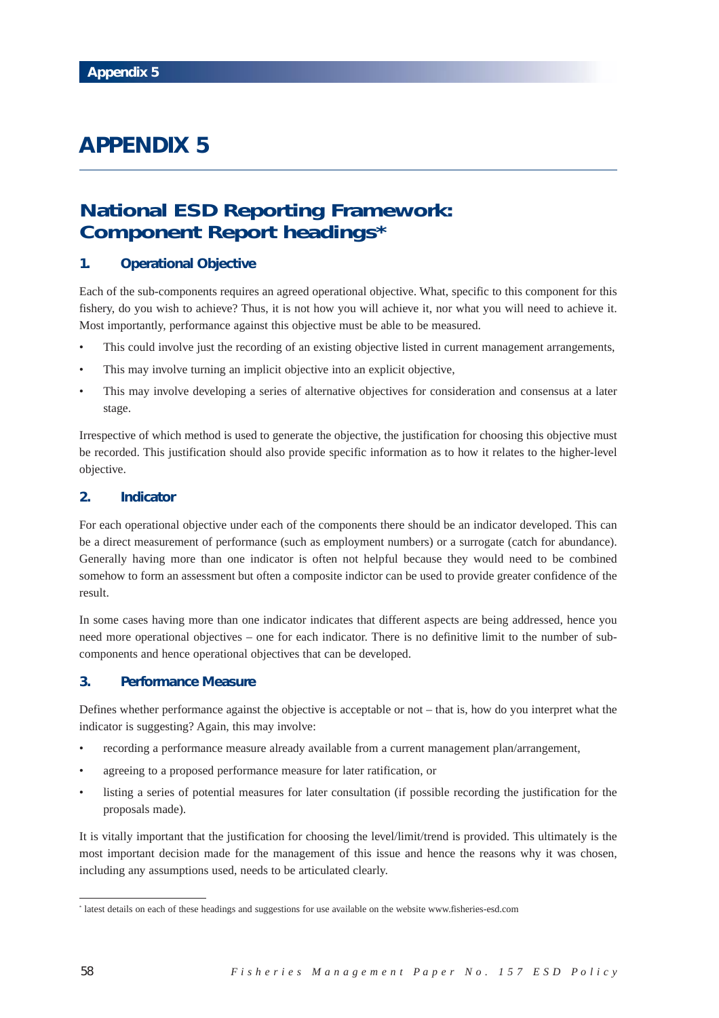# **National ESD Reporting Framework: Component Report headings\***

## **1. Operational Objective**

Each of the sub-components requires an agreed operational objective. What, specific to this component for this fishery, do you wish to achieve? Thus, it is not how you will achieve it, nor what you will need to achieve it. Most importantly, performance against this objective must be able to be measured.

- This could involve just the recording of an existing objective listed in current management arrangements,
- This may involve turning an implicit objective into an explicit objective,
- This may involve developing a series of alternative objectives for consideration and consensus at a later stage.

Irrespective of which method is used to generate the objective, the justification for choosing this objective must be recorded. This justification should also provide specific information as to how it relates to the higher-level objective.

## **2. Indicator**

For each operational objective under each of the components there should be an indicator developed. This can be a direct measurement of performance (such as employment numbers) or a surrogate (catch for abundance). Generally having more than one indicator is often not helpful because they would need to be combined somehow to form an assessment but often a composite indictor can be used to provide greater confidence of the result.

In some cases having more than one indicator indicates that different aspects are being addressed, hence you need more operational objectives – one for each indicator. There is no definitive limit to the number of subcomponents and hence operational objectives that can be developed.

## **3. Performance Measure**

Defines whether performance against the objective is acceptable or not – that is, how do you interpret what the indicator is suggesting? Again, this may involve:

- recording a performance measure already available from a current management plan/arrangement,
- agreeing to a proposed performance measure for later ratification, or
- listing a series of potential measures for later consultation (if possible recording the justification for the proposals made).

It is vitally important that the justification for choosing the level/limit/trend is provided. This ultimately is the most important decision made for the management of this issue and hence the reasons why it was chosen, including any assumptions used, needs to be articulated clearly.

<sup>\*</sup> latest details on each of these headings and suggestions for use available on the website www.fisheries-esd.com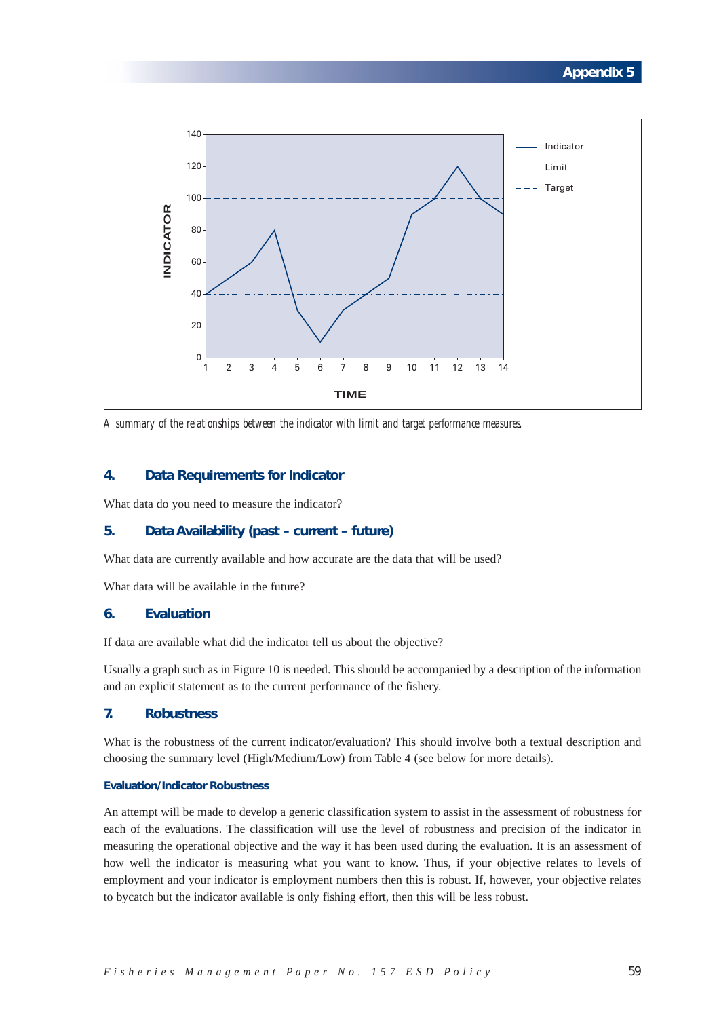

*A summary of the relationships between the indicator with limit and target performance measures.*

## **4. Data Requirements for Indicator**

What data do you need to measure the indicator?

#### **5. Data Availability (past – current – future)**

What data are currently available and how accurate are the data that will be used?

What data will be available in the future?

## **6. Evaluation**

If data are available what did the indicator tell us about the objective?

Usually a graph such as in Figure 10 is needed. This should be accompanied by a description of the information and an explicit statement as to the current performance of the fishery.

## **7. Robustness**

What is the robustness of the current indicator/evaluation? This should involve both a textual description and choosing the summary level (High/Medium/Low) from Table 4 (see below for more details).

### **Evaluation/Indicator Robustness**

An attempt will be made to develop a generic classification system to assist in the assessment of robustness for each of the evaluations. The classification will use the level of robustness and precision of the indicator in measuring the operational objective and the way it has been used during the evaluation. It is an assessment of how well the indicator is measuring what you want to know. Thus, if your objective relates to levels of employment and your indicator is employment numbers then this is robust. If, however, your objective relates to bycatch but the indicator available is only fishing effort, then this will be less robust.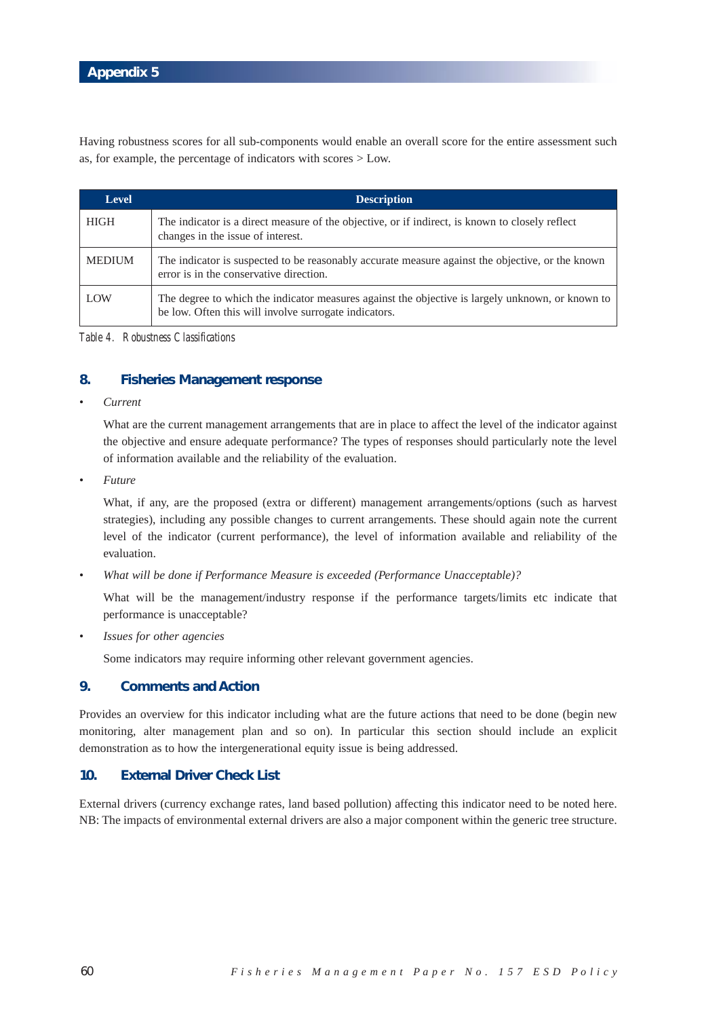Having robustness scores for all sub-components would enable an overall score for the entire assessment such as, for example, the percentage of indicators with scores > Low.

| <b>Level</b>  | <b>Description</b>                                                                                                                                        |
|---------------|-----------------------------------------------------------------------------------------------------------------------------------------------------------|
| HIGH          | The indicator is a direct measure of the objective, or if indirect, is known to closely reflect<br>changes in the issue of interest.                      |
| <b>MEDIUM</b> | The indicator is suspected to be reasonably accurate measure against the objective, or the known<br>error is in the conservative direction.               |
| LOW           | The degree to which the indicator measures against the objective is largely unknown, or known to<br>be low. Often this will involve surrogate indicators. |

*Table 4. Robustness Classifications*

## **8. Fisheries Management response**

*• Current*

What are the current management arrangements that are in place to affect the level of the indicator against the objective and ensure adequate performance? The types of responses should particularly note the level of information available and the reliability of the evaluation.

*• Future*

What, if any, are the proposed (extra or different) management arrangements/options (such as harvest strategies), including any possible changes to current arrangements. These should again note the current level of the indicator (current performance), the level of information available and reliability of the evaluation.

*• What will be done if Performance Measure is exceeded (Performance Unacceptable)?*

What will be the management/industry response if the performance targets/limits etc indicate that performance is unacceptable?

*• Issues for other agencies*

Some indicators may require informing other relevant government agencies.

## **9. Comments and Action**

Provides an overview for this indicator including what are the future actions that need to be done (begin new monitoring, alter management plan and so on). In particular this section should include an explicit demonstration as to how the intergenerational equity issue is being addressed.

### **10. External Driver Check List**

External drivers (currency exchange rates, land based pollution) affecting this indicator need to be noted here. NB: The impacts of environmental external drivers are also a major component within the generic tree structure.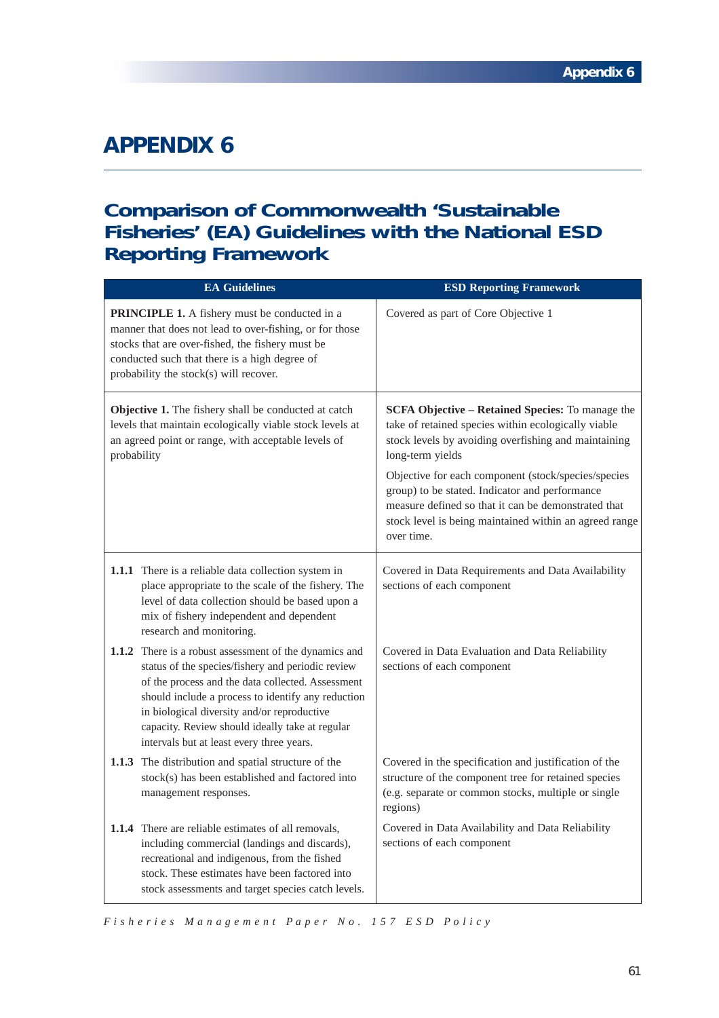# **Comparison of Commonwealth 'Sustainable Fisheries' (EA) Guidelines with the National ESD Reporting Framework**

| <b>EA Guidelines</b>                                                                                                                                                                                                                                                                                                                                                  | <b>ESD Reporting Framework</b>                                                                                                                                                                                                                                                                                                                                                                                              |
|-----------------------------------------------------------------------------------------------------------------------------------------------------------------------------------------------------------------------------------------------------------------------------------------------------------------------------------------------------------------------|-----------------------------------------------------------------------------------------------------------------------------------------------------------------------------------------------------------------------------------------------------------------------------------------------------------------------------------------------------------------------------------------------------------------------------|
| <b>PRINCIPLE 1.</b> A fishery must be conducted in a<br>manner that does not lead to over-fishing, or for those<br>stocks that are over-fished, the fishery must be<br>conducted such that there is a high degree of<br>probability the stock(s) will recover.                                                                                                        | Covered as part of Core Objective 1                                                                                                                                                                                                                                                                                                                                                                                         |
| Objective 1. The fishery shall be conducted at catch<br>levels that maintain ecologically viable stock levels at<br>an agreed point or range, with acceptable levels of<br>probability                                                                                                                                                                                | SCFA Objective - Retained Species: To manage the<br>take of retained species within ecologically viable<br>stock levels by avoiding overfishing and maintaining<br>long-term yields<br>Objective for each component (stock/species/species<br>group) to be stated. Indicator and performance<br>measure defined so that it can be demonstrated that<br>stock level is being maintained within an agreed range<br>over time. |
| 1.1.1 There is a reliable data collection system in<br>place appropriate to the scale of the fishery. The<br>level of data collection should be based upon a<br>mix of fishery independent and dependent<br>research and monitoring.                                                                                                                                  | Covered in Data Requirements and Data Availability<br>sections of each component                                                                                                                                                                                                                                                                                                                                            |
| 1.1.2 There is a robust assessment of the dynamics and<br>status of the species/fishery and periodic review<br>of the process and the data collected. Assessment<br>should include a process to identify any reduction<br>in biological diversity and/or reproductive<br>capacity. Review should ideally take at regular<br>intervals but at least every three years. | Covered in Data Evaluation and Data Reliability<br>sections of each component                                                                                                                                                                                                                                                                                                                                               |
| 1.1.3 The distribution and spatial structure of the<br>stock(s) has been established and factored into<br>management responses.                                                                                                                                                                                                                                       | Covered in the specification and justification of the<br>structure of the component tree for retained species<br>(e.g. separate or common stocks, multiple or single<br>regions)                                                                                                                                                                                                                                            |
| <b>1.1.4</b> There are reliable estimates of all removals,<br>including commercial (landings and discards),<br>recreational and indigenous, from the fished<br>stock. These estimates have been factored into<br>stock assessments and target species catch levels.                                                                                                   | Covered in Data Availability and Data Reliability<br>sections of each component                                                                                                                                                                                                                                                                                                                                             |

*F isheries Management Paper No. 157 ESD Policy*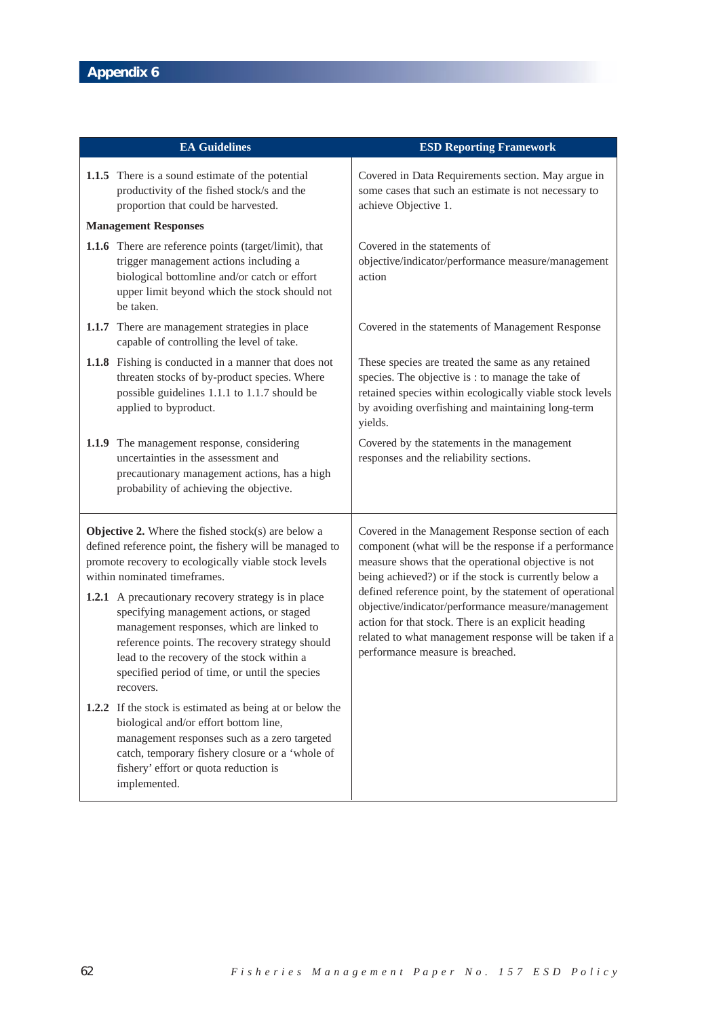| <b>EA Guidelines</b>                                                                                                                                                                                                                                                                                                                                                                                                                                                                                                                 |                                                                                                                                                                                                                                                               | <b>ESD Reporting Framework</b>                                                                                                                                                                                                                                                                                                                                                                                                                                                                     |
|--------------------------------------------------------------------------------------------------------------------------------------------------------------------------------------------------------------------------------------------------------------------------------------------------------------------------------------------------------------------------------------------------------------------------------------------------------------------------------------------------------------------------------------|---------------------------------------------------------------------------------------------------------------------------------------------------------------------------------------------------------------------------------------------------------------|----------------------------------------------------------------------------------------------------------------------------------------------------------------------------------------------------------------------------------------------------------------------------------------------------------------------------------------------------------------------------------------------------------------------------------------------------------------------------------------------------|
|                                                                                                                                                                                                                                                                                                                                                                                                                                                                                                                                      | 1.1.5 There is a sound estimate of the potential<br>productivity of the fished stock/s and the<br>proportion that could be harvested.                                                                                                                         | Covered in Data Requirements section. May argue in<br>some cases that such an estimate is not necessary to<br>achieve Objective 1.                                                                                                                                                                                                                                                                                                                                                                 |
|                                                                                                                                                                                                                                                                                                                                                                                                                                                                                                                                      | <b>Management Responses</b>                                                                                                                                                                                                                                   |                                                                                                                                                                                                                                                                                                                                                                                                                                                                                                    |
|                                                                                                                                                                                                                                                                                                                                                                                                                                                                                                                                      | 1.1.6 There are reference points (target/limit), that<br>trigger management actions including a<br>biological bottomline and/or catch or effort<br>upper limit beyond which the stock should not<br>be taken.                                                 | Covered in the statements of<br>objective/indicator/performance measure/management<br>action                                                                                                                                                                                                                                                                                                                                                                                                       |
|                                                                                                                                                                                                                                                                                                                                                                                                                                                                                                                                      | 1.1.7 There are management strategies in place<br>capable of controlling the level of take.                                                                                                                                                                   | Covered in the statements of Management Response                                                                                                                                                                                                                                                                                                                                                                                                                                                   |
|                                                                                                                                                                                                                                                                                                                                                                                                                                                                                                                                      | 1.1.8 Fishing is conducted in a manner that does not<br>threaten stocks of by-product species. Where<br>possible guidelines 1.1.1 to 1.1.7 should be<br>applied to byproduct.                                                                                 | These species are treated the same as any retained<br>species. The objective is : to manage the take of<br>retained species within ecologically viable stock levels<br>by avoiding overfishing and maintaining long-term<br>yields.                                                                                                                                                                                                                                                                |
|                                                                                                                                                                                                                                                                                                                                                                                                                                                                                                                                      | 1.1.9 The management response, considering<br>uncertainties in the assessment and<br>precautionary management actions, has a high<br>probability of achieving the objective.                                                                                  | Covered by the statements in the management<br>responses and the reliability sections.                                                                                                                                                                                                                                                                                                                                                                                                             |
| <b>Objective 2.</b> Where the fished $stock(s)$ are below a<br>defined reference point, the fishery will be managed to<br>promote recovery to ecologically viable stock levels<br>within nominated timeframes.<br><b>1.2.1</b> A precautionary recovery strategy is in place<br>specifying management actions, or staged<br>management responses, which are linked to<br>reference points. The recovery strategy should<br>lead to the recovery of the stock within a<br>specified period of time, or until the species<br>recovers. |                                                                                                                                                                                                                                                               | Covered in the Management Response section of each<br>component (what will be the response if a performance<br>measure shows that the operational objective is not<br>being achieved?) or if the stock is currently below a<br>defined reference point, by the statement of operational<br>objective/indicator/performance measure/management<br>action for that stock. There is an explicit heading<br>related to what management response will be taken if a<br>performance measure is breached. |
|                                                                                                                                                                                                                                                                                                                                                                                                                                                                                                                                      | 1.2.2 If the stock is estimated as being at or below the<br>biological and/or effort bottom line,<br>management responses such as a zero targeted<br>catch, temporary fishery closure or a 'whole of<br>fishery' effort or quota reduction is<br>implemented. |                                                                                                                                                                                                                                                                                                                                                                                                                                                                                                    |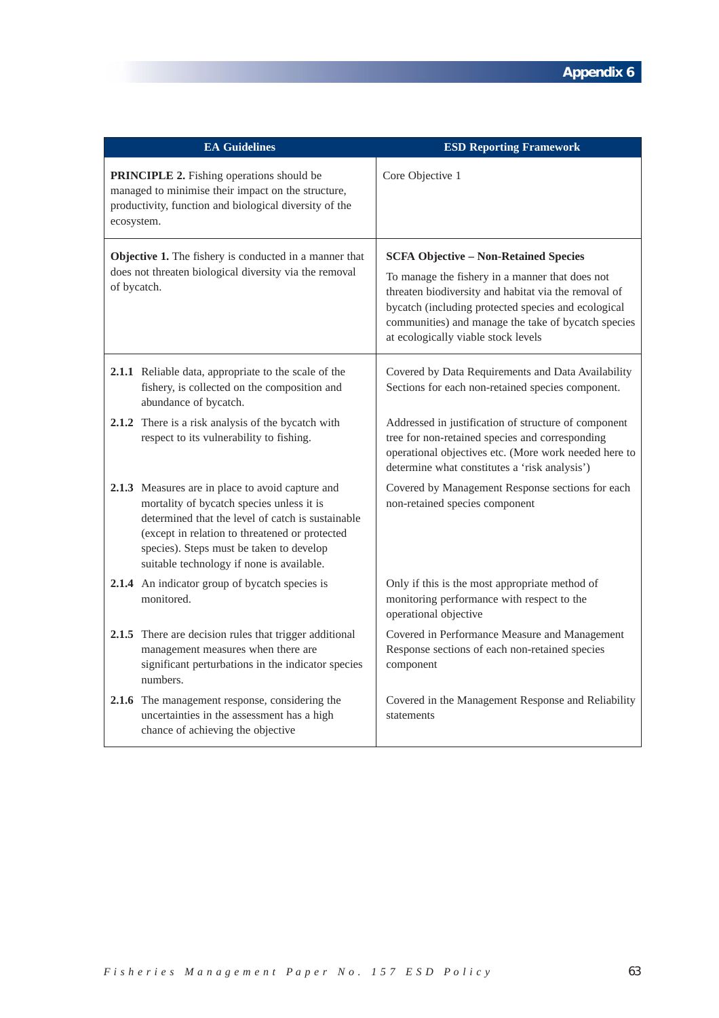|                                                                                                                                                                                | <b>EA Guidelines</b>                                                                                                                                                                                                                      | <b>ESD Reporting Framework</b>                                                                                                                                                                                                                                                                               |
|--------------------------------------------------------------------------------------------------------------------------------------------------------------------------------|-------------------------------------------------------------------------------------------------------------------------------------------------------------------------------------------------------------------------------------------|--------------------------------------------------------------------------------------------------------------------------------------------------------------------------------------------------------------------------------------------------------------------------------------------------------------|
| <b>PRINCIPLE 2.</b> Fishing operations should be<br>managed to minimise their impact on the structure,<br>productivity, function and biological diversity of the<br>ecosystem. |                                                                                                                                                                                                                                           | Core Objective 1                                                                                                                                                                                                                                                                                             |
| Objective 1. The fishery is conducted in a manner that<br>does not threaten biological diversity via the removal<br>of bycatch.                                                |                                                                                                                                                                                                                                           | <b>SCFA Objective - Non-Retained Species</b><br>To manage the fishery in a manner that does not<br>threaten biodiversity and habitat via the removal of<br>bycatch (including protected species and ecological<br>communities) and manage the take of bycatch species<br>at ecologically viable stock levels |
| abundance of bycatch.                                                                                                                                                          | 2.1.1 Reliable data, appropriate to the scale of the<br>fishery, is collected on the composition and                                                                                                                                      | Covered by Data Requirements and Data Availability<br>Sections for each non-retained species component.                                                                                                                                                                                                      |
| 2.1.2 There is a risk analysis of the bycatch with<br>respect to its vulnerability to fishing.                                                                                 |                                                                                                                                                                                                                                           | Addressed in justification of structure of component<br>tree for non-retained species and corresponding<br>operational objectives etc. (More work needed here to<br>determine what constitutes a 'risk analysis')                                                                                            |
| 2.1.3 Measures are in place to avoid capture and                                                                                                                               | mortality of bycatch species unless it is<br>determined that the level of catch is sustainable<br>(except in relation to threatened or protected<br>species). Steps must be taken to develop<br>suitable technology if none is available. | Covered by Management Response sections for each<br>non-retained species component                                                                                                                                                                                                                           |
| 2.1.4 An indicator group of bycatch species is<br>monitored.                                                                                                                   |                                                                                                                                                                                                                                           | Only if this is the most appropriate method of<br>monitoring performance with respect to the<br>operational objective                                                                                                                                                                                        |
| numbers.                                                                                                                                                                       | 2.1.5 There are decision rules that trigger additional<br>management measures when there are<br>significant perturbations in the indicator species                                                                                        | Covered in Performance Measure and Management<br>Response sections of each non-retained species<br>component                                                                                                                                                                                                 |
| 2.1.6 The management response, considering the<br>chance of achieving the objective                                                                                            | uncertainties in the assessment has a high                                                                                                                                                                                                | Covered in the Management Response and Reliability<br>statements                                                                                                                                                                                                                                             |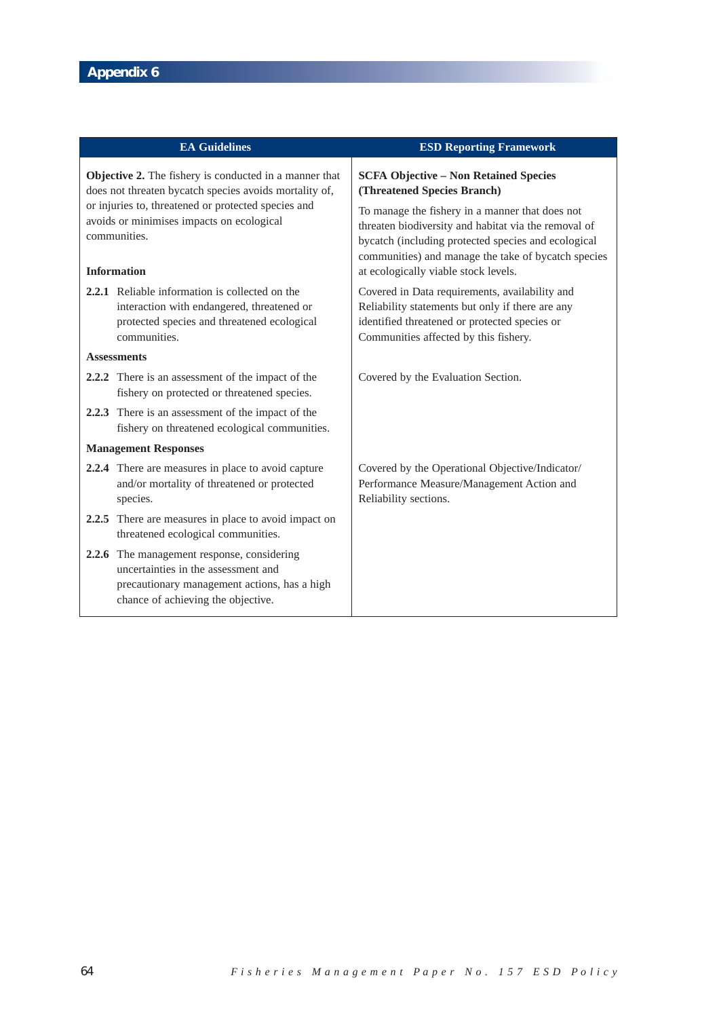|                                                                                                                                        | <b>EA Guidelines</b>                                                                                                                                                    | <b>ESD Reporting Framework</b>                                                                                                                                                                                                                                |
|----------------------------------------------------------------------------------------------------------------------------------------|-------------------------------------------------------------------------------------------------------------------------------------------------------------------------|---------------------------------------------------------------------------------------------------------------------------------------------------------------------------------------------------------------------------------------------------------------|
| Objective 2. The fishery is conducted in a manner that<br>does not threaten bycatch species avoids mortality of,                       |                                                                                                                                                                         | <b>SCFA Objective - Non Retained Species</b><br>(Threatened Species Branch)                                                                                                                                                                                   |
| or injuries to, threatened or protected species and<br>avoids or minimises impacts on ecological<br>communities.<br><b>Information</b> |                                                                                                                                                                         | To manage the fishery in a manner that does not<br>threaten biodiversity and habitat via the removal of<br>bycatch (including protected species and ecological<br>communities) and manage the take of bycatch species<br>at ecologically viable stock levels. |
|                                                                                                                                        | <b>2.2.1</b> Reliable information is collected on the<br>interaction with endangered, threatened or<br>protected species and threatened ecological<br>communities.      | Covered in Data requirements, availability and<br>Reliability statements but only if there are any<br>identified threatened or protected species or<br>Communities affected by this fishery.                                                                  |
|                                                                                                                                        | <b>Assessments</b>                                                                                                                                                      |                                                                                                                                                                                                                                                               |
|                                                                                                                                        | 2.2.2 There is an assessment of the impact of the<br>fishery on protected or threatened species.                                                                        | Covered by the Evaluation Section.                                                                                                                                                                                                                            |
|                                                                                                                                        | 2.2.3 There is an assessment of the impact of the<br>fishery on threatened ecological communities.                                                                      |                                                                                                                                                                                                                                                               |
| <b>Management Responses</b>                                                                                                            |                                                                                                                                                                         |                                                                                                                                                                                                                                                               |
|                                                                                                                                        | 2.2.4 There are measures in place to avoid capture<br>and/or mortality of threatened or protected<br>species.                                                           | Covered by the Operational Objective/Indicator/<br>Performance Measure/Management Action and<br>Reliability sections.                                                                                                                                         |
|                                                                                                                                        | 2.2.5 There are measures in place to avoid impact on<br>threatened ecological communities.                                                                              |                                                                                                                                                                                                                                                               |
|                                                                                                                                        | 2.2.6 The management response, considering<br>uncertainties in the assessment and<br>precautionary management actions, has a high<br>chance of achieving the objective. |                                                                                                                                                                                                                                                               |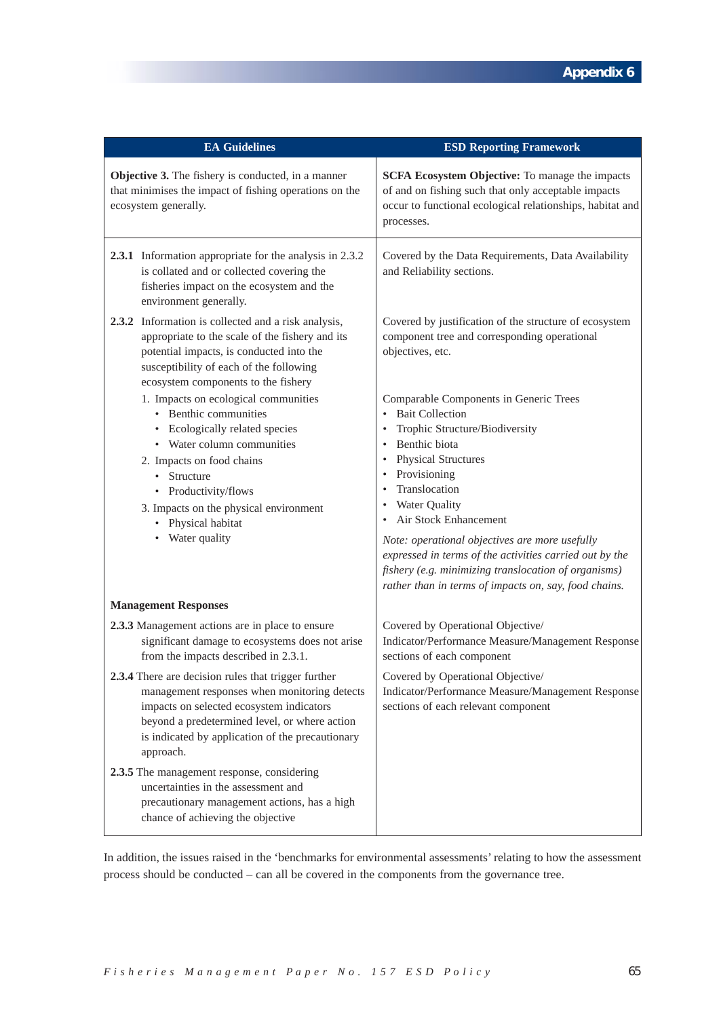| <b>EA Guidelines</b>                                                                                                                                                                                                                                                           | <b>ESD Reporting Framework</b>                                                                                                                                                                                                                                                                                                                                                                                                                                               |
|--------------------------------------------------------------------------------------------------------------------------------------------------------------------------------------------------------------------------------------------------------------------------------|------------------------------------------------------------------------------------------------------------------------------------------------------------------------------------------------------------------------------------------------------------------------------------------------------------------------------------------------------------------------------------------------------------------------------------------------------------------------------|
| Objective 3. The fishery is conducted, in a manner<br>that minimises the impact of fishing operations on the<br>ecosystem generally.                                                                                                                                           | SCFA Ecosystem Objective: To manage the impacts<br>of and on fishing such that only acceptable impacts<br>occur to functional ecological relationships, habitat and<br>processes.                                                                                                                                                                                                                                                                                            |
| 2.3.1 Information appropriate for the analysis in 2.3.2<br>is collated and or collected covering the<br>fisheries impact on the ecosystem and the<br>environment generally.                                                                                                    | Covered by the Data Requirements, Data Availability<br>and Reliability sections.                                                                                                                                                                                                                                                                                                                                                                                             |
| 2.3.2<br>Information is collected and a risk analysis,<br>appropriate to the scale of the fishery and its<br>potential impacts, is conducted into the<br>susceptibility of each of the following<br>ecosystem components to the fishery                                        | Covered by justification of the structure of ecosystem<br>component tree and corresponding operational<br>objectives, etc.                                                                                                                                                                                                                                                                                                                                                   |
| 1. Impacts on ecological communities<br>• Benthic communities<br>Ecologically related species<br>• Water column communities<br>2. Impacts on food chains<br>• Structure<br>Productivity/flows<br>3. Impacts on the physical environment<br>• Physical habitat<br>Water quality | Comparable Components in Generic Trees<br><b>Bait Collection</b><br>Trophic Structure/Biodiversity<br>Benthic biota<br><b>Physical Structures</b><br>Provisioning<br>Translocation<br>Water Quality<br>٠<br>Air Stock Enhancement<br>$\bullet$<br>Note: operational objectives are more usefully<br>expressed in terms of the activities carried out by the<br>fishery (e.g. minimizing translocation of organisms)<br>rather than in terms of impacts on, say, food chains. |
| <b>Management Responses</b>                                                                                                                                                                                                                                                    |                                                                                                                                                                                                                                                                                                                                                                                                                                                                              |
| 2.3.3 Management actions are in place to ensure<br>significant damage to ecosystems does not arise<br>from the impacts described in 2.3.1.                                                                                                                                     | Covered by Operational Objective/<br>Indicator/Performance Measure/Management Response<br>sections of each component                                                                                                                                                                                                                                                                                                                                                         |
| 2.3.4 There are decision rules that trigger further<br>management responses when monitoring detects<br>impacts on selected ecosystem indicators<br>beyond a predetermined level, or where action<br>is indicated by application of the precautionary<br>approach.              | Covered by Operational Objective/<br>Indicator/Performance Measure/Management Response<br>sections of each relevant component                                                                                                                                                                                                                                                                                                                                                |
| 2.3.5 The management response, considering<br>uncertainties in the assessment and<br>precautionary management actions, has a high<br>chance of achieving the objective                                                                                                         |                                                                                                                                                                                                                                                                                                                                                                                                                                                                              |

In addition, the issues raised in the 'benchmarks for environmental assessments' relating to how the assessment process should be conducted – can all be covered in the components from the governance tree.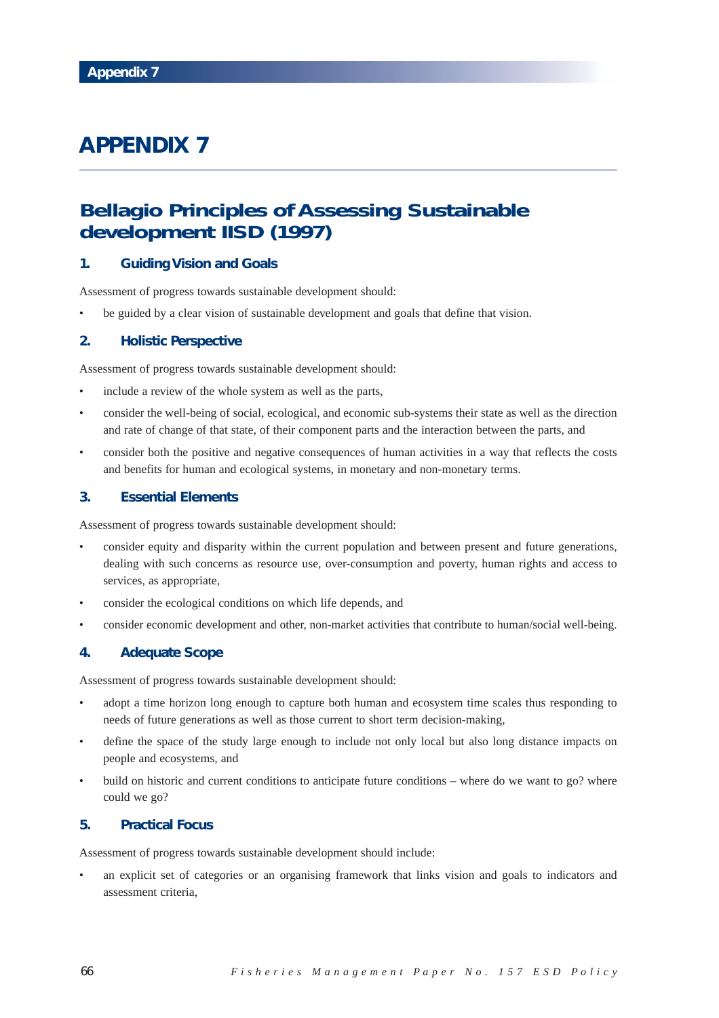# **Bellagio Principles of Assessing Sustainable development IISD (1997)**

## **1. Guiding Vision and Goals**

Assessment of progress towards sustainable development should:

• be guided by a clear vision of sustainable development and goals that define that vision.

## **2. Holistic Perspective**

Assessment of progress towards sustainable development should:

- include a review of the whole system as well as the parts,
- consider the well-being of social, ecological, and economic sub-systems their state as well as the direction and rate of change of that state, of their component parts and the interaction between the parts, and
- consider both the positive and negative consequences of human activities in a way that reflects the costs and benefits for human and ecological systems, in monetary and non-monetary terms.

## **3. Essential Elements**

Assessment of progress towards sustainable development should:

- consider equity and disparity within the current population and between present and future generations, dealing with such concerns as resource use, over-consumption and poverty, human rights and access to services, as appropriate,
- consider the ecological conditions on which life depends, and
- consider economic development and other, non-market activities that contribute to human/social well-being.

## **4. Adequate Scope**

Assessment of progress towards sustainable development should:

- adopt a time horizon long enough to capture both human and ecosystem time scales thus responding to needs of future generations as well as those current to short term decision-making,
- define the space of the study large enough to include not only local but also long distance impacts on people and ecosystems, and
- build on historic and current conditions to anticipate future conditions where do we want to go? where could we go?

### **5. Practical Focus**

Assessment of progress towards sustainable development should include:

• an explicit set of categories or an organising framework that links vision and goals to indicators and assessment criteria,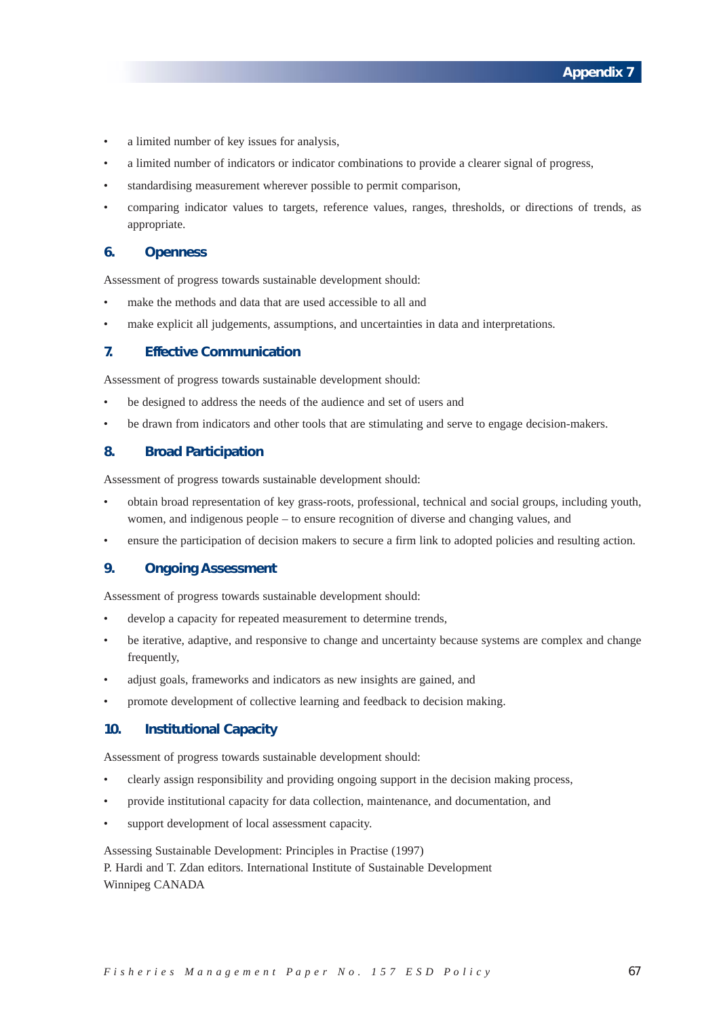- a limited number of key issues for analysis,
- a limited number of indicators or indicator combinations to provide a clearer signal of progress,
- standardising measurement wherever possible to permit comparison,
- comparing indicator values to targets, reference values, ranges, thresholds, or directions of trends, as appropriate.

### **6. Openness**

Assessment of progress towards sustainable development should:

- make the methods and data that are used accessible to all and
- make explicit all judgements, assumptions, and uncertainties in data and interpretations.

## **7. Effective Communication**

Assessment of progress towards sustainable development should:

- be designed to address the needs of the audience and set of users and
- be drawn from indicators and other tools that are stimulating and serve to engage decision-makers.

### **8. Broad Participation**

Assessment of progress towards sustainable development should:

- obtain broad representation of key grass-roots, professional, technical and social groups, including youth, women, and indigenous people – to ensure recognition of diverse and changing values, and
- ensure the participation of decision makers to secure a firm link to adopted policies and resulting action.

## **9. Ongoing Assessment**

Assessment of progress towards sustainable development should:

- develop a capacity for repeated measurement to determine trends,
- be iterative, adaptive, and responsive to change and uncertainty because systems are complex and change frequently,
- adjust goals, frameworks and indicators as new insights are gained, and
- promote development of collective learning and feedback to decision making.

### **10. Institutional Capacity**

Assessment of progress towards sustainable development should:

- clearly assign responsibility and providing ongoing support in the decision making process,
- provide institutional capacity for data collection, maintenance, and documentation, and
- support development of local assessment capacity.

Assessing Sustainable Development: Principles in Practise (1997)

P. Hardi and T. Zdan editors. International Institute of Sustainable Development Winnipeg CANADA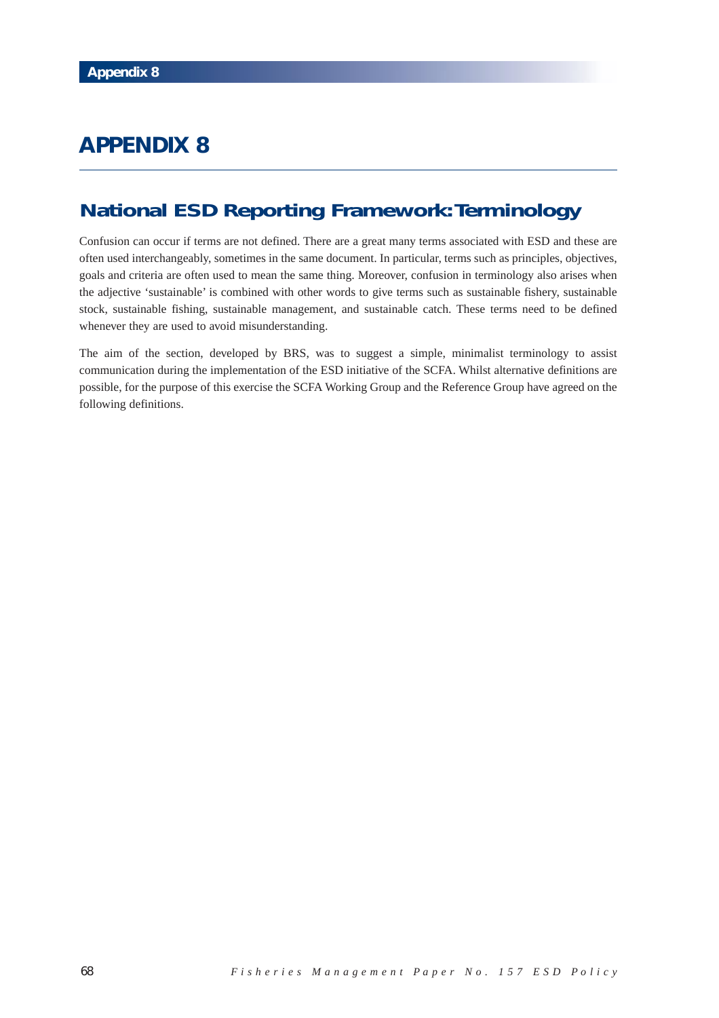# **National ESD Reporting Framework:Terminology**

Confusion can occur if terms are not defined. There are a great many terms associated with ESD and these are often used interchangeably, sometimes in the same document. In particular, terms such as principles, objectives, goals and criteria are often used to mean the same thing. Moreover, confusion in terminology also arises when the adjective 'sustainable' is combined with other words to give terms such as sustainable fishery, sustainable stock, sustainable fishing, sustainable management, and sustainable catch. These terms need to be defined whenever they are used to avoid misunderstanding.

The aim of the section, developed by BRS, was to suggest a simple, minimalist terminology to assist communication during the implementation of the ESD initiative of the SCFA. Whilst alternative definitions are possible, for the purpose of this exercise the SCFA Working Group and the Reference Group have agreed on the following definitions.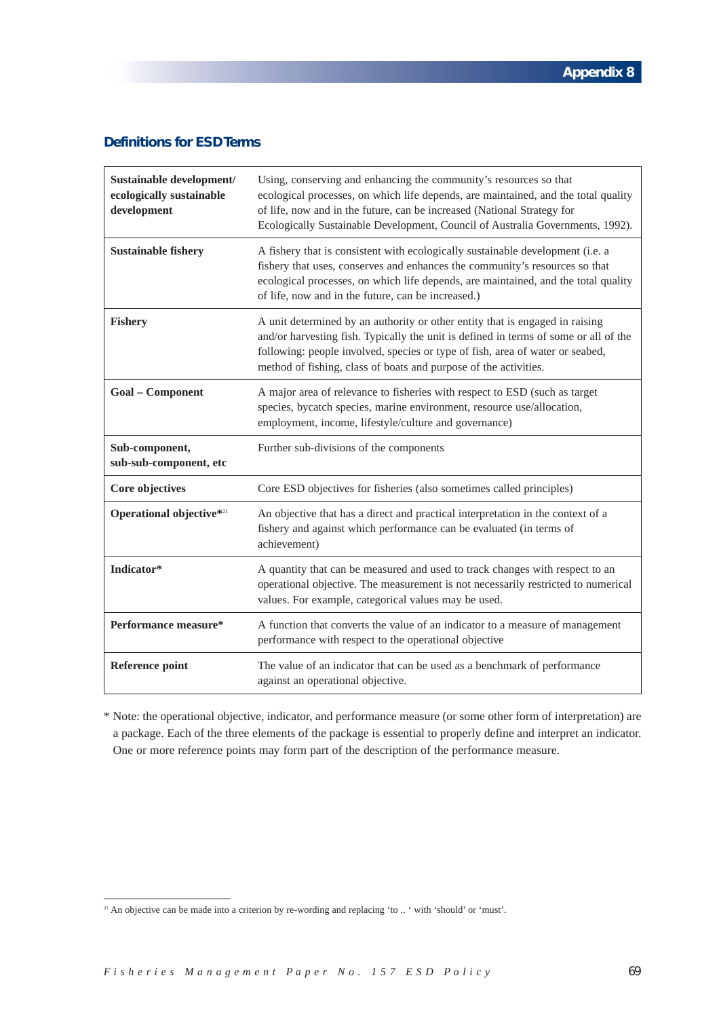# **Definitions for ESD Terms**

| Sustainable development/<br>ecologically sustainable<br>development | Using, conserving and enhancing the community's resources so that<br>ecological processes, on which life depends, are maintained, and the total quality<br>of life, now and in the future, can be increased (National Strategy for<br>Ecologically Sustainable Development, Council of Australia Governments, 1992).      |
|---------------------------------------------------------------------|---------------------------------------------------------------------------------------------------------------------------------------------------------------------------------------------------------------------------------------------------------------------------------------------------------------------------|
| <b>Sustainable fishery</b>                                          | A fishery that is consistent with ecologically sustainable development (i.e. a<br>fishery that uses, conserves and enhances the community's resources so that<br>ecological processes, on which life depends, are maintained, and the total quality<br>of life, now and in the future, can be increased.)                 |
| <b>Fishery</b>                                                      | A unit determined by an authority or other entity that is engaged in raising<br>and/or harvesting fish. Typically the unit is defined in terms of some or all of the<br>following: people involved, species or type of fish, area of water or seabed,<br>method of fishing, class of boats and purpose of the activities. |
| <b>Goal - Component</b>                                             | A major area of relevance to fisheries with respect to ESD (such as target<br>species, bycatch species, marine environment, resource use/allocation,<br>employment, income, lifestyle/culture and governance)                                                                                                             |
| Sub-component,<br>sub-sub-component, etc                            | Further sub-divisions of the components                                                                                                                                                                                                                                                                                   |
| Core objectives                                                     | Core ESD objectives for fisheries (also sometimes called principles)                                                                                                                                                                                                                                                      |
| Operational objective*21                                            | An objective that has a direct and practical interpretation in the context of a<br>fishery and against which performance can be evaluated (in terms of<br>achievement)                                                                                                                                                    |
| Indicator*                                                          | A quantity that can be measured and used to track changes with respect to an<br>operational objective. The measurement is not necessarily restricted to numerical<br>values. For example, categorical values may be used.                                                                                                 |
| Performance measure*                                                | A function that converts the value of an indicator to a measure of management<br>performance with respect to the operational objective                                                                                                                                                                                    |
| Reference point                                                     | The value of an indicator that can be used as a benchmark of performance<br>against an operational objective.                                                                                                                                                                                                             |

\* Note: the operational objective, indicator, and performance measure (or some other form of interpretation) are a package. Each of the three elements of the package is essential to properly define and interpret an indicator. One or more reference points may form part of the description of the performance measure.

<sup>&</sup>lt;sup>21</sup> An objective can be made into a criterion by re-wording and replacing 'to .. ' with 'should' or 'must'.